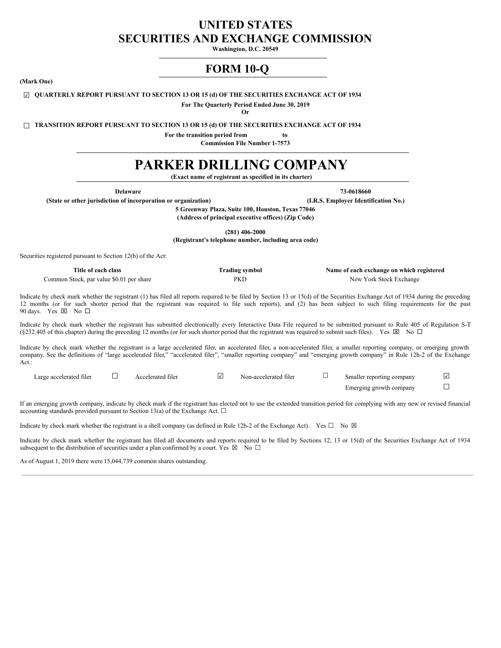# **UNITED STATES SECURITIES AND EXCHANGE COMMISSION**

**Washington, D.C. 20549**

# **FORM 10-Q**

<span id="page-0-0"></span>**(Mark One)**

# ☑ **QUARTERLY REPORT PURSUANT TO SECTION 13 OR 15 (d) OF THE SECURITIES EXCHANGE ACT OF 1934**

**For The Quarterly Period Ended June 30, 2019**

**Or**

☐ **TRANSITION REPORT PURSUANT TO SECTION 13 OR 15 (d) OF THE SECURITIES EXCHANGE ACT OF 1934**

**For the transition period from to**

**Commission File Number 1-7573**

# **PARKER DRILLING COMPANY**

**(Exact name of registrant as specified in its charter)**

**Delaware 73-0618660**

**(State or other jurisdiction of incorporation or organization) (I.R.S. Employer Identification No.)**

**5 Greenway Plaza, Suite 100, Houston, Texas 77046**

**(Address of principal executive offices) (Zip Code)**

**(281) 406-2000**

**(Registrant's telephone number, including area code)**

Securities registered pursuant to Section 12(b) of the Act:

| Title of each class                      | <b>Trading symbol</b> | Name of each exchange on which registered |
|------------------------------------------|-----------------------|-------------------------------------------|
| Common Stock, par value \$0.01 per share | <b>PKD</b>            | New York Stock Exchange                   |

Indicate by check mark whether the registrant (1) has filed all reports required to be filed by Section 13 or 15(d) of the Securities Exchange Act of 1934 during the preceding 12 months (or for such shorter period that the registrant was required to file such reports), and (2) has been subject to such filing requirements for the past 90 days. Yes  $\boxtimes$  No  $\square$ 

Indicate by check mark whether the registrant has submitted electronically every Interactive Data File required to be submitted pursuant to Rule 405 of Regulation S-T (§232.405 of this chapter) during the preceding 12 months (or for such shorter period that the registrant was required to submit such files). Yes  $\boxtimes$  No  $\Box$ 

Indicate by check mark whether the registrant is a large accelerated filer, an accelerated filer, a non-accelerated filer, a smaller reporting company, or emerging growth company. See the definitions of "large accelerated filer," "accelerated filer", "smaller reporting company" and "emerging growth company" in Rule 12b-2 of the Exchange Act.:

| Large accelerated filer | Accelerated filer | Non-accelerated filer | Smaller reporting company |  |
|-------------------------|-------------------|-----------------------|---------------------------|--|
|                         |                   |                       | Emerging growth company   |  |

If an emerging growth company, indicate by check mark if the registrant has elected not to use the extended transition period for complying with any new or revised financial accounting standards provided pursuant to Section 13(a) of the Exchange Act.  $\square$ 

Indicate by check mark whether the registrant is a shell company (as defined in Rule 12b-2 of the Exchange Act). Yes  $\square$  No  $\boxtimes$ 

Indicate by check mark whether the registrant has filed all documents and reports required to be filed by Sections 12, 13 or 15(d) of the Securities Exchange Act of 1934 subsequent to the distribution of securities under a plan confirmed by a court. Yes  $\boxtimes$  No  $\Box$ 

As of August 1, 2019 there were 15,044,739 common shares outstanding.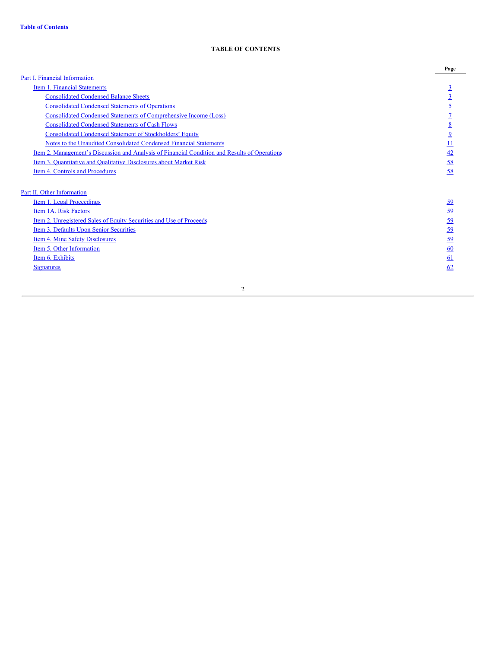# **TABLE OF CONTENTS**

|                                                                                                      | Page                    |
|------------------------------------------------------------------------------------------------------|-------------------------|
| Part I. Financial Information                                                                        |                         |
| Item 1. Financial Statements                                                                         | $\overline{3}$          |
| <b>Consolidated Condensed Balance Sheets</b>                                                         | $\overline{3}$          |
| <b>Consolidated Condensed Statements of Operations</b>                                               | $\overline{2}$          |
| <b>Consolidated Condensed Statements of Comprehensive Income (Loss)</b>                              |                         |
| <b>Consolidated Condensed Statements of Cash Flows</b>                                               | 8                       |
| <b>Consolidated Condensed Statement of Stockholders' Equity</b>                                      | $\overline{\mathbf{2}}$ |
| Notes to the Unaudited Consolidated Condensed Financial Statements                                   | <u>11</u>               |
| <u>Item 2. Management's Discussion and Analysis of Financial Condition and Results of Operations</u> | 42                      |
| Item 3. Quantitative and Qualitative Disclosures about Market Risk                                   | 58                      |
| Item 4. Controls and Procedures                                                                      | 58                      |
| Part II. Other Information                                                                           |                         |
| Item 1. Legal Proceedings                                                                            | <u>59</u>               |
| Item 1A. Risk Factors                                                                                | <u>59</u>               |
| Item 2. Unregistered Sales of Equity Securities and Use of Proceeds                                  | 59                      |
| Item 3. Defaults Upon Senior Securities                                                              | <u>59</u>               |
| Item 4. Mine Safety Disclosures                                                                      | <u>59</u>               |
| Item 5. Other Information                                                                            | 60                      |
| Item 6. Exhibits                                                                                     | <u>61</u>               |
| <b>Signatures</b>                                                                                    | <u>62</u>               |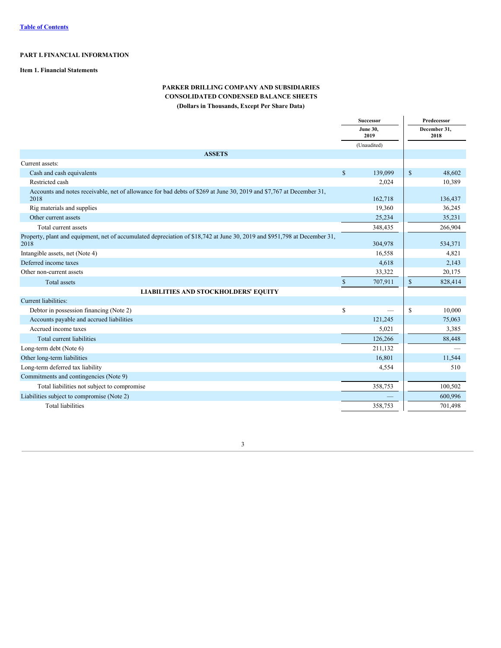# **PART I. FINANCIAL INFORMATION**

# **Item 1. Financial Statements**

# **PARKER DRILLING COMPANY AND SUBSIDIARIES CONSOLIDATED CONDENSED BALANCE SHEETS (Dollars in Thousands, Except Per Share Data)**

|                                                                                                                                   |              | Successor                |              | Predecessor          |  |  |
|-----------------------------------------------------------------------------------------------------------------------------------|--------------|--------------------------|--------------|----------------------|--|--|
|                                                                                                                                   |              | <b>June 30,</b><br>2019  |              | December 31,<br>2018 |  |  |
|                                                                                                                                   |              | (Unaudited)              |              |                      |  |  |
| <b>ASSETS</b>                                                                                                                     |              |                          |              |                      |  |  |
| Current assets:                                                                                                                   |              |                          |              |                      |  |  |
| Cash and cash equivalents                                                                                                         | $\mathbb{S}$ | 139,099                  | $\mathbf{s}$ | 48.602               |  |  |
| Restricted cash                                                                                                                   |              | 2,024                    |              | 10,389               |  |  |
| Accounts and notes receivable, net of allowance for bad debts of \$269 at June 30, 2019 and \$7,767 at December 31,<br>2018       |              | 162,718                  |              | 136,437              |  |  |
| Rig materials and supplies                                                                                                        |              | 19,360                   |              | 36,245               |  |  |
| Other current assets                                                                                                              |              | 25,234                   |              | 35,231               |  |  |
| Total current assets                                                                                                              |              | 348,435                  |              | 266,904              |  |  |
| Property, plant and equipment, net of accumulated depreciation of \$18,742 at June 30, 2019 and \$951,798 at December 31,<br>2018 |              | 304,978                  |              | 534,371              |  |  |
| Intangible assets, net (Note 4)                                                                                                   |              | 16,558                   |              | 4,821                |  |  |
| Deferred income taxes                                                                                                             |              | 4,618                    |              | 2,143                |  |  |
| Other non-current assets                                                                                                          |              | 33,322                   |              | 20,175               |  |  |
| <b>Total</b> assets                                                                                                               | $\mathbb{S}$ | 707,911                  | $\mathbb{S}$ | 828,414              |  |  |
| LIABILITIES AND STOCKHOLDERS' EQUITY                                                                                              |              |                          |              |                      |  |  |
| Current liabilities:                                                                                                              |              |                          |              |                      |  |  |
| Debtor in possession financing (Note 2)                                                                                           | $\mathbb{S}$ | $\overline{\phantom{0}}$ | $\mathbb{S}$ | 10,000               |  |  |
| Accounts payable and accrued liabilities                                                                                          |              | 121,245                  |              | 75,063               |  |  |
| Accrued income taxes                                                                                                              |              | 5,021                    |              | 3,385                |  |  |
| Total current liabilities                                                                                                         |              | 126,266                  |              | 88,448               |  |  |
| Long-term debt (Note 6)                                                                                                           |              | 211,132                  |              |                      |  |  |
| Other long-term liabilities                                                                                                       |              | 16,801                   |              | 11,544               |  |  |
| Long-term deferred tax liability                                                                                                  |              | 4,554                    |              | 510                  |  |  |
| Commitments and contingencies (Note 9)                                                                                            |              |                          |              |                      |  |  |
| Total liabilities not subject to compromise                                                                                       |              | 358,753                  |              | 100,502              |  |  |
| Liabilities subject to compromise (Note 2)                                                                                        |              |                          |              | 600,996              |  |  |
| <b>Total liabilities</b>                                                                                                          |              | 358,753                  |              | 701,498              |  |  |
|                                                                                                                                   |              |                          |              |                      |  |  |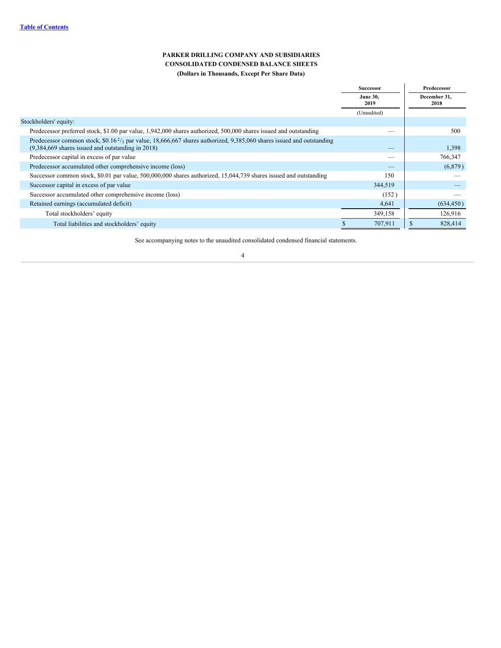# **PARKER DRILLING COMPANY AND SUBSIDIARIES CONSOLIDATED CONDENSED BALANCE SHEETS (Dollars in Thousands, Except Per Share Data)**

|                                                                                                                                                                                      | Successor               | Predecessor          |
|--------------------------------------------------------------------------------------------------------------------------------------------------------------------------------------|-------------------------|----------------------|
|                                                                                                                                                                                      | <b>June 30,</b><br>2019 | December 31,<br>2018 |
|                                                                                                                                                                                      | (Unaudited)             |                      |
| Stockholders' equity:                                                                                                                                                                |                         |                      |
| Predecessor preferred stock, \$1.00 par value, 1,942,000 shares authorized, 500,000 shares issued and outstanding                                                                    |                         | 500                  |
| Predecessor common stock, $$0.16\frac{2}{3}$ par value, 18,666,667 shares authorized, 9,385,060 shares issued and outstanding<br>$(9,384,669$ shares issued and outstanding in 2018) |                         | 1,398                |
| Predecessor capital in excess of par value                                                                                                                                           |                         | 766,347              |
| Predecessor accumulated other comprehensive income (loss)                                                                                                                            | _                       | (6,879)              |
| Successor common stock, \$0.01 par value, 500,000,000 shares authorized, 15,044,739 shares issued and outstanding                                                                    | 150                     |                      |
| Successor capital in excess of par value                                                                                                                                             | 344,519                 |                      |
| Successor accumulated other comprehensive income (loss)                                                                                                                              | (152)                   |                      |
| Retained earnings (accumulated deficit)                                                                                                                                              | 4,641                   | (634, 450)           |
| Total stockholders' equity                                                                                                                                                           | 349,158                 | 126,916              |
| Total liabilities and stockholders' equity                                                                                                                                           | 707,911                 | 828,414<br>S         |

See accompanying notes to the unaudited consolidated condensed financial statements.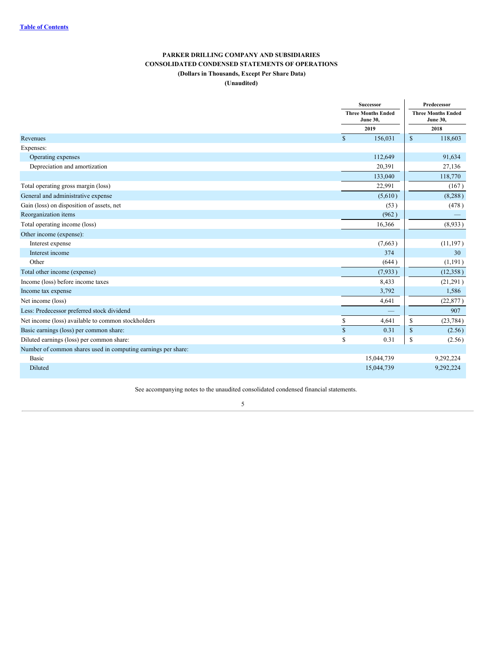# **PARKER DRILLING COMPANY AND SUBSIDIARIES CONSOLIDATED CONDENSED STATEMENTS OF OPERATIONS (Dollars in Thousands, Except Per Share Data) (Unaudited)**

|                                                               |              | <b>Successor</b>                             | Predecessor  |                                              |  |
|---------------------------------------------------------------|--------------|----------------------------------------------|--------------|----------------------------------------------|--|
|                                                               |              | <b>Three Months Ended</b><br><b>June 30,</b> |              | <b>Three Months Ended</b><br><b>June 30,</b> |  |
|                                                               |              | 2019                                         |              | 2018                                         |  |
| Revenues                                                      | $\mathbb{S}$ | 156,031                                      | $\mathbb{S}$ | 118,603                                      |  |
| Expenses:                                                     |              |                                              |              |                                              |  |
| Operating expenses                                            |              | 112,649                                      |              | 91,634                                       |  |
| Depreciation and amortization                                 |              | 20,391                                       |              | 27,136                                       |  |
|                                                               |              | 133,040                                      |              | 118,770                                      |  |
| Total operating gross margin (loss)                           |              | 22,991                                       |              | (167)                                        |  |
| General and administrative expense                            |              | (5,610)                                      |              | (8, 288)                                     |  |
| Gain (loss) on disposition of assets, net                     |              | (53)                                         |              | (478)                                        |  |
| Reorganization items                                          |              | (962)                                        |              |                                              |  |
| Total operating income (loss)                                 |              | 16,366                                       |              | (8,933)                                      |  |
| Other income (expense):                                       |              |                                              |              |                                              |  |
| Interest expense                                              |              | (7,663)                                      |              | (11, 197)                                    |  |
| Interest income                                               |              | 374                                          |              | 30                                           |  |
| Other                                                         |              | (644)                                        |              | (1, 191)                                     |  |
| Total other income (expense)                                  |              | (7,933)                                      |              | (12, 358)                                    |  |
| Income (loss) before income taxes                             |              | 8,433                                        |              | (21,291)                                     |  |
| Income tax expense                                            |              | 3,792                                        |              | 1,586                                        |  |
| Net income (loss)                                             |              | 4,641                                        |              | (22, 877)                                    |  |
| Less: Predecessor preferred stock dividend                    |              |                                              |              | 907                                          |  |
| Net income (loss) available to common stockholders            | \$           | 4,641                                        | S            | (23, 784)                                    |  |
| Basic earnings (loss) per common share:                       | $\mathbb{S}$ | 0.31                                         | $\mathbb{S}$ | (2.56)                                       |  |
| Diluted earnings (loss) per common share:                     | \$           | 0.31                                         | \$           | (2.56)                                       |  |
| Number of common shares used in computing earnings per share: |              |                                              |              |                                              |  |
| Basic                                                         |              | 15,044,739                                   |              | 9,292,224                                    |  |
| Diluted                                                       |              | 15,044,739                                   |              | 9,292,224                                    |  |

See accompanying notes to the unaudited consolidated condensed financial statements.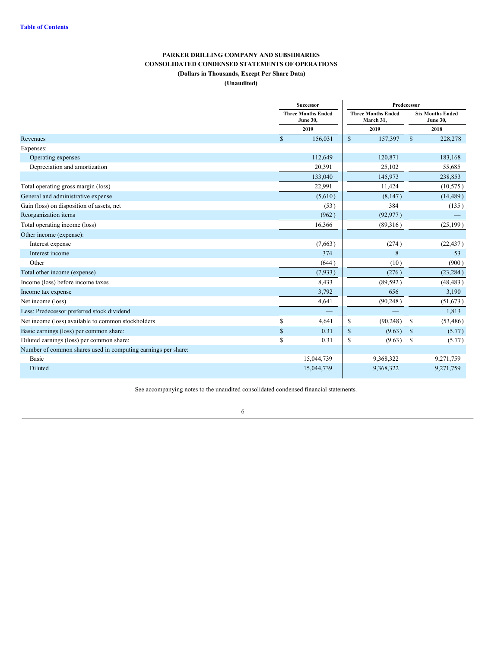# **PARKER DRILLING COMPANY AND SUBSIDIARIES CONSOLIDATED CONDENSED STATEMENTS OF OPERATIONS (Dollars in Thousands, Except Per Share Data) (Unaudited)**

|                                                               |              | Successor                                    | Predecessor   |                                        |               |                                            |  |  |
|---------------------------------------------------------------|--------------|----------------------------------------------|---------------|----------------------------------------|---------------|--------------------------------------------|--|--|
|                                                               |              | <b>Three Months Ended</b><br><b>June 30,</b> |               | <b>Three Months Ended</b><br>March 31, |               | <b>Six Months Ended</b><br><b>June 30,</b> |  |  |
|                                                               |              | 2019                                         |               | 2019                                   | 2018          |                                            |  |  |
| Revenues                                                      | $\mathbb{S}$ | 156,031                                      | $\mathbb{S}$  | 157,397                                | $\mathbb{S}$  | 228,278                                    |  |  |
| Expenses:                                                     |              |                                              |               |                                        |               |                                            |  |  |
| Operating expenses                                            |              | 112,649                                      |               | 120,871                                |               | 183,168                                    |  |  |
| Depreciation and amortization                                 |              | 20,391                                       |               | 25,102                                 |               | 55,685                                     |  |  |
|                                                               |              | 133,040                                      |               | 145,973                                |               | 238,853                                    |  |  |
| Total operating gross margin (loss)                           |              | 22,991                                       |               | 11,424                                 |               | (10, 575)                                  |  |  |
| General and administrative expense                            |              | (5,610)                                      |               | (8,147)                                |               | (14, 489)                                  |  |  |
| Gain (loss) on disposition of assets, net                     |              | (53)                                         |               | 384                                    |               | (135)                                      |  |  |
| Reorganization items                                          |              | (962)                                        |               | (92, 977)                              |               |                                            |  |  |
| Total operating income (loss)                                 |              | 16,366                                       |               | (89,316)                               |               | (25, 199)                                  |  |  |
| Other income (expense):                                       |              |                                              |               |                                        |               |                                            |  |  |
| Interest expense                                              |              | (7,663)                                      |               | (274)                                  |               | (22, 437)                                  |  |  |
| Interest income                                               |              | 374                                          |               | 8                                      |               | 53                                         |  |  |
| Other                                                         |              | (644)                                        |               | (10)                                   |               | (900)                                      |  |  |
| Total other income (expense)                                  |              | (7, 933)                                     |               | (276)                                  |               | (23, 284)                                  |  |  |
| Income (loss) before income taxes                             |              | 8,433                                        |               | (89, 592)                              |               | (48, 483)                                  |  |  |
| Income tax expense                                            |              | 3,792                                        |               | 656                                    |               | 3,190                                      |  |  |
| Net income (loss)                                             |              | 4,641                                        |               | (90, 248)                              |               | (51, 673)                                  |  |  |
| Less: Predecessor preferred stock dividend                    |              |                                              |               |                                        |               | 1,813                                      |  |  |
| Net income (loss) available to common stockholders            | \$           | 4,641                                        | \$            | (90, 248)                              | <sup>\$</sup> | (53, 486)                                  |  |  |
| Basic earnings (loss) per common share:                       | \$           | 0.31                                         | $\mathbf{\$}$ | (9.63)                                 | -S            | (5.77)                                     |  |  |
| Diluted earnings (loss) per common share:                     | \$           | 0.31                                         | \$            | (9.63)                                 | -S            | (5.77)                                     |  |  |
| Number of common shares used in computing earnings per share: |              |                                              |               |                                        |               |                                            |  |  |
| Basic                                                         |              | 15,044,739                                   |               | 9,368,322                              |               | 9,271,759                                  |  |  |
| Diluted                                                       |              | 15,044,739                                   |               | 9,368,322                              |               | 9,271,759                                  |  |  |

See accompanying notes to the unaudited consolidated condensed financial statements.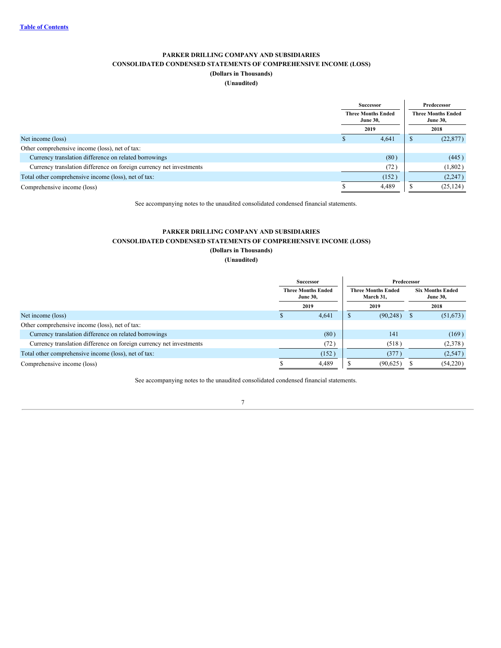# **PARKER DRILLING COMPANY AND SUBSIDIARIES CONSOLIDATED CONDENSED STATEMENTS OF COMPREHENSIVE INCOME (LOSS) (Dollars in Thousands)**

# **(Unaudited)**

|                                                                     |                                              | <b>Successor</b> | Predecessor |                                              |  |  |
|---------------------------------------------------------------------|----------------------------------------------|------------------|-------------|----------------------------------------------|--|--|
|                                                                     | <b>Three Months Ended</b><br><b>June 30,</b> |                  |             | <b>Three Months Ended</b><br><b>June 30,</b> |  |  |
|                                                                     |                                              | 2019             |             | 2018                                         |  |  |
| Net income (loss)                                                   |                                              | 4,641            |             | (22, 877)                                    |  |  |
| Other comprehensive income (loss), net of tax:                      |                                              |                  |             |                                              |  |  |
| Currency translation difference on related borrowings               |                                              | (80)             |             | (445)                                        |  |  |
| Currency translation difference on foreign currency net investments |                                              | (72)             |             | (1,802)                                      |  |  |
| Total other comprehensive income (loss), net of tax:                |                                              | (152)            |             | (2,247)                                      |  |  |
| Comprehensive income (loss)                                         |                                              | 4.489            |             | (25, 124)                                    |  |  |
|                                                                     |                                              |                  |             |                                              |  |  |

See accompanying notes to the unaudited consolidated condensed financial statements.

# **PARKER DRILLING COMPANY AND SUBSIDIARIES CONSOLIDATED CONDENSED STATEMENTS OF COMPREHENSIVE INCOME (LOSS)**

**(Dollars in Thousands) (Unaudited)**

|                                                                     | Successor                                    |   |                                        | Predecessor                                |          |
|---------------------------------------------------------------------|----------------------------------------------|---|----------------------------------------|--------------------------------------------|----------|
|                                                                     | <b>Three Months Ended</b><br><b>June 30,</b> |   | <b>Three Months Ended</b><br>March 31. | <b>Six Months Ended</b><br><b>June 30,</b> |          |
|                                                                     | 2019                                         |   | 2019                                   |                                            | 2018     |
| Net income (loss)                                                   | 4,641                                        | D | (90,248)                               |                                            | (51,673) |
| Other comprehensive income (loss), net of tax:                      |                                              |   |                                        |                                            |          |
| Currency translation difference on related borrowings               | (80)                                         |   | 141                                    |                                            | (169)    |
| Currency translation difference on foreign currency net investments | (72)                                         |   | (518)                                  |                                            | (2,378)  |
| Total other comprehensive income (loss), net of tax:                | (152)                                        |   | (377)                                  |                                            | (2,547)  |
| Comprehensive income (loss)                                         | 4,489                                        |   | (90,625)                               |                                            | (54,220) |

See accompanying notes to the unaudited consolidated condensed financial statements.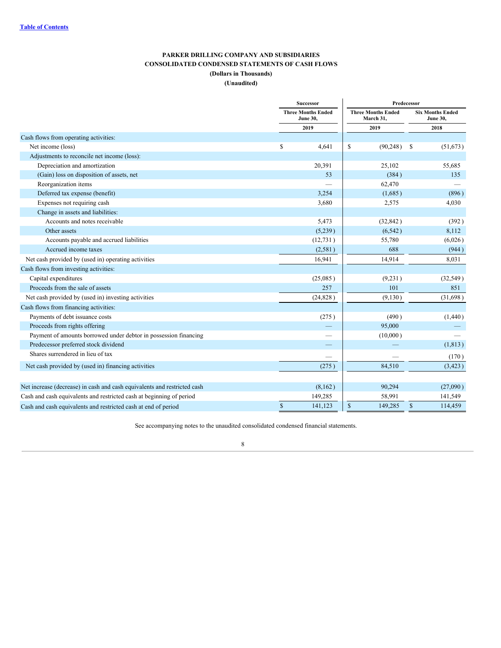# **PARKER DRILLING COMPANY AND SUBSIDIARIES CONSOLIDATED CONDENSED STATEMENTS OF CASH FLOWS (Dollars in Thousands)**

# **(Unaudited)**

|                                                                          |      | <b>Successor</b>                             |      |                                        | Predecessor |                                            |
|--------------------------------------------------------------------------|------|----------------------------------------------|------|----------------------------------------|-------------|--------------------------------------------|
|                                                                          |      | <b>Three Months Ended</b><br><b>June 30,</b> |      | <b>Three Months Ended</b><br>March 31, |             | <b>Six Months Ended</b><br><b>June 30,</b> |
|                                                                          |      | 2019                                         |      | 2019                                   |             | 2018                                       |
| Cash flows from operating activities:                                    |      |                                              |      |                                        |             |                                            |
| Net income (loss)                                                        | \$   | 4,641                                        | \$   | (90, 248)                              | -S          | (51, 673)                                  |
| Adjustments to reconcile net income (loss):                              |      |                                              |      |                                        |             |                                            |
| Depreciation and amortization                                            |      | 20,391                                       |      | 25,102                                 |             | 55,685                                     |
| (Gain) loss on disposition of assets, net                                |      | 53                                           |      | (384)                                  |             | 135                                        |
| Reorganization items                                                     |      |                                              |      | 62,470                                 |             |                                            |
| Deferred tax expense (benefit)                                           |      | 3,254                                        |      | (1,685)                                |             | (896)                                      |
| Expenses not requiring cash                                              |      | 3,680                                        |      | 2,575                                  |             | 4,030                                      |
| Change in assets and liabilities:                                        |      |                                              |      |                                        |             |                                            |
| Accounts and notes receivable                                            |      | 5,473                                        |      | (32, 842)                              |             | (392)                                      |
| Other assets                                                             |      | (5,239)                                      |      | (6, 542)                               |             | 8,112                                      |
| Accounts payable and accrued liabilities                                 |      | (12, 731)                                    |      | 55,780                                 |             | (6,026)                                    |
| Accrued income taxes                                                     |      | (2,581)                                      |      | 688                                    |             | (944)                                      |
| Net cash provided by (used in) operating activities                      |      | 16,941                                       |      | 14,914                                 |             | 8.031                                      |
| Cash flows from investing activities:                                    |      |                                              |      |                                        |             |                                            |
| Capital expenditures                                                     |      | (25,085)                                     |      | (9,231)                                |             | (32, 549)                                  |
| Proceeds from the sale of assets                                         |      | 257                                          |      | 101                                    |             | 851                                        |
| Net cash provided by (used in) investing activities                      |      | (24, 828)                                    |      | (9,130)                                |             | (31,698)                                   |
| Cash flows from financing activities:                                    |      |                                              |      |                                        |             |                                            |
| Payments of debt issuance costs                                          |      | (275)                                        |      | (490)                                  |             | (1,440)                                    |
| Proceeds from rights offering                                            |      |                                              |      | 95,000                                 |             |                                            |
| Payment of amounts borrowed under debtor in possession financing         |      | $\overline{\phantom{0}}$                     |      | (10,000)                               |             |                                            |
| Predecessor preferred stock dividend                                     |      |                                              |      |                                        |             | (1, 813)                                   |
| Shares surrendered in lieu of tax                                        |      |                                              |      |                                        |             | (170)                                      |
| Net cash provided by (used in) financing activities                      |      | (275)                                        |      | 84,510                                 |             | (3, 423)                                   |
| Net increase (decrease) in cash and cash equivalents and restricted cash |      | (8,162)                                      |      | 90,294                                 |             | (27,090)                                   |
| Cash and cash equivalents and restricted cash at beginning of period     |      | 149,285                                      |      | 58,991                                 |             | 141,549                                    |
| Cash and cash equivalents and restricted cash at end of period           | $\$$ | 141,123                                      | $\$$ | 149,285                                | $\mathbb S$ | 114,459                                    |

See accompanying notes to the unaudited consolidated condensed financial statements.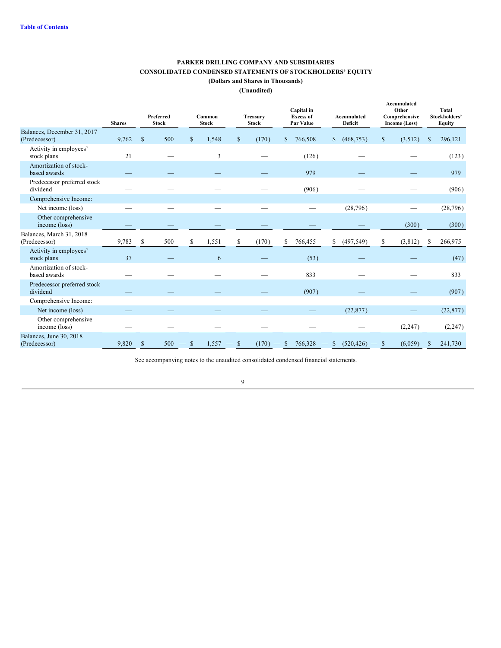# **PARKER DRILLING COMPANY AND SUBSIDIARIES CONSOLIDATED CONDENSED STATEMENTS OF STOCKHOLDERS' EQUITY**

**(Dollars and Shares in Thousands)**

**(Unaudited)**

|                                              | <b>Shares</b> |               | Preferred<br><b>Stock</b> |              | Common<br><b>Stock</b> | <b>Treasury</b><br><b>Stock</b> |              | Capital in<br><b>Excess of</b><br>Par Value |              | Accumulated<br><b>Deficit</b>   |              | Accumulated<br>Other<br>Comprehensive<br><b>Income (Loss)</b> |               | <b>Total</b><br>Stockholders'<br><b>Equity</b> |
|----------------------------------------------|---------------|---------------|---------------------------|--------------|------------------------|---------------------------------|--------------|---------------------------------------------|--------------|---------------------------------|--------------|---------------------------------------------------------------|---------------|------------------------------------------------|
| Balances, December 31, 2017<br>(Predecessor) | 9,762         | $\mathcal{S}$ | 500                       | $\mathbb{S}$ | 1,548                  | \$<br>(170)                     | $\mathbb{S}$ | 766,508                                     | $\mathbb{S}$ | (468, 753)                      | $\mathbb{S}$ | (3,512)                                                       | <sup>\$</sup> | 296,121                                        |
| Activity in employees'<br>stock plans        | 21            |               |                           |              | 3                      |                                 |              | (126)                                       |              |                                 |              |                                                               |               | (123)                                          |
| Amortization of stock-<br>based awards       |               |               |                           |              |                        |                                 |              | 979                                         |              |                                 |              |                                                               |               | 979                                            |
| Predecessor preferred stock<br>dividend      |               |               |                           |              |                        |                                 |              | (906)                                       |              |                                 |              |                                                               |               | (906)                                          |
| Comprehensive Income:                        |               |               |                           |              |                        |                                 |              |                                             |              |                                 |              |                                                               |               |                                                |
| Net income (loss)                            |               |               |                           |              |                        |                                 |              |                                             |              | (28, 796)                       |              |                                                               |               | (28, 796)                                      |
| Other comprehensive<br>income (loss)         |               |               |                           |              |                        |                                 |              |                                             |              |                                 |              | (300)                                                         |               | (300)                                          |
| Balances, March 31, 2018<br>(Predecessor)    | 9,783         | S             | 500                       | \$           | 1,551                  | \$<br>(170)                     | S            | 766,455                                     | \$           | (497, 549)                      | S            | (3,812)                                                       | S.            | 266,975                                        |
| Activity in employees'<br>stock plans        | 37            |               |                           |              | 6                      |                                 |              | (53)                                        |              |                                 |              |                                                               |               | (47)                                           |
| Amortization of stock-<br>based awards       |               |               |                           |              |                        |                                 |              | 833                                         |              |                                 |              |                                                               |               | 833                                            |
| Predecessor preferred stock<br>dividend      |               |               |                           |              |                        |                                 |              | (907)                                       |              |                                 |              |                                                               |               | (907)                                          |
| Comprehensive Income:                        |               |               |                           |              |                        |                                 |              |                                             |              |                                 |              |                                                               |               |                                                |
| Net income (loss)                            |               |               |                           |              |                        |                                 |              |                                             |              | (22, 877)                       |              |                                                               |               | (22, 877)                                      |
| Other comprehensive<br>income (loss)         |               |               |                           |              |                        |                                 |              |                                             |              |                                 |              | (2,247)                                                       |               | (2, 247)                                       |
| Balances, June 30, 2018<br>(Predecessor)     | 9,820         | $\mathbb{S}$  | $500 - $$                 |              | $1,557 -$ \$           | $(170) -$ \$                    |              |                                             |              | $766,328$ - \$ $(520,426)$ - \$ |              | (6,059)                                                       | \$            | 241,730                                        |

See accompanying notes to the unaudited consolidated condensed financial statements.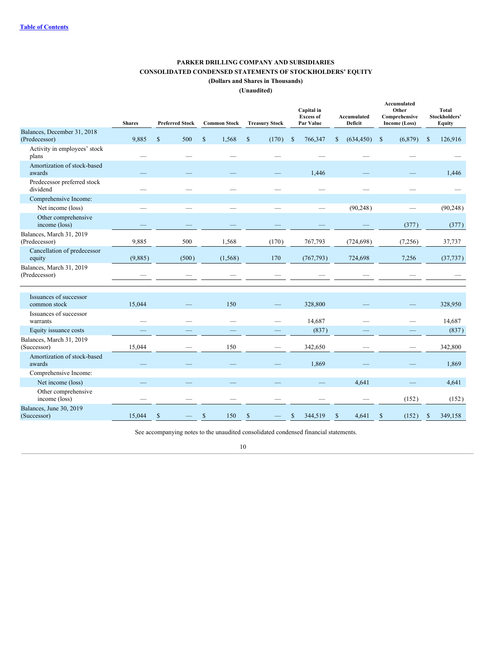# **PARKER DRILLING COMPANY AND SUBSIDIARIES CONSOLIDATED CONDENSED STATEMENTS OF STOCKHOLDERS' EQUITY**

**(Dollars and Shares in Thousands)**

**(Unaudited)**

|                                              | <b>Shares</b> | <b>Preferred Stock</b> | <b>Common Stock</b>   | <b>Treasury Stock</b> | Capital in<br><b>Excess of</b><br>Par Value | Accumulated<br><b>Deficit</b> | Accumulated<br>Other<br>Comprehensive<br>Income (Loss) | <b>Total</b><br>Stockholders'<br><b>Equity</b> |
|----------------------------------------------|---------------|------------------------|-----------------------|-----------------------|---------------------------------------------|-------------------------------|--------------------------------------------------------|------------------------------------------------|
| Balances, December 31, 2018<br>(Predecessor) | 9.885         | 500<br>S               | $\mathbb{S}$<br>1,568 | $\mathbb{S}$<br>(170) | 766,347<br>-S                               | (634, 450)<br><sup>\$</sup>   | (6,879)<br>$\mathbb{S}$                                | 126,916<br>$\mathbf S$                         |
| Activity in employees' stock<br>plans        |               |                        |                       |                       |                                             |                               |                                                        |                                                |
| Amortization of stock-based<br>awards        |               |                        |                       |                       | 1,446                                       |                               |                                                        | 1,446                                          |
| Predecessor preferred stock<br>dividend      |               |                        |                       |                       |                                             |                               |                                                        |                                                |
| Comprehensive Income:                        |               |                        |                       |                       |                                             |                               |                                                        |                                                |
| Net income (loss)                            |               |                        |                       |                       |                                             | (90, 248)                     |                                                        | (90, 248)                                      |
| Other comprehensive<br>income (loss)         |               |                        |                       |                       |                                             |                               | (377)                                                  | (377)                                          |
| Balances, March 31, 2019<br>(Predecessor)    | 9,885         | 500                    | 1,568                 | (170)                 | 767,793                                     | (724, 698)                    | (7,256)                                                | 37,737                                         |
| Cancellation of predecessor<br>equity        | (9,885)       | (500)                  | (1, 568)              | 170                   | (767, 793)                                  | 724,698                       | 7,256                                                  | (37, 737)                                      |
| Balances, March 31, 2019<br>(Predecessor)    |               |                        |                       |                       |                                             |                               |                                                        |                                                |
| Issuances of successor<br>common stock       | 15,044        |                        | 150                   |                       | 328,800                                     |                               |                                                        | 328,950                                        |
| Issuances of successor<br>warrants           |               |                        |                       |                       | 14,687                                      |                               |                                                        | 14,687                                         |
| Equity issuance costs                        |               |                        |                       |                       | (837)                                       |                               |                                                        | (837)                                          |
| Balances, March 31, 2019<br>(Successor)      | 15,044        |                        | 150                   |                       | 342,650                                     |                               |                                                        | 342,800                                        |
| Amortization of stock-based<br>awards        |               |                        |                       |                       | 1,869                                       |                               |                                                        | 1,869                                          |
| Comprehensive Income:                        |               |                        |                       |                       |                                             |                               |                                                        |                                                |
| Net income (loss)                            |               |                        |                       |                       |                                             | 4,641                         |                                                        | 4,641                                          |
| Other comprehensive<br>income (loss)         |               |                        |                       |                       |                                             |                               | (152)                                                  | (152)                                          |
| Balances, June 30, 2019<br>(Successor)       | 15,044        | $\mathbb{S}$           | $\$$<br>150           | <sup>\$</sup>         | 344,519                                     | 4,641<br>\$                   | <sup>\$</sup><br>(152)                                 | 349,158<br>$\mathbb{S}$                        |

See accompanying notes to the unaudited consolidated condensed financial statements.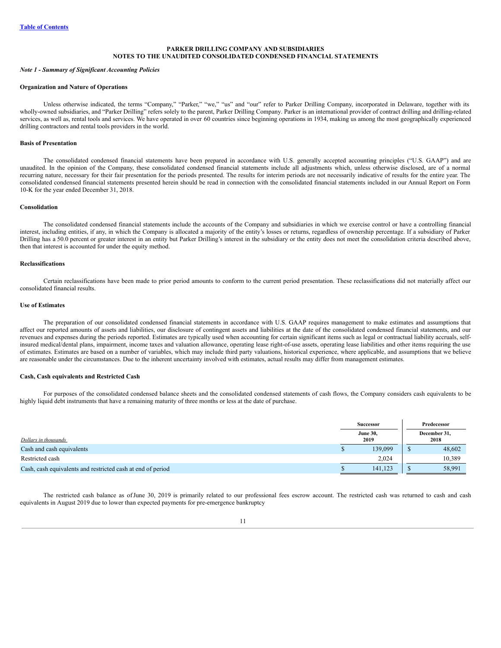# **PARKER DRILLING COMPANY AND SUBSIDIARIES NOTES TO THE UNAUDITED CONSOLIDATED CONDENSED FINANCIAL STATEMENTS**

#### *Note 1 - Summary of Significant Accounting Policies*

#### **Organization and Nature of Operations**

Unless otherwise indicated, the terms "Company," "Parker," "we," "us" and "our" refer to Parker Drilling Company, incorporated in Delaware, together with its wholly-owned subsidiaries, and "Parker Drilling" refers solely to the parent, Parker Drilling Company. Parker is an international provider of contract drilling and drilling-related services, as well as, rental tools and services. We have operated in over 60 countries since beginning operations in 1934, making us among the most geographically experienced drilling contractors and rental tools providers in the world.

#### **Basis of Presentation**

The consolidated condensed financial statements have been prepared in accordance with U.S. generally accepted accounting principles ("U.S. GAAP") and are unaudited. In the opinion of the Company, these consolidated condensed financial statements include all adjustments which, unless otherwise disclosed, are of a normal recurring nature, necessary for their fair presentation for the periods presented. The results for interim periods are not necessarily indicative of results for the entire year. The consolidated condensed financial statements presented herein should be read in connection with the consolidated financial statements included in our Annual Report on Form 10-K for the year ended December 31, 2018.

#### **Consolidation**

The consolidated condensed financial statements include the accounts of the Company and subsidiaries in which we exercise control or have a controlling financial interest, including entities, if any, in which the Company is allocated a majority of the entity's losses or returns, regardless of ownership percentage. If a subsidiary of Parker Drilling has a 50.0 percent or greater interest in an entity but Parker Drilling's interest in the subsidiary or the entity does not meet the consolidation criteria described above, then that interest is accounted for under the equity method.

#### **Reclassifications**

Certain reclassifications have been made to prior period amounts to conform to the current period presentation. These reclassifications did not materially affect our consolidated financial results.

# **Use of Estimates**

The preparation of our consolidated condensed financial statements in accordance with U.S. GAAP requires management to make estimates and assumptions that affect our reported amounts of assets and liabilities, our disclosure of contingent assets and liabilities at the date of the consolidated condensed financial statements, and our revenues and expenses during the periods reported. Estimates are typically used when accounting for certain significant items such as legal or contractual liability accruals, selfinsured medical/dental plans, impairment, income taxes and valuation allowance, operating lease right-of-use assets, operating lease liabilities and other items requiring the use of estimates. Estimates are based on a number of variables, which may include third party valuations, historical experience, where applicable, and assumptions that we believe are reasonable under the circumstances. Due to the inherent uncertainty involved with estimates, actual results may differ from management estimates.

### **Cash, Cash equivalents and Restricted Cash**

For purposes of the consolidated condensed balance sheets and the consolidated condensed statements of cash flows, the Company considers cash equivalents to be highly liquid debt instruments that have a remaining maturity of three months or less at the date of purchase.

|                                                             | <b>Successor</b> |                         | Predecessor |                      |  |
|-------------------------------------------------------------|------------------|-------------------------|-------------|----------------------|--|
| Dollars in thousands                                        |                  | <b>June 30,</b><br>2019 |             | December 31,<br>2018 |  |
| Cash and cash equivalents                                   |                  | 139,099                 |             | 48,602               |  |
| Restricted cash                                             |                  | 2,024                   |             | 10,389               |  |
| Cash, cash equivalents and restricted cash at end of period |                  | 141.123                 |             | 58,991               |  |

The restricted cash balance as ofJune 30, 2019 is primarily related to our professional fees escrow account. The restricted cash was returned to cash and cash equivalents in August 2019 due to lower than expected payments for pre-emergence bankruptcy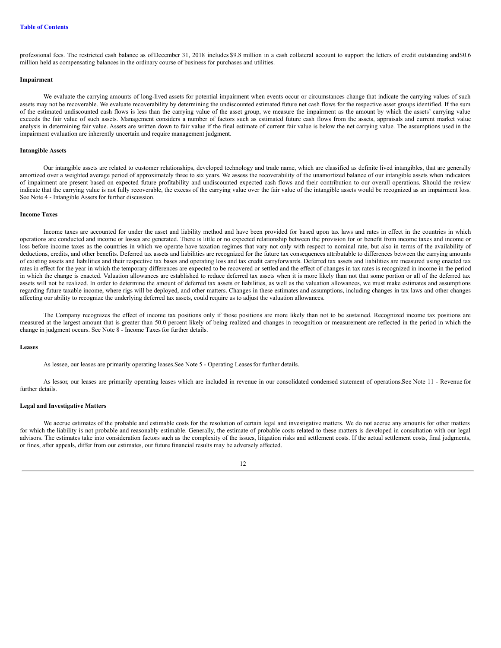professional fees. The restricted cash balance as ofDecember 31, 2018 includes \$9.8 million in a cash collateral account to support the letters of credit outstanding and\$0.6 million held as compensating balances in the ordinary course of business for purchases and utilities.

### **Impairment**

We evaluate the carrying amounts of long-lived assets for potential impairment when events occur or circumstances change that indicate the carrying values of such assets may not be recoverable. We evaluate recoverability by determining the undiscounted estimated future net cash flows for the respective asset groups identified. If the sum of the estimated undiscounted cash flows is less than the carrying value of the asset group, we measure the impairment as the amount by which the assets' carrying value exceeds the fair value of such assets. Management considers a number of factors such as estimated future cash flows from the assets, appraisals and current market value analysis in determining fair value. Assets are written down to fair value if the final estimate of current fair value is below the net carrying value. The assumptions used in the impairment evaluation are inherently uncertain and require management judgment.

#### **Intangible Assets**

Our intangible assets are related to customer relationships, developed technology and trade name, which are classified as definite lived intangibles, that are generally amortized over a weighted average period of approximately three to six years. We assess the recoverability of the unamortized balance of our intangible assets when indicators of impairment are present based on expected future profitability and undiscounted expected cash flows and their contribution to our overall operations. Should the review indicate that the carrying value is not fully recoverable, the excess of the carrying value over the fair value of the intangible assets would be recognized as an impairment loss. See Note 4 - Intangible Assets for further discussion.

### **Income Taxes**

Income taxes are accounted for under the asset and liability method and have been provided for based upon tax laws and rates in effect in the countries in which operations are conducted and income or losses are generated. There is little or no expected relationship between the provision for or benefit from income taxes and income or loss before income taxes as the countries in which we operate have taxation regimes that vary not only with respect to nominal rate, but also in terms of the availability of deductions, credits, and other benefits. Deferred tax assets and liabilities are recognized for the future tax consequences attributable to differences between the carrying amounts of existing assets and liabilities and their respective tax bases and operating loss and tax credit carryforwards. Deferred tax assets and liabilities are measured using enacted tax rates in effect for the year in which the temporary differences are expected to be recovered or settled and the effect of changes in tax rates is recognized in income in the period in which the change is enacted. Valuation allowances are established to reduce deferred tax assets when it is more likely than not that some portion or all of the deferred tax assets will not be realized. In order to determine the amount of deferred tax assets or liabilities, as well as the valuation allowances, we must make estimates and assumptions regarding future taxable income, where rigs will be deployed, and other matters. Changes in these estimates and assumptions, including changes in tax laws and other changes affecting our ability to recognize the underlying deferred tax assets, could require us to adjust the valuation allowances.

The Company recognizes the effect of income tax positions only if those positions are more likely than not to be sustained. Recognized income tax positions are measured at the largest amount that is greater than 50.0 percent likely of being realized and changes in recognition or measurement are reflected in the period in which the change in judgment occurs. See Note 8 - Income Taxesfor further details.

#### **Leases**

As lessee, our leases are primarily operating leases.See Note 5 - Operating Leasesfor further details.

As lessor, our leases are primarily operating leases which are included in revenue in our consolidated condensed statement of operations.See Note 11 - Revenue for further details.

### **Legal and Investigative Matters**

We accrue estimates of the probable and estimable costs for the resolution of certain legal and investigative matters. We do not accrue any amounts for other matters for which the liability is not probable and reasonably estimable. Generally, the estimate of probable costs related to these matters is developed in consultation with our legal advisors. The estimates take into consideration factors such as the complexity of the issues, litigation risks and settlement costs. If the actual settlement costs, final judgments, or fines, after appeals, differ from our estimates, our future financial results may be adversely affected.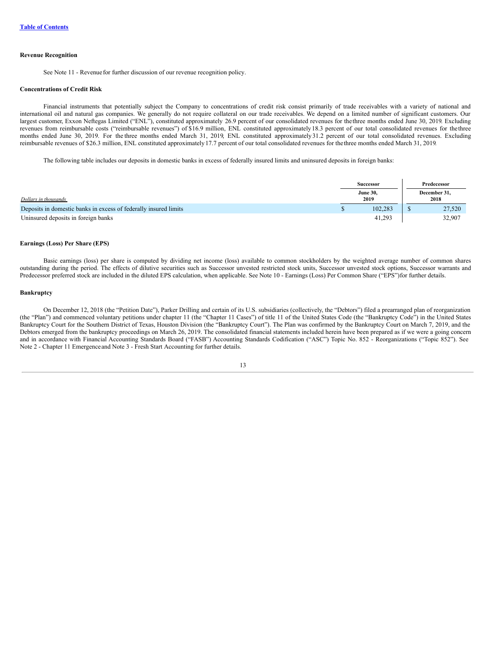#### **Revenue Recognition**

See Note 11 - Revenue for further discussion of our revenue recognition policy.

# **Concentrations of Credit Risk**

Financial instruments that potentially subject the Company to concentrations of credit risk consist primarily of trade receivables with a variety of national and international oil and natural gas companies. We generally do not require collateral on our trade receivables. We depend on a limited number of significant customers. Our largest customer, Exxon Neftegas Limited ("ENL"), constituted approximately 26.9 percent of our consolidated revenues for the three months ended June 30, 2019. Excluding revenues from reimbursable costs ("reimbursable revenues") of \$16.9 million, ENL constituted approximately 18.3 percent of our total consolidated revenues for thethree months ended June 30, 2019. For the three months ended March 31, 2019, ENL constituted approximately 31.2 percent of our total consolidated revenues. Excluding reimbursable revenues of \$26.3 million, ENL constituted approximately 17.7 percent of our total consolidated revenues for thethree months ended March 31, 2019.

The following table includes our deposits in domestic banks in excess of federally insured limits and uninsured deposits in foreign banks:

|                                                                  |  | <b>Successor</b>        | Predecessor          |
|------------------------------------------------------------------|--|-------------------------|----------------------|
| Dollars in thousands                                             |  | <b>June 30,</b><br>2019 | December 31,<br>2018 |
| Deposits in domestic banks in excess of federally insured limits |  | 102.283                 | 27,520               |
| Uninsured deposits in foreign banks                              |  | 41.293                  | 32.907               |

#### **Earnings (Loss) Per Share (EPS)**

Basic earnings (loss) per share is computed by dividing net income (loss) available to common stockholders by the weighted average number of common shares outstanding during the period. The effects of dilutive securities such as Successor unvested restricted stock units, Successor unvested stock options, Successor warrants and Predecessor preferred stock are included in the diluted EPS calculation, when applicable. See Note 10 - Earnings (Loss) Per Common Share ("EPS")for further details.

# **Bankruptcy**

On December 12, 2018 (the "Petition Date"), Parker Drilling and certain of its U.S. subsidiaries (collectively, the "Debtors") filed a prearranged plan of reorganization (the "Plan") and commenced voluntary petitions under chapter 11 (the "Chapter 11 Cases") of title 11 of the United States Code (the "Bankruptcy Code") in the United States Bankruptcy Court for the Southern District of Texas, Houston Division (the "Bankruptcy Court"). The Plan was confirmed by the Bankruptcy Court on March 7, 2019, and the Debtors emerged from the bankruptcy proceedings on March 26, 2019. The consolidated financial statements included herein have been prepared as if we were a going concern and in accordance with Financial Accounting Standards Board ("FASB") Accounting Standards Codification ("ASC") Topic No. 852 - Reorganizations ("Topic 852"). See Note 2 - Chapter 11 Emergenceand Note 3 - Fresh Start Accounting for further details.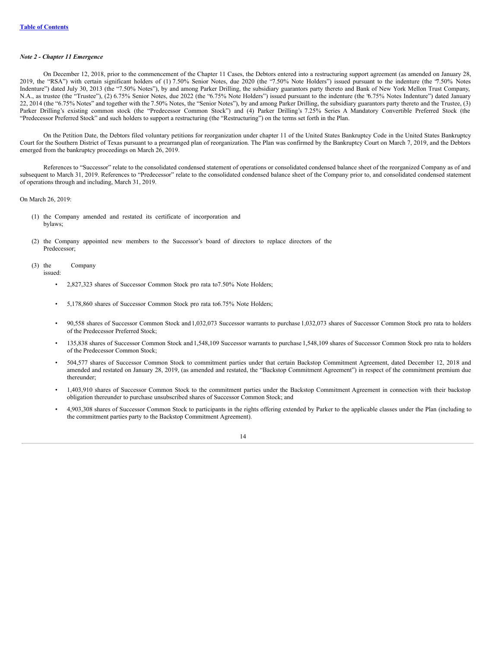#### *Note 2 - Chapter 11 Emergence*

On December 12, 2018, prior to the commencement of the Chapter 11 Cases, the Debtors entered into a restructuring support agreement (as amended on January 28, 2019, the "RSA") with certain significant holders of (1) 7.50% Senior Notes, due 2020 (the "7.50% Note Holders") issued pursuant to the indenture (the "7.50% Notes Indenture") dated July 30, 2013 (the "7.50% Notes"), by and among Parker Drilling, the subsidiary guarantors party thereto and Bank of New York Mellon Trust Company, N.A., as trustee (the "Trustee"), (2) 6.75% Senior Notes, due 2022 (the "6.75% Note Holders") issued pursuant to the indenture (the "6.75% Notes Indenture") dated January 22, 2014 (the "6.75% Notes" and together with the 7.50% Notes, the "Senior Notes"), by and among Parker Drilling, the subsidiary guarantors party thereto and the Trustee, (3) Parker Drilling's existing common stock (the "Predecessor Common Stock") and (4) Parker Drilling's 7.25% Series A Mandatory Convertible Preferred Stock (the "Predecessor Preferred Stock" and such holders to support a restructuring (the "Restructuring") on the terms set forth in the Plan.

On the Petition Date, the Debtors filed voluntary petitions for reorganization under chapter 11 of the United States Bankruptcy Code in the United States Bankruptcy Court for the Southern District of Texas pursuant to a prearranged plan of reorganization. The Plan was confirmed by the Bankruptcy Court on March 7, 2019, and the Debtors emerged from the bankruptcy proceedings on March 26, 2019.

References to "Successor" relate to the consolidated condensed statement of operations or consolidated condensed balance sheet of the reorganized Company as of and subsequent to March 31, 2019. References to "Predecessor" relate to the consolidated condensed balance sheet of the Company prior to, and consolidated condensed statement of operations through and including, March 31, 2019.

On March 26, 2019:

- (1) the Company amended and restated its certificate of incorporation and bylaws;
- (2) the Company appointed new members to the Successor's board of directors to replace directors of the Predecessor;
- (3) the Company

issued:

- 2,827,323 shares of Successor Common Stock pro rata to7.50% Note Holders;
- 5,178,860 shares of Successor Common Stock pro rata to6.75% Note Holders;
- 90,558 shares of Successor Common Stock and1,032,073 Successor warrants to purchase 1,032,073 shares of Successor Common Stock pro rata to holders of the Predecessor Preferred Stock;
- 135,838 shares of Successor Common Stock and1,548,109 Successor warrants to purchase 1,548,109 shares of Successor Common Stock pro rata to holders of the Predecessor Common Stock;
- 504,577 shares of Successor Common Stock to commitment parties under that certain Backstop Commitment Agreement, dated December 12, 2018 and amended and restated on January 28, 2019, (as amended and restated, the "Backstop Commitment Agreement") in respect of the commitment premium due thereunder;
- 1,403,910 shares of Successor Common Stock to the commitment parties under the Backstop Commitment Agreement in connection with their backstop obligation thereunder to purchase unsubscribed shares of Successor Common Stock; and
- 4,903,308 shares of Successor Common Stock to participants in the rights offering extended by Parker to the applicable classes under the Plan (including to the commitment parties party to the Backstop Commitment Agreement).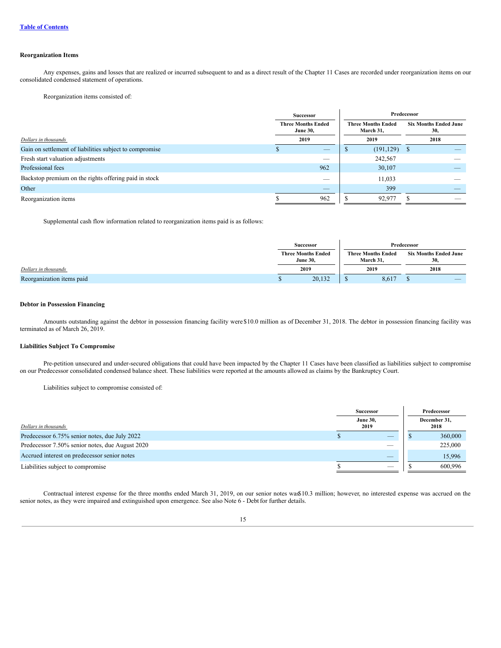# **Reorganization Items**

Any expenses, gains and losses that are realized or incurred subsequent to and as a direct result of the Chapter 11 Cases are recorded under reorganization items on our consolidated condensed statement of operations.

Reorganization items consisted of:

|                                                         | <b>Successor</b>                             |                                        | Predecessor |                                     |  |  |
|---------------------------------------------------------|----------------------------------------------|----------------------------------------|-------------|-------------------------------------|--|--|
|                                                         | <b>Three Months Ended</b><br><b>June 30,</b> | <b>Three Months Ended</b><br>March 31, |             | <b>Six Months Ended June</b><br>30, |  |  |
| Dollars in thousands                                    | 2019                                         | 2019                                   |             | 2018                                |  |  |
| Gain on settlement of liabilities subject to compromise | _                                            | $(191, 129)$ \$                        |             |                                     |  |  |
| Fresh start valuation adjustments                       |                                              | 242,567                                |             |                                     |  |  |
| Professional fees                                       | 962                                          | 30,107                                 |             |                                     |  |  |
| Backstop premium on the rights offering paid in stock   |                                              | 11,033                                 |             |                                     |  |  |
| Other                                                   | $-$                                          | 399                                    |             |                                     |  |  |
| Reorganization items                                    | 962                                          | 92,977                                 |             |                                     |  |  |

Supplemental cash flow information related to reorganization items paid is as follows:

|                           | <b>Successor</b>                             |      |                                        | Predecessor |                                     |
|---------------------------|----------------------------------------------|------|----------------------------------------|-------------|-------------------------------------|
|                           | <b>Three Months Ended</b><br><b>June 30.</b> |      | <b>Three Months Ended</b><br>March 31. |             | <b>Six Months Ended June</b><br>30. |
| Dollars in thousands      | 2019                                         | 2019 |                                        | 2018        |                                     |
| Reorganization items paid | 20,132                                       |      | 8,617                                  |             | _                                   |

# **Debtor in Possession Financing**

Amounts outstanding against the debtor in possession financing facility were \$10.0 million as of December 31, 2018. The debtor in possession financing facility was terminated as of March 26, 2019.

# **Liabilities Subject To Compromise**

Pre-petition unsecured and under-secured obligations that could have been impacted by the Chapter 11 Cases have been classified as liabilities subject to compromise on our Predecessor consolidated condensed balance sheet. These liabilities were reported at the amounts allowed as claims by the Bankruptcy Court.

Liabilities subject to compromise consisted of:

|                                                 | <b>Successor</b>        |                          | Predecessor          |         |  |
|-------------------------------------------------|-------------------------|--------------------------|----------------------|---------|--|
| Dollars in thousands                            | <b>June 30,</b><br>2019 |                          | December 31,<br>2018 |         |  |
| Predecessor 6.75% senior notes, due July 2022   |                         |                          |                      | 360,000 |  |
| Predecessor 7.50% senior notes, due August 2020 |                         | $\overline{\phantom{a}}$ |                      | 225,000 |  |
| Accrued interest on predecessor senior notes    |                         | _                        |                      | 15,996  |  |
| Liabilities subject to compromise               |                         | $\qquad \qquad$          |                      | 600.996 |  |

Contractual interest expense for the three months ended March 31, 2019, on our senior notes was\$10.3 million; however, no interested expense was accrued on the senior notes, as they were impaired and extinguished upon emergence. See also Note 6 - Debt for further details.

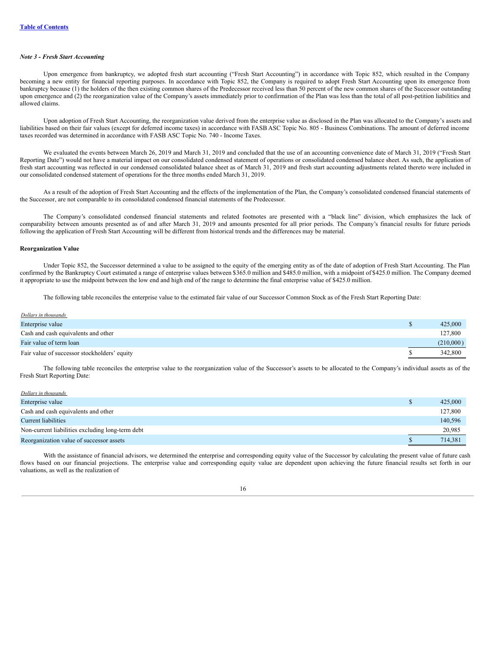# *Note 3 - Fresh Start Accounting*

Upon emergence from bankruptcy, we adopted fresh start accounting ("Fresh Start Accounting") in accordance with Topic 852, which resulted in the Company becoming a new entity for financial reporting purposes. In accordance with Topic 852, the Company is required to adopt Fresh Start Accounting upon its emergence from bankruptcy because (1) the holders of the then existing common shares of the Predecessor received less than 50 percent of the new common shares of the Successor outstanding upon emergence and (2) the reorganization value of the Company's assets immediately prior to confirmation of the Plan was less than the total of all post-petition liabilities and allowed claims.

Upon adoption of Fresh Start Accounting, the reorganization value derived from the enterprise value as disclosed in the Plan was allocated to the Company's assets and liabilities based on their fair values (except for deferred income taxes) in accordance with FASB ASC Topic No. 805 - Business Combinations. The amount of deferred income taxes recorded was determined in accordance with FASB ASC Topic No. 740 - Income Taxes.

We evaluated the events between March 26, 2019 and March 31, 2019 and concluded that the use of an accounting convenience date of March 31, 2019 ("Fresh Start Reporting Date") would not have a material impact on our consolidated condensed statement of operations or consolidated condensed balance sheet. As such, the application of fresh start accounting was reflected in our condensed consolidated balance sheet as of March 31, 2019 and fresh start accounting adjustments related thereto were included in our consolidated condensed statement of operations for the three months ended March 31, 2019.

As a result of the adoption of Fresh Start Accounting and the effects of the implementation of the Plan, the Company's consolidated condensed financial statements of the Successor, are not comparable to its consolidated condensed financial statements of the Predecessor.

The Company's consolidated condensed financial statements and related footnotes are presented with a "black line" division, which emphasizes the lack of comparability between amounts presented as of and after March 31, 2019 and amounts presented for all prior periods. The Company's financial results for future periods following the application of Fresh Start Accounting will be different from historical trends and the differences may be material.

### **Reorganization Value**

Under Topic 852, the Successor determined a value to be assigned to the equity of the emerging entity as of the date of adoption of Fresh Start Accounting. The Plan confirmed by the Bankruptcy Court estimated a range of enterprise values between \$365.0 million and \$485.0 million, with a midpoint of \$425.0 million. The Company deemed it appropriate to use the midpoint between the low end and high end of the range to determine the final enterprise value of \$425.0 million.

The following table reconciles the enterprise value to the estimated fair value of our Successor Common Stock as of the Fresh Start Reporting Date:

| Dollars in thousands                         |           |
|----------------------------------------------|-----------|
| Enterprise value                             | 425,000   |
| Cash and cash equivalents and other          | 127,800   |
| Fair value of term loan                      | (210,000) |
| Fair value of successor stockholders' equity | 342,800   |

The following table reconciles the enterprise value to the reorganization value of the Successor's assets to be allocated to the Company's individual assets as of the Fresh Start Reporting Date:

| D | 425,000 |
|---|---------|
|   | 127,800 |
|   | 140,596 |
|   | 20,985  |
|   | 714,381 |
|   |         |

With the assistance of financial advisors, we determined the enterprise and corresponding equity value of the Successor by calculating the present value of future cash flows based on our financial projections. The enterprise value and corresponding equity value are dependent upon achieving the future financial results set forth in our valuations, as well as the realization of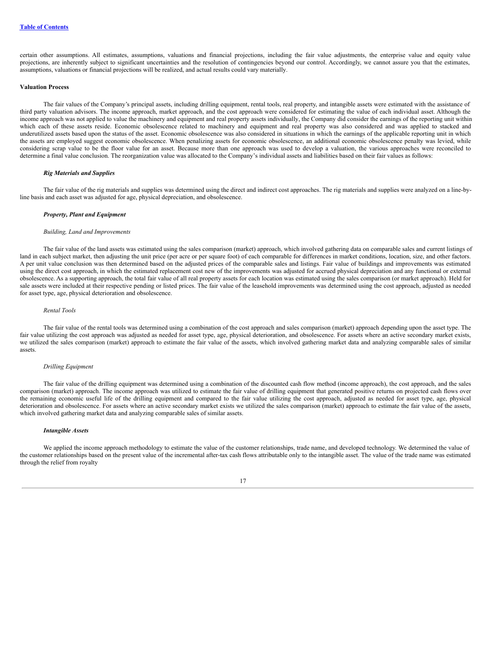certain other assumptions. All estimates, assumptions, valuations and financial projections, including the fair value adjustments, the enterprise value and equity value projections, are inherently subject to significant uncertainties and the resolution of contingencies beyond our control. Accordingly, we cannot assure you that the estimates, assumptions, valuations or financial projections will be realized, and actual results could vary materially.

#### **Valuation Process**

The fair values of the Company's principal assets, including drilling equipment, rental tools, real property, and intangible assets were estimated with the assistance of third party valuation advisors. The income approach, market approach, and the cost approach were considered for estimating the value of each individual asset. Although the income approach was not applied to value the machinery and equipment and real property assets individually, the Company did consider the earnings of the reporting unit within which each of these assets reside. Economic obsolescence related to machinery and equipment and real property was also considered and was applied to stacked and underutilized assets based upon the status of the asset. Economic obsolescence was also considered in situations in which the earnings of the applicable reporting unit in which the assets are employed suggest economic obsolescence. When penalizing assets for economic obsolescence, an additional economic obsolescence penalty was levied, while considering scrap value to be the floor value for an asset. Because more than one approach was used to develop a valuation, the various approaches were reconciled to determine a final value conclusion. The reorganization value was allocated to the Company's individual assets and liabilities based on their fair values as follows:

#### *Rig Materials and Supplies*

The fair value of the rig materials and supplies was determined using the direct and indirect cost approaches. The rig materials and supplies were analyzed on a line-byline basis and each asset was adjusted for age, physical depreciation, and obsolescence.

### *Property, Plant and Equipment*

#### *Building, Land and Improvements*

The fair value of the land assets was estimated using the sales comparison (market) approach, which involved gathering data on comparable sales and current listings of land in each subject market, then adjusting the unit price (per acre or per square foot) of each comparable for differences in market conditions, location, size, and other factors. A per unit value conclusion was then determined based on the adjusted prices of the comparable sales and listings. Fair value of buildings and improvements was estimated using the direct cost approach, in which the estimated replacement cost new of the improvements was adjusted for accrued physical depreciation and any functional or external obsolescence. As a supporting approach, the total fair value of all real property assets for each location was estimated using the sales comparison (or market approach). Held for sale assets were included at their respective pending or listed prices. The fair value of the leasehold improvements was determined using the cost approach, adjusted as needed for asset type, age, physical deterioration and obsolescence.

#### *Rental Tools*

The fair value of the rental tools was determined using a combination of the cost approach and sales comparison (market) approach depending upon the asset type. The fair value utilizing the cost approach was adjusted as needed for asset type, age, physical deterioration, and obsolescence. For assets where an active secondary market exists, we utilized the sales comparison (market) approach to estimate the fair value of the assets, which involved gathering market data and analyzing comparable sales of similar assets.

#### *Drilling Equipment*

The fair value of the drilling equipment was determined using a combination of the discounted cash flow method (income approach), the cost approach, and the sales comparison (market) approach. The income approach was utilized to estimate the fair value of drilling equipment that generated positive returns on projected cash flows over the remaining economic useful life of the drilling equipment and compared to the fair value utilizing the cost approach, adjusted as needed for asset type, age, physical deterioration and obsolescence. For assets where an active secondary market exists we utilized the sales comparison (market) approach to estimate the fair value of the assets, which involved gathering market data and analyzing comparable sales of similar assets.

# *Intangible Assets*

We applied the income approach methodology to estimate the value of the customer relationships, trade name, and developed technology. We determined the value of the customer relationships based on the present value of the incremental after-tax cash flows attributable only to the intangible asset. The value of the trade name was estimated through the relief from royalty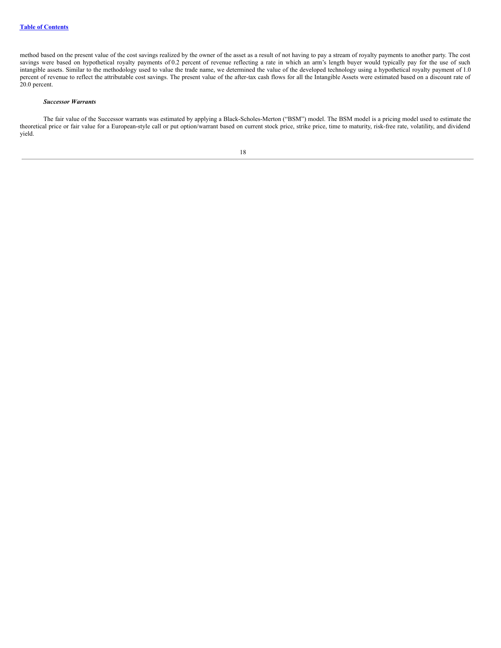method based on the present value of the cost savings realized by the owner of the asset as a result of not having to pay a stream of royalty payments to another party. The cost savings were based on hypothetical royalty payments of 0.2 percent of revenue reflecting a rate in which an arm's length buyer would typically pay for the use of such intangible assets. Similar to the methodology used to value the trade name, we determined the value of the developed technology using a hypothetical royalty payment of 1.0 percent of revenue to reflect the attributable cost savings. The present value of the after-tax cash flows for all the Intangible Assets were estimated based on a discount rate of 20.0 percent.

#### *Successor Warrants*

The fair value of the Successor warrants was estimated by applying a Black-Scholes-Merton ("BSM") model. The BSM model is a pricing model used to estimate the theoretical price or fair value for a European-style call or put option/warrant based on current stock price, strike price, time to maturity, risk-free rate, volatility, and dividend yield.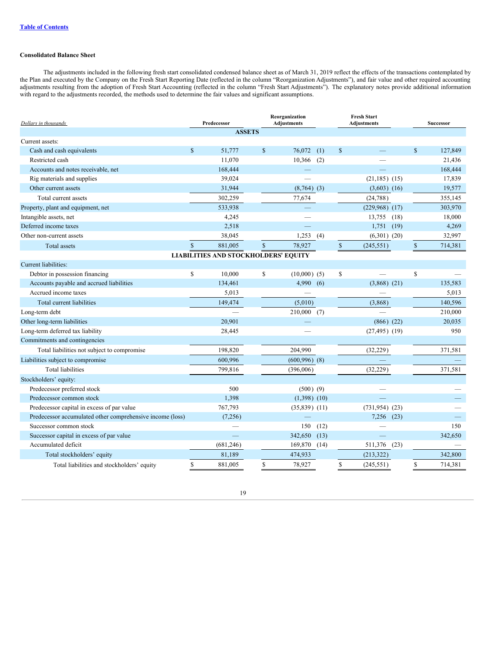# **Consolidated Balance Sheet**

The adjustments included in the following fresh start consolidated condensed balance sheet as of March 31, 2019 reflect the effects of the transactions contemplated by the Plan and executed by the Company on the Fresh Start Reporting Date (reflected in the column "Reorganization Adjustments"), and fair value and other required accounting adjustments resulting from the adoption of Fresh Start Accounting (reflected in the column "Fresh Start Adjustments"). The explanatory notes provide additional information with regard to the adjustments recorded, the methods used to determine the fair values and significant assumptions.

| Dollars in thousands                                      |              | Predecessor                                 |                    | Reorganization<br><b>Adjustments</b> | <b>Fresh Start</b><br><b>Adjustments</b> |                     | Successor    |         |
|-----------------------------------------------------------|--------------|---------------------------------------------|--------------------|--------------------------------------|------------------------------------------|---------------------|--------------|---------|
|                                                           |              | <b>ASSETS</b>                               |                    |                                      |                                          |                     |              |         |
| Current assets:                                           |              |                                             |                    |                                      |                                          |                     |              |         |
| Cash and cash equivalents                                 | $\mathbb{S}$ | 51,777                                      | $\mathbb{S}$       | 76,072<br>(1)                        | <sup>\$</sup>                            |                     | \$           | 127,849 |
| Restricted cash                                           |              | 11,070                                      |                    | 10,366<br>(2)                        |                                          |                     |              | 21,436  |
| Accounts and notes receivable, net                        |              | 168,444                                     |                    |                                      |                                          |                     |              | 168,444 |
| Rig materials and supplies                                |              | 39,024                                      |                    |                                      |                                          | $(21,185)$ $(15)$   |              | 17,839  |
| Other current assets                                      |              | 31,944                                      |                    | $(8,764)$ (3)                        |                                          | $(3,603)$ $(16)$    |              | 19,577  |
| Total current assets                                      |              | 302,259                                     |                    | 77,674                               |                                          | (24, 788)           |              | 355,145 |
| Property, plant and equipment, net                        |              | 533,938                                     |                    |                                      |                                          | $(229,968)$ $(17)$  |              | 303,970 |
| Intangible assets, net                                    |              | 4,245                                       |                    |                                      |                                          | 13,755<br>(18)      |              | 18,000  |
| Deferred income taxes                                     |              | 2,518                                       |                    |                                      |                                          | 1,751<br>(19)       |              | 4,269   |
| Other non-current assets                                  |              | 38,045                                      |                    | 1,253<br>(4)                         |                                          | $(6,301)$ $(20)$    |              | 32,997  |
| Total assets                                              | $\mathbf{s}$ | 881.005                                     | $\mathbf{\hat{s}}$ | 78,927                               | $\mathbb{S}$                             | (245, 551)          | $\mathbb{S}$ | 714,381 |
|                                                           |              | <b>LIABILITIES AND STOCKHOLDERS' EQUITY</b> |                    |                                      |                                          |                     |              |         |
| Current liabilities:                                      |              |                                             |                    |                                      |                                          |                     |              |         |
| Debtor in possession financing                            | \$           | 10,000                                      | \$                 | $(10,000)$ (5)                       | \$                                       |                     | \$           |         |
| Accounts payable and accrued liabilities                  |              | 134,461                                     |                    | 4,990<br>(6)                         |                                          | $(3,868)$ $(21)$    |              | 135,583 |
| Accrued income taxes                                      |              | 5,013                                       |                    |                                      |                                          |                     |              | 5,013   |
| Total current liabilities                                 |              | 149,474                                     |                    | (5,010)                              |                                          | (3,868)             |              | 140,596 |
| Long-term debt                                            |              |                                             |                    | $210,000$ (7)                        |                                          |                     |              | 210,000 |
| Other long-term liabilities                               |              | 20,901                                      |                    |                                      |                                          | $(866)$ $(22)$      |              | 20.035  |
| Long-term deferred tax liability                          |              | 28,445                                      |                    |                                      |                                          | $(27, 495)$ (19)    |              | 950     |
| Commitments and contingencies                             |              |                                             |                    |                                      |                                          |                     |              |         |
| Total liabilities not subject to compromise               |              | 198,820                                     |                    | 204,990                              |                                          | (32, 229)           |              | 371,581 |
| Liabilities subject to compromise                         |              | 600,996                                     |                    | $(600,996)$ $(8)$                    |                                          |                     |              |         |
| <b>Total liabilities</b>                                  |              | 799,816                                     |                    | (396,006)                            |                                          | (32, 229)           |              | 371,581 |
| Stockholders' equity:                                     |              |                                             |                    |                                      |                                          |                     |              |         |
| Predecessor preferred stock                               |              | 500                                         |                    | $(500)$ $(9)$                        |                                          |                     |              |         |
| Predecessor common stock                                  |              | 1,398                                       |                    | $(1,398)$ $(10)$                     |                                          |                     |              |         |
| Predecessor capital in excess of par value                |              | 767,793                                     |                    | $(35,839)$ $(11)$                    |                                          | $(731, 954)$ $(23)$ |              |         |
| Predecessor accumulated other comprehensive income (loss) |              | (7,256)                                     |                    |                                      |                                          | 7.256<br>(23)       |              |         |
| Successor common stock                                    |              |                                             |                    | (12)<br>150                          |                                          |                     |              | 150     |
| Successor capital in excess of par value                  |              |                                             |                    | 342,650<br>(13)                      |                                          |                     |              | 342,650 |
| Accumulated deficit                                       |              | (681, 246)                                  |                    | 169,870 (14)                         |                                          | 511,376<br>(23)     |              |         |
| Total stockholders' equity                                |              | 81,189                                      |                    | 474,933                              |                                          | (213, 322)          |              | 342,800 |
| Total liabilities and stockholders' equity                | \$           | 881,005                                     | \$                 | 78,927                               | \$                                       | (245, 551)          | \$           | 714,381 |

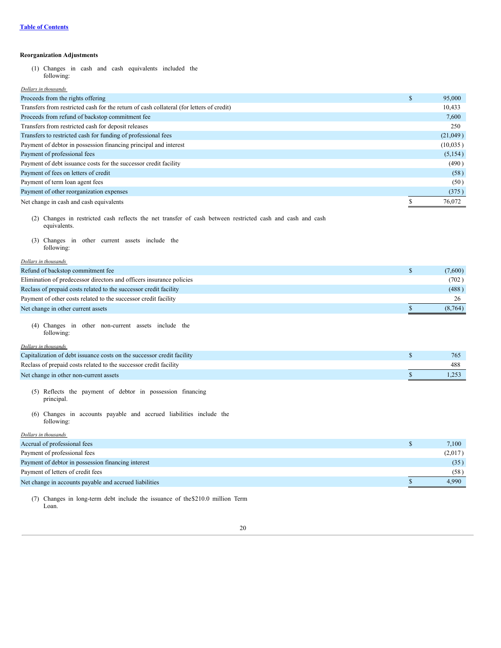# **Reorganization Adjustments**

(1) Changes in cash and cash equivalents included the following:

# *Dollars in thousands*

| Proceeds from the rights offering                                                        | \$<br>95,000 |
|------------------------------------------------------------------------------------------|--------------|
| Transfers from restricted cash for the return of cash collateral (for letters of credit) | 10,433       |
| Proceeds from refund of backstop commitment fee                                          | 7,600        |
| Transfers from restricted cash for deposit releases                                      | 250          |
| Transfers to restricted cash for funding of professional fees                            | (21,049)     |
| Payment of debtor in possession financing principal and interest                         | (10,035)     |
| Payment of professional fees                                                             | (5, 154)     |
| Payment of debt issuance costs for the successor credit facility                         | (490)        |
| Payment of fees on letters of credit                                                     | (58)         |
| Payment of term loan agent fees                                                          | (50)         |
| Payment of other reorganization expenses                                                 | (375)        |
| Net change in cash and cash equivalents                                                  | 76.072       |

- (2) Changes in restricted cash reflects the net transfer of cash between restricted cash and cash and cash equivalents.
- (3) Changes in other current assets include the following:

# *Dollars in thousands* Refund of backstop commitment fee  $$ (7,600)$ Elimination of predecessor directors and officers insurance policies (702 ) Reclass of prepaid costs related to the successor credit facility (488) Payment of other costs related to the successor credit facility 26 Net change in other current assets  $\frac{1}{2}$  (8,764)

(4) Changes in other non-current assets include the following:

### *Dollars in thousands*

| Capitalization of debt issuance costs on the successor credit facility | 765 |
|------------------------------------------------------------------------|-----|
| Reclass of prepaid costs related to the successor credit facility      | 488 |
| Net change in other non-current assets                                 |     |

- (5) Reflects the payment of debtor in possession financing principal.
- (6) Changes in accounts payable and accrued liabilities include the following:

*Dollars in thousands*

| Accrual of professional fees                           | 7,100   |
|--------------------------------------------------------|---------|
| Payment of professional fees                           | (2,017) |
| Payment of debtor in possession financing interest     | (35)    |
| Payment of letters of credit fees                      | (58)    |
| Net change in accounts payable and accrued liabilities | 4.990   |

(7) Changes in long-term debt include the issuance of the\$210.0 million Term Loan.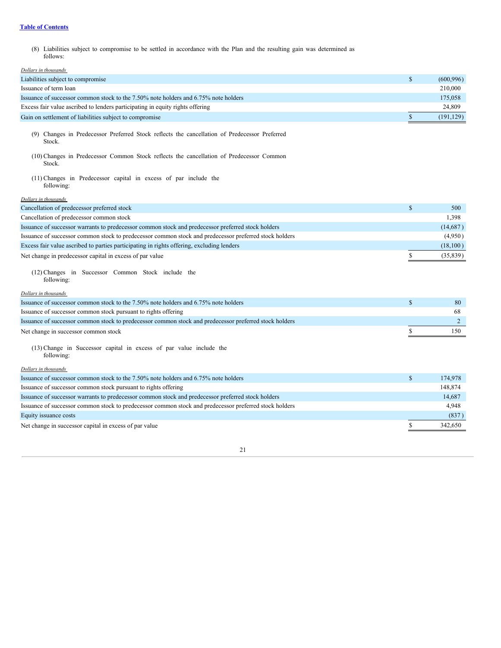(8) Liabilities subject to compromise to be settled in accordance with the Plan and the resulting gain was determined as follows:

| Dollars in thousands                                                                                    |              |            |
|---------------------------------------------------------------------------------------------------------|--------------|------------|
| Liabilities subject to compromise                                                                       | \$           | (600, 996) |
| Issuance of term loan                                                                                   |              | 210,000    |
| Issuance of successor common stock to the 7.50% note holders and 6.75% note holders                     |              | 175,058    |
| Excess fair value ascribed to lenders participating in equity rights offering                           |              | 24,809     |
| Gain on settlement of liabilities subject to compromise                                                 | \$           | (191, 129) |
| (9) Changes in Predecessor Preferred Stock reflects the cancellation of Predecessor Preferred<br>Stock. |              |            |
| (10) Changes in Predecessor Common Stock reflects the cancellation of Predecessor Common<br>Stock.      |              |            |
| (11) Changes in Predecessor capital in excess of par include the<br>following:                          |              |            |
| Dollars in thousands                                                                                    |              |            |
| Cancellation of predecessor preferred stock                                                             | \$           | 500        |
| Cancellation of predecessor common stock                                                                |              | 1,398      |
| Issuance of successor warrants to predecessor common stock and predecessor preferred stock holders      |              | (14,687)   |
| Issuance of successor common stock to predecessor common stock and predecessor preferred stock holders  |              | (4,950)    |
| Excess fair value ascribed to parties participating in rights offering, excluding lenders               |              | (18, 100)  |
| Net change in predecessor capital in excess of par value                                                | \$           | (35, 839)  |
| (12) Changes in Successor Common Stock include the<br>following:                                        |              |            |
| Dollars in thousands                                                                                    |              |            |
| Issuance of successor common stock to the 7.50% note holders and 6.75% note holders                     | $\mathbb{S}$ | 80         |
| Issuance of successor common stock pursuant to rights offering                                          |              | 68         |
| Issuance of successor common stock to predecessor common stock and predecessor preferred stock holders  |              | 2          |
| Net change in successor common stock                                                                    | \$           | 150        |
| (13) Change in Successor capital in excess of par value include the<br>following:                       |              |            |
| Dollars in thousands                                                                                    |              |            |
| Issuance of successor common stock to the 7.50% note holders and 6.75% note holders                     | \$           | 174,978    |
| Issuance of successor common stock pursuant to rights offering                                          |              |            |
| Issuance of successor warrants to predecessor common stock and predecessor preferred stock holders      |              | 148,874    |
|                                                                                                         |              | 14,687     |
| Issuance of successor common stock to predecessor common stock and predecessor preferred stock holders  |              | 4,948      |
| Equity issuance costs                                                                                   |              | (837)      |
| Net change in successor capital in excess of par value                                                  | \$           | 342,650    |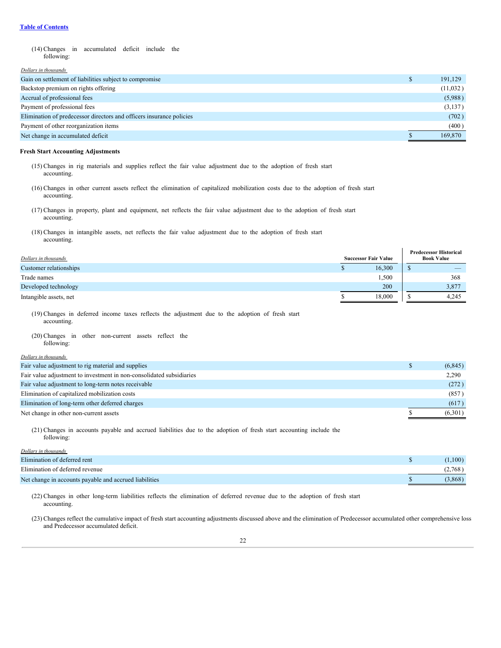(14) Changes in accumulated deficit include the following:

#### *Dollars in thousands*

| Gain on settlement of liabilities subject to compromise              | 191,129  |
|----------------------------------------------------------------------|----------|
| Backstop premium on rights offering                                  | (11,032) |
| Accrual of professional fees                                         | (5,988)  |
| Payment of professional fees                                         | (3,137)  |
| Elimination of predecessor directors and officers insurance policies | (702)    |
| Payment of other reorganization items                                | (400)    |
| Net change in accumulated deficit                                    | 169,870  |

#### **Fresh Start Accounting Adjustments**

- (15) Changes in rig materials and supplies reflect the fair value adjustment due to the adoption of fresh start accounting.
- (16) Changes in other current assets reflect the elimination of capitalized mobilization costs due to the adoption of fresh start accounting.
- (17) Changes in property, plant and equipment, net reflects the fair value adjustment due to the adoption of fresh start accounting.
- (18) Changes in intangible assets, net reflects the fair value adjustment due to the adoption of fresh start accounting.

| Dollars in thousands   |   | <b>Successor Fair Value</b> | <b>Predecessor Historical</b><br><b>Book Value</b> |                          |  |
|------------------------|---|-----------------------------|----------------------------------------------------|--------------------------|--|
| Customer relationships | Ф | 16,300                      |                                                    | $\overline{\phantom{a}}$ |  |
| Trade names            |   | .500                        |                                                    | 368                      |  |
| Developed technology   |   | 200                         |                                                    | 3,877                    |  |
| Intangible assets, net |   | 18,000                      |                                                    | 4.245                    |  |

(19) Changes in deferred income taxes reflects the adjustment due to the adoption of fresh start accounting.

- (20) Changes in other non-current assets reflect the following:
- 

| Dollars in thousands                                                 |          |
|----------------------------------------------------------------------|----------|
| Fair value adjustment to rig material and supplies                   | (6, 845) |
| Fair value adjustment to investment in non-consolidated subsidiaries | 2,290    |
| Fair value adjustment to long-term notes receivable                  | (272)    |
| Elimination of capitalized mobilization costs                        | (857)    |
| Elimination of long-term other deferred charges                      | (617)    |
| Net change in other non-current assets                               | (6,301)  |

(21) Changes in accounts payable and accrued liabilities due to the adoption of fresh start accounting include the following:

#### *Dollars in thousands*

| Elimination of deferred rent                           | (1,100) |
|--------------------------------------------------------|---------|
| Elimination of deferred revenue                        | (2,768) |
| Net change in accounts payable and accrued liabilities | (3.868) |

(22) Changes in other long-term liabilities reflects the elimination of deferred revenue due to the adoption of fresh start accounting.

(23) Changes reflect the cumulative impact of fresh start accounting adjustments discussed above and the elimination of Predecessor accumulated other comprehensive loss and Predecessor accumulated deficit.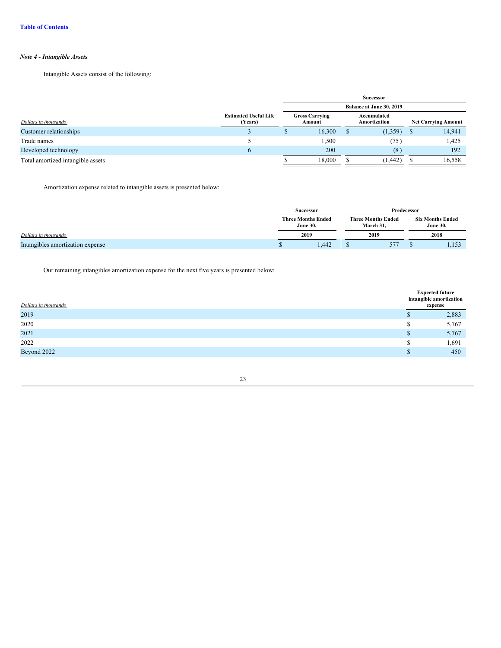# *Note 4 - Intangible Assets*

Intangible Assets consist of the following:

|                                   |                                         |                          | Successor                       |  |                             |   |                            |
|-----------------------------------|-----------------------------------------|--------------------------|---------------------------------|--|-----------------------------|---|----------------------------|
|                                   |                                         | Balance at June 30, 2019 |                                 |  |                             |   |                            |
| Dollars in thousands              | <b>Estimated Useful Life</b><br>(Years) |                          | <b>Gross Carrying</b><br>Amount |  | Accumulated<br>Amortization |   | <b>Net Carrying Amount</b> |
| Customer relationships            |                                         |                          | 16,300                          |  | (1, 359)                    | S | 14,941                     |
| Trade names                       |                                         |                          | 1,500                           |  | (75)                        |   | 1,425                      |
| Developed technology              | $\mathbf b$                             |                          | 200                             |  | (8)                         |   | 192                        |
| Total amortized intangible assets |                                         |                          | 18,000                          |  | (1, 442)                    |   | 16,558                     |

Amortization expense related to intangible assets is presented below:

|                                  |           | <b>Successor</b>                                          |  | Predecessor               |                                            |       |
|----------------------------------|-----------|-----------------------------------------------------------|--|---------------------------|--------------------------------------------|-------|
|                                  |           | <b>Three Months Ended</b><br><b>June 30.</b><br>March 31. |  | <b>Three Months Ended</b> | <b>Six Months Ended</b><br><b>June 30,</b> |       |
| Dollars in thousands             |           | 2019                                                      |  | 2019                      |                                            | 2018  |
| Intangibles amortization expense | <b>ND</b> | 1,442                                                     |  | 577                       |                                            | 1,153 |

Our remaining intangibles amortization expense for the next five years is presented below:

| Dollars in thousands | <b>Expected future</b><br>intangible amortization<br>expense |       |
|----------------------|--------------------------------------------------------------|-------|
| 2019                 |                                                              | 2,883 |
| 2020                 | ъ                                                            | 5,767 |
| 2021                 | S                                                            | 5,767 |
| 2022                 | S                                                            | 1,691 |
| Beyond 2022          |                                                              | 450   |

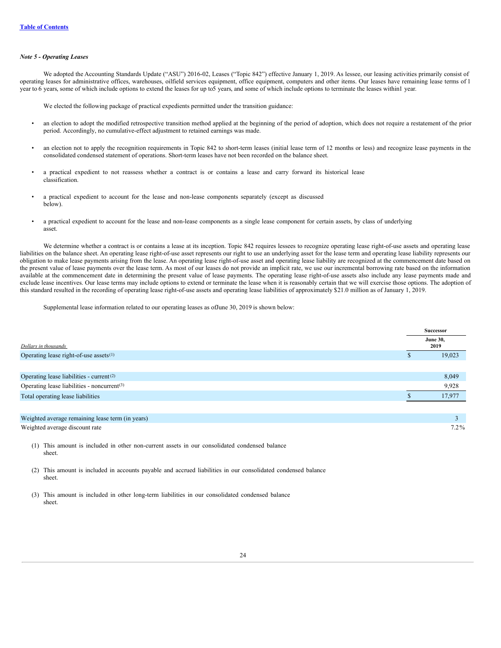#### *Note 5 - Operating Leases*

We adopted the Accounting Standards Update ("ASU") 2016-02, Leases ("Topic 842") effective January 1, 2019. As lessee, our leasing activities primarily consist of operating leases for administrative offices, warehouses, oilfield services equipment, office equipment, computers and other items. Our leases have remaining lease terms of 1 year to 6 years, some of which include options to extend the leases for up to5 years, and some of which include options to terminate the leases within1 year.

We elected the following package of practical expedients permitted under the transition guidance:

- an election to adopt the modified retrospective transition method applied at the beginning of the period of adoption, which does not require a restatement of the prior period. Accordingly, no cumulative-effect adjustment to retained earnings was made.
- an election not to apply the recognition requirements in Topic 842 to short-term leases (initial lease term of 12 months or less) and recognize lease payments in the consolidated condensed statement of operations. Short-term leases have not been recorded on the balance sheet.
- a practical expedient to not reassess whether a contract is or contains a lease and carry forward its historical lease classification.
- a practical expedient to account for the lease and non-lease components separately (except as discussed below).
- a practical expedient to account for the lease and non-lease components as a single lease component for certain assets, by class of underlying asset.

We determine whether a contract is or contains a lease at its inception. Topic 842 requires lessees to recognize operating lease right-of-use assets and operating lease liabilities on the balance sheet. An operating lease right-of-use asset represents our right to use an underlying asset for the lease term and operating lease liability represents our obligation to make lease payments arising from the lease. An operating lease right-of-use asset and operating lease liability are recognized at the commencement date based on the present value of lease payments over the lease term. As most of our leases do not provide an implicit rate, we use our incremental borrowing rate based on the information available at the commencement date in determining the present value of lease payments. The operating lease right-of-use assets also include any lease payments made and exclude lease incentives. Our lease terms may include options to extend or terminate the lease when it is reasonably certain that we will exercise those options. The adoption of this standard resulted in the recording of operating lease right-of-use assets and operating lease liabilities of approximately \$21.0 million as of January 1, 2019.

Supplemental lease information related to our operating leases as ofJune 30, 2019 is shown below:

|                                                         | Successor               |
|---------------------------------------------------------|-------------------------|
| Dollars in thousands                                    | <b>June 30,</b><br>2019 |
| Operating lease right-of-use assets $(1)$               | 19,023                  |
|                                                         |                         |
| Operating lease liabilities - current <sup>(2)</sup>    | 8,049                   |
| Operating lease liabilities - noncurrent <sup>(3)</sup> | 9,928                   |
| Total operating lease liabilities                       | 17.977                  |
|                                                         |                         |
| Weighted average remaining lease term (in years)        |                         |
| Weighted average discount rate                          | $7.2\%$                 |

(1) This amount is included in other non-current assets in our consolidated condensed balance sheet.

(2) This amount is included in accounts payable and accrued liabilities in our consolidated condensed balance sheet.

(3) This amount is included in other long-term liabilities in our consolidated condensed balance sheet.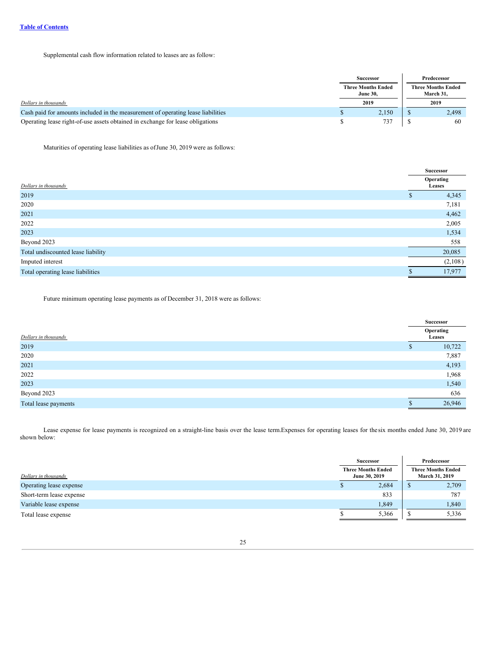Supplemental cash flow information related to leases are as follow:

|                                                                                  |                                              | <b>Successor</b> |      | Predecessor                            |
|----------------------------------------------------------------------------------|----------------------------------------------|------------------|------|----------------------------------------|
|                                                                                  | <b>Three Months Ended</b><br><b>June 30.</b> |                  |      | <b>Three Months Ended</b><br>March 31. |
| Dollars in thousands                                                             |                                              | 2019             | 2019 |                                        |
| Cash paid for amounts included in the measurement of operating lease liabilities |                                              | 2,150            |      | 2.498                                  |
| Operating lease right-of-use assets obtained in exchange for lease obligations   |                                              | 737              |      | 60                                     |

Maturities of operating lease liabilities as ofJune 30, 2019 were as follows:

| Dollars in thousands               |   | Operating<br>Leases |
|------------------------------------|---|---------------------|
| 2019                               | ъ | 4,345               |
| 2020                               |   | 7,181               |
| 2021                               |   | 4,462               |
| 2022                               |   | 2,005               |
| 2023                               |   | 1,534               |
| Beyond 2023                        |   | 558                 |
| Total undiscounted lease liability |   | 20,085              |
| Imputed interest                   |   | (2,108)             |
| Total operating lease liabilities  |   | 17,977              |

Future minimum operating lease payments as of December 31, 2018 were as follows:

|                      |    | Successor           |  |  |
|----------------------|----|---------------------|--|--|
| Dollars in thousands |    | Operating<br>Leases |  |  |
| 2019                 | ۰D | 10,722              |  |  |
| 2020                 |    | 7,887               |  |  |
| 2021                 |    | 4,193               |  |  |
| 2022                 |    | 1,968               |  |  |
| 2023                 |    | 1,540               |  |  |
| Beyond 2023          |    | 636                 |  |  |
| Total lease payments |    | 26,946              |  |  |

Lease expense for lease payments is recognized on a straight-line basis over the lease term.Expenses for operating leases for the six months ended June 30, 2019 are shown below:

|                          | Successor                                  |       | Predecessor                                 |       |  |
|--------------------------|--------------------------------------------|-------|---------------------------------------------|-------|--|
| Dollars in thousands     | <b>Three Months Ended</b><br>June 30, 2019 |       | <b>Three Months Ended</b><br>March 31, 2019 |       |  |
| Operating lease expense  |                                            | 2,684 |                                             | 2,709 |  |
| Short-term lease expense |                                            | 833   |                                             | 787   |  |
| Variable lease expense   |                                            | 1,849 |                                             | 1,840 |  |
| Total lease expense      |                                            | 5,366 |                                             | 5,336 |  |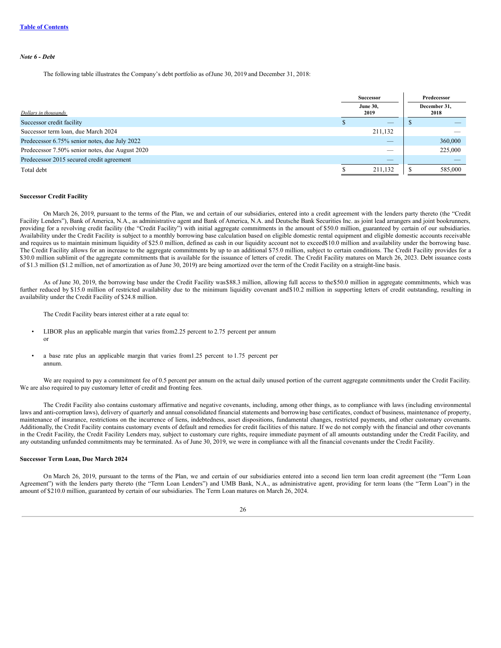#### *Note 6 - Debt*

The following table illustrates the Company's debt portfolio as ofJune 30, 2019 and December 31, 2018:

|                                                 |                         | <b>Successor</b> | Predecessor |         |  |  |  |  |  |                      |
|-------------------------------------------------|-------------------------|------------------|-------------|---------|--|--|--|--|--|----------------------|
| Dollars in thousands                            | <b>June 30,</b><br>2019 |                  |             |         |  |  |  |  |  | December 31,<br>2018 |
| Successor credit facility                       |                         | _                |             |         |  |  |  |  |  |                      |
| Successor term loan, due March 2024             |                         | 211,132          |             |         |  |  |  |  |  |                      |
| Predecessor 6.75% senior notes, due July 2022   |                         | _                |             | 360,000 |  |  |  |  |  |                      |
| Predecessor 7.50% senior notes, due August 2020 |                         | _                |             | 225,000 |  |  |  |  |  |                      |
| Predecessor 2015 secured credit agreement       |                         | _                |             |         |  |  |  |  |  |                      |
| Total debt                                      |                         | 211,132          |             | 585,000 |  |  |  |  |  |                      |

#### **Successor Credit Facility**

On March 26, 2019, pursuant to the terms of the Plan, we and certain of our subsidiaries, entered into a credit agreement with the lenders party thereto (the "Credit Facility Lenders"), Bank of America, N.A., as administrative agent and Bank of America, N.A. and Deutsche Bank Securities Inc. as joint lead arrangers and joint bookrunners, providing for a revolving credit facility (the "Credit Facility") with initial aggregate commitments in the amount of \$50.0 million, guaranteed by certain of our subsidiaries. Availability under the Credit Facility is subject to a monthly borrowing base calculation based on eligible domestic rental equipment and eligible domestic accounts receivable and requires us to maintain minimum liquidity of \$25.0 million, defined as cash in our liquidity account not to exceed\$10.0 million and availability under the borrowing base. The Credit Facility allows for an increase to the aggregate commitments by up to an additional \$75.0 million, subject to certain conditions. The Credit Facility provides for a \$30.0 million sublimit of the aggregate commitments that is available for the issuance of letters of credit. The Credit Facility matures on March 26, 2023. Debt issuance costs of \$1.3 million (\$1.2 million, net of amortization as of June 30, 2019) are being amortized over the term of the Credit Facility on a straight-line basis.

As of June 30, 2019, the borrowing base under the Credit Facility was\$88.3 million, allowing full access to the\$50.0 million in aggregate commitments, which was further reduced by \$15.0 million of restricted availability due to the minimum liquidity covenant and\$10.2 million in supporting letters of credit outstanding, resulting in availability under the Credit Facility of \$24.8 million.

The Credit Facility bears interest either at a rate equal to:

- LIBOR plus an applicable margin that varies from 2.25 percent to 2.75 percent per annum or
- a base rate plus an applicable margin that varies from1.25 percent to 1.75 percent per annum.

We are required to pay a commitment fee of 0.5 percent per annum on the actual daily unused portion of the current aggregate commitments under the Credit Facility. We are also required to pay customary letter of credit and fronting fees.

The Credit Facility also contains customary affirmative and negative covenants, including, among other things, as to compliance with laws (including environmental laws and anti-corruption laws), delivery of quarterly and annual consolidated financial statements and borrowing base certificates, conduct of business, maintenance of property, maintenance of insurance, restrictions on the incurrence of liens, indebtedness, asset dispositions, fundamental changes, restricted payments, and other customary covenants. Additionally, the Credit Facility contains customary events of default and remedies for credit facilities of this nature. If we do not comply with the financial and other covenants in the Credit Facility, the Credit Facility Lenders may, subject to customary cure rights, require immediate payment of all amounts outstanding under the Credit Facility, and any outstanding unfunded commitments may be terminated. As of June 30, 2019, we were in compliance with all the financial covenants under the Credit Facility.

#### **Successor Term Loan, Due March 2024**

On March 26, 2019, pursuant to the terms of the Plan, we and certain of our subsidiaries entered into a second lien term loan credit agreement (the "Term Loan Agreement") with the lenders party thereto (the "Term Loan Lenders") and UMB Bank, N.A., as administrative agent, providing for term loans (the "Term Loan") in the amount of \$210.0 million, guaranteed by certain of our subsidiaries. The Term Loan matures on March 26, 2024.

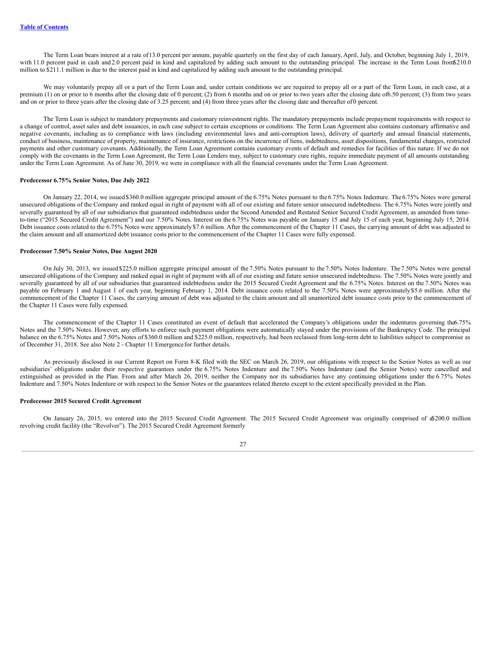The Term Loan bears interest at a rate of13.0 percent per annum, payable quarterly on the first day of each January, April, July, and October, beginning July 1, 2019, with 11.0 percent paid in cash and 2.0 percent paid in kind and capitalized by adding such amount to the outstanding principal. The increase in the Term Loan from\$210.0 million to \$211.1 million is due to the interest paid in kind and capitalized by adding such amount to the outstanding principal.

We may voluntarily prepay all or a part of the Term Loan and, under certain conditions we are required to prepay all or a part of the Term Loan, in each case, at a premium (1) on or prior to 6 months after the closing date of 0 percent; (2) from 6 months and on or prior to two years after the closing date of6.50 percent; (3) from two years and on or prior to three years after the closing date of 3.25 percent; and (4) from three years after the closing date and thereafter of 0 percent.

The Term Loan is subject to mandatory prepayments and customary reinvestment rights. The mandatory prepayments include prepayment requirements with respect to a change of control, asset sales and debt issuances, in each case subject to certain exceptions or conditions. The Term Loan Agreement also contains customary affirmative and negative covenants, including as to compliance with laws (including environmental laws and anti-corruption laws), delivery of quarterly and annual financial statements, conduct of business, maintenance of property, maintenance of insurance, restrictions on the incurrence of liens, indebtedness, asset dispositions, fundamental changes, restricted payments and other customary covenants. Additionally, the Term Loan Agreement contains customary events of default and remedies for facilities of this nature. If we do not comply with the covenants in the Term Loan Agreement, the Term Loan Lenders may, subject to customary cure rights, require immediate payment of all amounts outstanding under the Term Loan Agreement. As of June 30, 2019, we were in compliance with all the financial covenants under the Term Loan Agreement.

### **Predecessor 6.75% Senior Notes, Due July 2022**

On January 22, 2014, we issued \$360.0 million aggregate principal amount of the 6.75% Notes pursuant to the 6.75% Notes Indenture. The 6.75% Notes were general unsecured obligations of the Company and ranked equal in right of payment with all of our existing and future senior unsecured indebtedness. The 6.75% Notes were jointly and severally guaranteed by all of our subsidiaries that guaranteed indebtedness under the Second Amended and Restated Senior Secured Credit Agreement, as amended from timeto-time ("2015 Secured Credit Agreement") and our 7.50% Notes. Interest on the 6.75% Notes was payable on January 15 and July 15 of each year, beginning July 15, 2014. Debt issuance costs related to the 6.75% Notes were approximately \$7.6 million. After the commencement of the Chapter 11 Cases, the carrying amount of debt was adjusted to the claim amount and all unamortized debt issuance costs prior to the commencement of the Chapter 11 Cases were fully expensed.

#### **Predecessor 7.50% Senior Notes, Due August 2020**

On July 30, 2013, we issued \$225.0 million aggregate principal amount of the 7.50% Notes pursuant to the 7.50% Notes Indenture. The 7.50% Notes were general unsecured obligations of the Company and ranked equal in right of payment with all of our existing and future senior unsecured indebtedness. The 7.50% Notes were jointly and severally guaranteed by all of our subsidiaries that guaranteed indebtedness under the 2015 Secured Credit Agreement and the 6.75% Notes. Interest on the 7.50% Notes was payable on February 1 and August 1 of each year, beginning February 1, 2014. Debt issuance costs related to the 7.50% Notes were approximately \$5.6 million. After the commencement of the Chapter 11 Cases, the carrying amount of debt was adjusted to the claim amount and all unamortized debt issuance costs prior to the commencement of the Chapter 11 Cases were fully expensed.

The commencement of the Chapter 11 Cases constituted an event of default that accelerated the Company's obligations under the indentures governing the6.75% Notes and the 7.50% Notes. However, any efforts to enforce such payment obligations were automatically stayed under the provisions of the Bankruptcy Code. The principal balance on the 6.75% Notes and 7.50% Notes of \$360.0 million and \$225.0 million, respectively, had been reclassed from long-term debt to liabilities subject to compromise as of December 31, 2018. See also Note 2 - Chapter 11 Emergencefor further details.

As previously disclosed in our Current Report on Form 8-K filed with the SEC on March 26, 2019, our obligations with respect to the Senior Notes as well as our subsidiaries' obligations under their respective guarantees under the 6.75% Notes Indenture and the 7.50% Notes Indenture (and the Senior Notes) were cancelled and extinguished as provided in the Plan. From and after March 26, 2019, neither the Company nor its subsidiaries have any continuing obligations under the 6.75% Notes Indenture and 7.50% Notes Indenture or with respect to the Senior Notes or the guarantees related thereto except to the extent specifically provided in the Plan.

# **Predecessor 2015 Secured Credit Agreement**

On January 26, 2015, we entered into the 2015 Secured Credit Agreement. The 2015 Secured Credit Agreement was originally comprised of a\$200.0 million revolving credit facility (the "Revolver"). The 2015 Secured Credit Agreement formerly

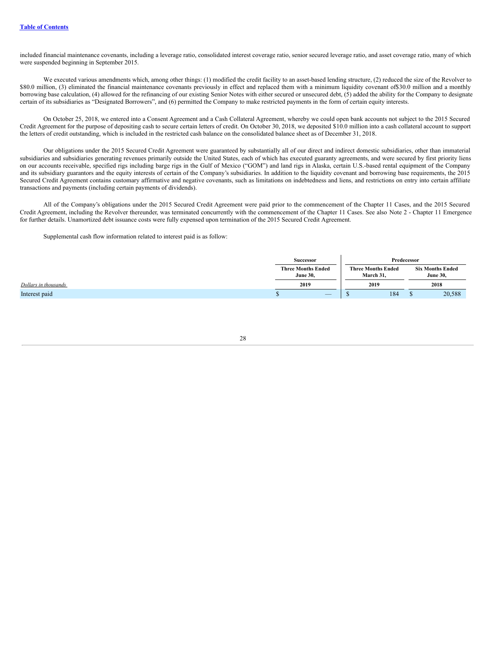included financial maintenance covenants, including a leverage ratio, consolidated interest coverage ratio, senior secured leverage ratio, and asset coverage ratio, many of which were suspended beginning in September 2015.

We executed various amendments which, among other things: (1) modified the credit facility to an asset-based lending structure, (2) reduced the size of the Revolver to \$80.0 million, (3) eliminated the financial maintenance covenants previously in effect and replaced them with a minimum liquidity covenant of \$30.0 million and a monthly borrowing base calculation, (4) allowed for the refinancing of our existing Senior Notes with either secured or unsecured debt, (5) added the ability for the Company to designate certain of its subsidiaries as "Designated Borrowers", and (6) permitted the Company to make restricted payments in the form of certain equity interests.

On October 25, 2018, we entered into a Consent Agreement and a Cash Collateral Agreement, whereby we could open bank accounts not subject to the 2015 Secured Credit Agreement for the purpose of depositing cash to secure certain letters of credit. On October 30, 2018, we deposited \$10.0 million into a cash collateral account to support the letters of credit outstanding, which is included in the restricted cash balance on the consolidated balance sheet as of December 31, 2018.

Our obligations under the 2015 Secured Credit Agreement were guaranteed by substantially all of our direct and indirect domestic subsidiaries, other than immaterial subsidiaries and subsidiaries generating revenues primarily outside the United States, each of which has executed guaranty agreements, and were secured by first priority liens on our accounts receivable, specified rigs including barge rigs in the Gulf of Mexico ("GOM") and land rigs in Alaska, certain U.S.-based rental equipment of the Company and its subsidiary guarantors and the equity interests of certain of the Company's subsidiaries. In addition to the liquidity covenant and borrowing base requirements, the 2015 Secured Credit Agreement contains customary affirmative and negative covenants, such as limitations on indebtedness and liens, and restrictions on entry into certain affiliate transactions and payments (including certain payments of dividends).

All of the Company's obligations under the 2015 Secured Credit Agreement were paid prior to the commencement of the Chapter 11 Cases, and the 2015 Secured Credit Agreement, including the Revolver thereunder, was terminated concurrently with the commencement of the Chapter 11 Cases. See also Note 2 - Chapter 11 Emergence for further details. Unamortized debt issuance costs were fully expensed upon termination of the 2015 Secured Credit Agreement.

Supplemental cash flow information related to interest paid is as follow:

|                      | <b>Successor</b>                             |      | Predecessor                            |   |                                            |
|----------------------|----------------------------------------------|------|----------------------------------------|---|--------------------------------------------|
|                      | <b>Three Months Ended</b><br><b>June 30,</b> |      | <b>Three Months Ended</b><br>March 31, |   | <b>Six Months Ended</b><br><b>June 30,</b> |
| Dollars in thousands | 2019                                         | 2019 |                                        |   | 2018                                       |
| Interest paid        | $\overline{\phantom{a}}$                     |      | 184                                    | ш | 20,588                                     |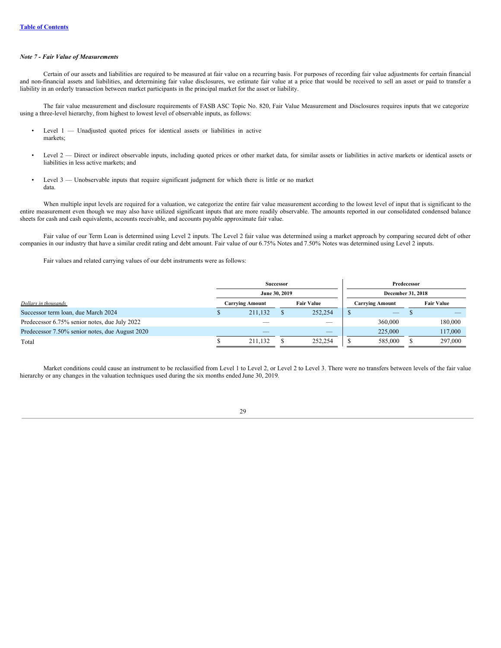# *Note 7 - Fair Value of Measurements*

Certain of our assets and liabilities are required to be measured at fair value on a recurring basis. For purposes of recording fair value adjustments for certain financial and non-financial assets and liabilities, and determining fair value disclosures, we estimate fair value at a price that would be received to sell an asset or paid to transfer a liability in an orderly transaction between market participants in the principal market for the asset or liability.

The fair value measurement and disclosure requirements of FASB ASC Topic No. 820, Fair Value Measurement and Disclosures requires inputs that we categorize using a three-level hierarchy, from highest to lowest level of observable inputs, as follows:

- Level 1 Unadjusted quoted prices for identical assets or liabilities in active markets;
- Level 2 Direct or indirect observable inputs, including quoted prices or other market data, for similar assets or liabilities in active markets or identical assets or liabilities in less active markets; and
- Level  $3$  Unobservable inputs that require significant judgment for which there is little or no market data.

When multiple input levels are required for a valuation, we categorize the entire fair value measurement according to the lowest level of input that is significant to the entire measurement even though we may also have utilized significant inputs that are more readily observable. The amounts reported in our consolidated condensed balance sheets for cash and cash equivalents, accounts receivable, and accounts payable approximate fair value.

Fair value of our Term Loan is determined using Level 2 inputs. The Level 2 fair value was determined using a market approach by comparing secured debt of other companies in our industry that have a similar credit rating and debt amount. Fair value of our 6.75% Notes and 7.50% Notes was determined using Level 2 inputs.

Fair values and related carrying values of our debt instruments were as follows:

|                                                 | <b>Successor</b> |                        |  | Predecessor       |                   |                        |  |                   |
|-------------------------------------------------|------------------|------------------------|--|-------------------|-------------------|------------------------|--|-------------------|
|                                                 | June 30, 2019    |                        |  |                   | December 31, 2018 |                        |  |                   |
| Dollars in thousands                            |                  | <b>Carrying Amount</b> |  | <b>Fair Value</b> |                   | <b>Carrying Amount</b> |  | <b>Fair Value</b> |
| Successor term Ioan, due March 2024             |                  | 211.132                |  | 252,254           |                   | $-$                    |  |                   |
| Predecessor 6.75% senior notes, due July 2022   |                  |                        |  | $-$               |                   | 360,000                |  | 180,000           |
| Predecessor 7.50% senior notes, due August 2020 |                  | _                      |  | $-$               |                   | 225,000                |  | 117,000           |
| Total                                           |                  | 211.132                |  | 252,254           |                   | 585,000                |  | 297,000           |

Market conditions could cause an instrument to be reclassified from Level 1 to Level 2, or Level 2 to Level 3. There were no transfers between levels of the fair value hierarchy or any changes in the valuation techniques used during the six months ended June 30, 2019.

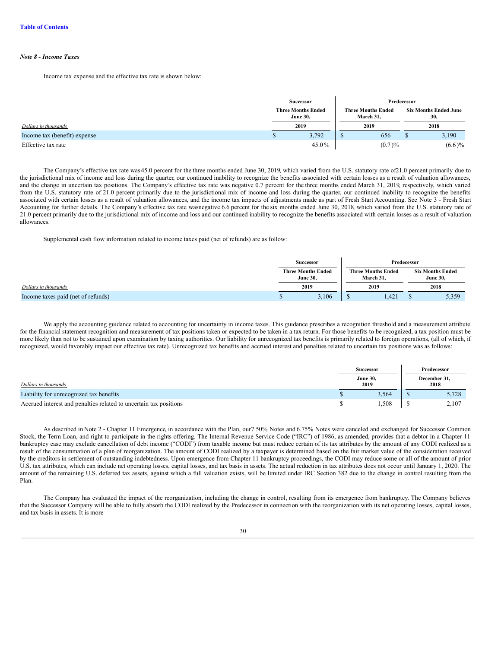#### *Note 8 - Income Taxes*

Income tax expense and the effective tax rate is shown below:

|                              |                                              | Successor | Predecessor |                                        |      |                                     |  |
|------------------------------|----------------------------------------------|-----------|-------------|----------------------------------------|------|-------------------------------------|--|
|                              | <b>Three Months Ended</b><br><b>June 30,</b> |           |             | <b>Three Months Ended</b><br>March 31, |      | <b>Six Months Ended June</b><br>30, |  |
| Dollars in thousands         |                                              | 2019      |             | 2019                                   | 2018 |                                     |  |
| Income tax (benefit) expense |                                              | 3,792     |             | 656                                    |      | 3,190                               |  |
| Effective tax rate           |                                              | 45.0%     |             | (0.7)%                                 |      | $(6.6)\%$                           |  |

The Company's effective tax rate was 45.0 percent for the three months ended June 30, 2019, which varied from the U.S. statutory rate of21.0 percent primarily due to the jurisdictional mix of income and loss during the quarter, our continued inability to recognize the benefits associated with certain losses as a result of valuation allowances, and the change in uncertain tax positions. The Company's effective tax rate was negative 0.7 percent for the three months ended March 31, 2019, respectively, which varied from the U.S. statutory rate of 21.0 percent primarily due to the jurisdictional mix of income and loss during the quarter, our continued inability to recognize the benefits associated with certain losses as a result of valuation allowances, and the income tax impacts of adjustments made as part of Fresh Start Accounting. See Note 3 - Fresh Start Accounting for further details. The Company's effective tax rate wasnegative 6.6 percent for the six months ended June 30, 2018, which varied from the U.S. statutory rate of 21.0 percent primarily due to the jurisdictional mix of income and loss and our continued inability to recognize the benefits associated with certain losses as a result of valuation allowances.

Supplemental cash flow information related to income taxes paid (net of refunds) are as follow:

|                                    |                                              | <b>Successor</b> | Predecessor |                                        |  |                                            |
|------------------------------------|----------------------------------------------|------------------|-------------|----------------------------------------|--|--------------------------------------------|
|                                    | <b>Three Months Ended</b><br><b>June 30.</b> |                  |             | <b>Three Months Ended</b><br>March 31. |  | <b>Six Months Ended</b><br><b>June 30.</b> |
| Dollars in thousands               | 2019                                         |                  | 2019        |                                        |  | 2018                                       |
| Income taxes paid (net of refunds) |                                              | 3,106            |             | 1.421                                  |  | 5,359                                      |

We apply the accounting guidance related to accounting for uncertainty in income taxes. This guidance prescribes a recognition threshold and a measurement attribute for the financial statement recognition and measurement of tax positions taken or expected to be taken in a tax return. For those benefits to be recognized, a tax position must be more likely than not to be sustained upon examination by taxing authorities. Our liability for unrecognized tax benefits is primarily related to foreign operations, (all of which, if recognized, would favorably impact our effective tax rate). Unrecognized tax benefits and accrued interest and penalties related to uncertain tax positions was as follows:

|                                                                   |                         | <b>Successor</b> |  | Predecessor          |  |  |
|-------------------------------------------------------------------|-------------------------|------------------|--|----------------------|--|--|
| Dollars in thousands                                              | <b>June 30.</b><br>2019 |                  |  | December 31.<br>2018 |  |  |
| Liability for unrecognized tax benefits                           |                         | 3,564            |  | 5,728                |  |  |
| Accrued interest and penalties related to uncertain tax positions |                         | .508             |  | 2.107                |  |  |

As described in Note 2 - Chapter 11 Emergence, in accordance with the Plan, our7.50% Notes and 6.75% Notes were canceled and exchanged for Successor Common Stock, the Term Loan, and right to participate in the rights offering. The Internal Revenue Service Code ("IRC") of 1986, as amended, provides that a debtor in a Chapter 11 bankruptcy case may exclude cancellation of debt income ("CODI") from taxable income but must reduce certain of its tax attributes by the amount of any CODI realized as a result of the consummation of a plan of reorganization. The amount of CODI realized by a taxpayer is determined based on the fair market value of the consideration received by the creditors in settlement of outstanding indebtedness. Upon emergence from Chapter 11 bankruptcy proceedings, the CODI may reduce some or all of the amount of prior U.S. tax attributes, which can include net operating losses, capital losses, and tax basis in assets. The actual reduction in tax attributes does not occur until January 1, 2020. The amount of the remaining U.S. deferred tax assets, against which a full valuation exists, will be limited under IRC Section 382 due to the change in control resulting from the Plan.

The Company has evaluated the impact of the reorganization, including the change in control, resulting from its emergence from bankruptcy. The Company believes that the Successor Company will be able to fully absorb the CODI realized by the Predecessor in connection with the reorganization with its net operating losses, capital losses, and tax basis in assets. It is more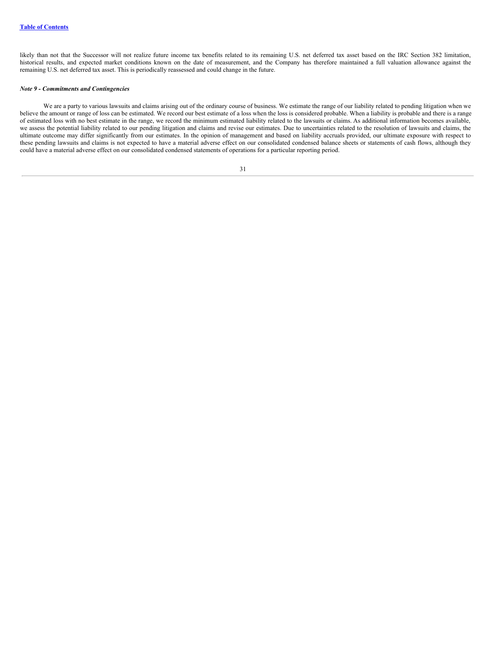likely than not that the Successor will not realize future income tax benefits related to its remaining U.S. net deferred tax asset based on the IRC Section 382 limitation, historical results, and expected market conditions known on the date of measurement, and the Company has therefore maintained a full valuation allowance against the remaining U.S. net deferred tax asset. This is periodically reassessed and could change in the future.

#### *Note 9 - Commitments and Contingencies*

We are a party to various lawsuits and claims arising out of the ordinary course of business. We estimate the range of our liability related to pending litigation when we believe the amount or range of loss can be estimated. We record our best estimate of a loss when the loss is considered probable. When a liability is probable and there is a range of estimated loss with no best estimate in the range, we record the minimum estimated liability related to the lawsuits or claims. As additional information becomes available, we assess the potential liability related to our pending litigation and claims and revise our estimates. Due to uncertainties related to the resolution of lawsuits and claims, the ultimate outcome may differ significantly from our estimates. In the opinion of management and based on liability accruals provided, our ultimate exposure with respect to these pending lawsuits and claims is not expected to have a material adverse effect on our consolidated condensed balance sheets or statements of cash flows, although they could have a material adverse effect on our consolidated condensed statements of operations for a particular reporting period.

| I<br>I |  |
|--------|--|
| $\sim$ |  |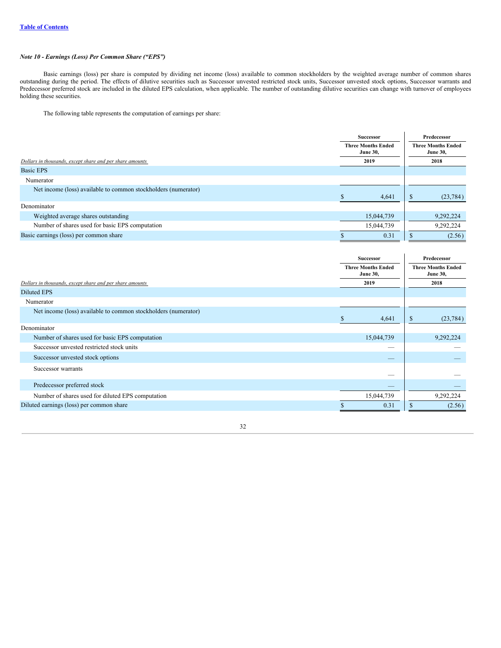# *Note 10 - Earnings (Loss) Per Common Share ("EPS")*

Basic earnings (loss) per share is computed by dividing net income (loss) available to common stockholders by the weighted average number of common shares outstanding during the period. The effects of dilutive securities such as Successor unvested restricted stock units, Successor unvested stock options, Successor warrants and Predecessor preferred stock are included in the diluted EPS calculation, when applicable. The number of outstanding dilutive securities can change with turnover of employees holding these securities.

 $\overline{a}$ 

The following table represents the computation of earnings per share:

|                                                                | <b>Successor</b>                             |  | Predecessor |                                              |  |  |  |      |
|----------------------------------------------------------------|----------------------------------------------|--|-------------|----------------------------------------------|--|--|--|------|
|                                                                | <b>Three Months Ended</b><br><b>June 30,</b> |  |             | <b>Three Months Ended</b><br><b>June 30,</b> |  |  |  |      |
| Dollars in thousands, except share and per share amounts       | 2019                                         |  |             |                                              |  |  |  | 2018 |
| Basic EPS                                                      |                                              |  |             |                                              |  |  |  |      |
| Numerator                                                      |                                              |  |             |                                              |  |  |  |      |
| Net income (loss) available to common stockholders (numerator) |                                              |  |             |                                              |  |  |  |      |
|                                                                | 4,641                                        |  | Ъ           | (23, 784)                                    |  |  |  |      |
| Denominator                                                    |                                              |  |             |                                              |  |  |  |      |
| Weighted average shares outstanding                            | 15,044,739                                   |  |             | 9,292,224                                    |  |  |  |      |
| Number of shares used for basic EPS computation                | 15.044.739                                   |  |             | 9,292,224                                    |  |  |  |      |
| Basic earnings (loss) per common share                         | 0.31                                         |  | Ð           | (2.56)                                       |  |  |  |      |

|                                                                | <b>Successor</b>          | Predecessor<br><b>Three Months Ended</b><br><b>June 30,</b><br><b>June 30,</b> |           |  |
|----------------------------------------------------------------|---------------------------|--------------------------------------------------------------------------------|-----------|--|
|                                                                | <b>Three Months Ended</b> |                                                                                |           |  |
| Dollars in thousands, except share and per share amounts       | 2019                      |                                                                                | 2018      |  |
| <b>Diluted EPS</b>                                             |                           |                                                                                |           |  |
| Numerator                                                      |                           |                                                                                |           |  |
| Net income (loss) available to common stockholders (numerator) | 4,641<br>S                | \$                                                                             | (23, 784) |  |
| Denominator                                                    |                           |                                                                                |           |  |
| Number of shares used for basic EPS computation                | 15,044,739                |                                                                                | 9,292,224 |  |
| Successor unvested restricted stock units                      | $-$                       |                                                                                |           |  |
| Successor unvested stock options                               | _                         |                                                                                |           |  |
| Successor warrants                                             |                           |                                                                                |           |  |
| Predecessor preferred stock                                    |                           |                                                                                |           |  |
| Number of shares used for diluted EPS computation              | 15,044,739                |                                                                                | 9,292,224 |  |
| Diluted earnings (loss) per common share                       | 0.31                      | S                                                                              | (2.56)    |  |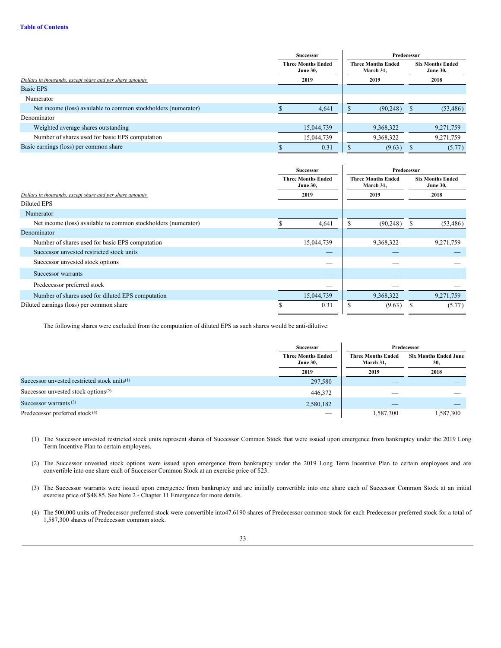|                                                                | Successor |                                              |                                        | Predecessor |                                            |           |      |  |
|----------------------------------------------------------------|-----------|----------------------------------------------|----------------------------------------|-------------|--------------------------------------------|-----------|------|--|
|                                                                |           | <b>Three Months Ended</b><br><b>June 30,</b> | <b>Three Months Ended</b><br>March 31, |             | <b>Six Months Ended</b><br><b>June 30,</b> |           |      |  |
| Dollars in thousands, except share and per share amounts       |           | 2019                                         |                                        | 2019        |                                            |           | 2018 |  |
| <b>Basic EPS</b>                                               |           |                                              |                                        |             |                                            |           |      |  |
| Numerator                                                      |           |                                              |                                        |             |                                            |           |      |  |
| Net income (loss) available to common stockholders (numerator) |           | 4,641                                        |                                        | (90, 248)   |                                            | (53, 486) |      |  |
| Denominator                                                    |           |                                              |                                        |             |                                            |           |      |  |
| Weighted average shares outstanding                            |           | 15,044,739                                   |                                        | 9,368,322   |                                            | 9,271,759 |      |  |
| Number of shares used for basic EPS computation                |           | 15,044,739                                   |                                        | 9,368,322   |                                            | 9,271,759 |      |  |
| Basic earnings (loss) per common share                         |           | 0.31                                         |                                        | (9.63)      |                                            | (5.77)    |      |  |

|                                                                | Successor<br><b>Three Months Ended</b><br><b>June 30,</b> |            | Predecessor                            |           |                                            |           |  |  |
|----------------------------------------------------------------|-----------------------------------------------------------|------------|----------------------------------------|-----------|--------------------------------------------|-----------|--|--|
|                                                                |                                                           |            | <b>Three Months Ended</b><br>March 31, |           | <b>Six Months Ended</b><br><b>June 30,</b> |           |  |  |
| Dollars in thousands, except share and per share amounts       |                                                           | 2019       | 2019                                   |           | 2018                                       |           |  |  |
| <b>Diluted EPS</b>                                             |                                                           |            |                                        |           |                                            |           |  |  |
| Numerator                                                      |                                                           |            |                                        |           |                                            |           |  |  |
| Net income (loss) available to common stockholders (numerator) |                                                           | 4,641      |                                        | (90, 248) |                                            | (53, 486) |  |  |
| Denominator                                                    |                                                           |            |                                        |           |                                            |           |  |  |
| Number of shares used for basic EPS computation                |                                                           | 15,044,739 |                                        | 9,368,322 |                                            | 9,271,759 |  |  |
| Successor unvested restricted stock units                      |                                                           | _          |                                        |           |                                            |           |  |  |
| Successor unvested stock options                               |                                                           | _          |                                        |           |                                            |           |  |  |
| Successor warrants                                             |                                                           |            |                                        |           |                                            |           |  |  |
| Predecessor preferred stock                                    |                                                           |            |                                        |           |                                            |           |  |  |
| Number of shares used for diluted EPS computation              |                                                           | 15,044,739 |                                        | 9,368,322 |                                            | 9,271,759 |  |  |
| Diluted earnings (loss) per common share                       | S                                                         | 0.31       | ъ                                      | (9.63)    |                                            | (5.77)    |  |  |

The following shares were excluded from the computation of diluted EPS as such shares would be anti-dilutive:

|                                                 | <b>Successor</b>                             |                                        | Predecessor                         |
|-------------------------------------------------|----------------------------------------------|----------------------------------------|-------------------------------------|
|                                                 | <b>Three Months Ended</b><br><b>June 30,</b> | <b>Three Months Ended</b><br>March 31, | <b>Six Months Ended June</b><br>30, |
|                                                 | 2019                                         | 2019                                   | 2018                                |
| Successor unvested restricted stock units $(1)$ | 297,580                                      |                                        |                                     |
| Successor unvested stock options $(2)$          | 446,372                                      |                                        |                                     |
| Successor warrants $(3)$                        | 2,580,182                                    |                                        |                                     |
| Predecessor preferred stock <sup>(4)</sup>      | $\overline{\phantom{a}}$                     | 1.587.300                              | 1.587.300                           |

(1) The Successor unvested restricted stock units represent shares of Successor Common Stock that were issued upon emergence from bankruptcy under the 2019 Long Term Incentive Plan to certain employees.

- (2) The Successor unvested stock options were issued upon emergence from bankruptcy under the 2019 Long Term Incentive Plan to certain employees and are convertible into one share each of Successor Common Stock at an exercise price of \$23.
- (3) The Successor warrants were issued upon emergence from bankruptcy and are initially convertible into one share each of Successor Common Stock at an initial exercise price of \$48.85. See Note 2 - Chapter 11 Emergencefor more details.
- (4) The 500,000 units of Predecessor preferred stock were convertible into47.6190 shares of Predecessor common stock for each Predecessor preferred stock for a total of 1,587,300 shares of Predecessor common stock.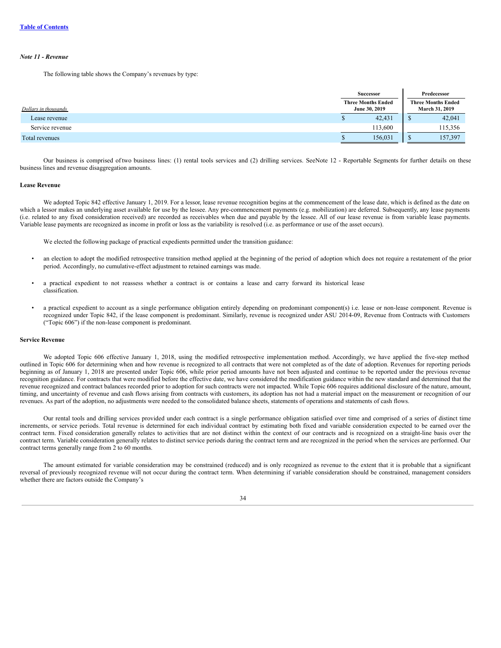### *Note 11 - Revenue*

The following table shows the Company's revenues by type:

|                      |  | <b>Successor</b>                           | Predecessor |         |  |                                             |
|----------------------|--|--------------------------------------------|-------------|---------|--|---------------------------------------------|
| Dollars in thousands |  | <b>Three Months Ended</b><br>June 30, 2019 |             |         |  | <b>Three Months Ended</b><br>March 31, 2019 |
| Lease revenue        |  | 42,431                                     |             | 42,041  |  |                                             |
| Service revenue      |  | 113,600                                    |             | 115,356 |  |                                             |
| Total revenues       |  | 156,031                                    |             | 157,397 |  |                                             |

Our business is comprised of two business lines: (1) rental tools services and (2) drilling services. SeeNote 12 - Reportable Segments for further details on these business lines and revenue disaggregation amounts.

#### **Lease Revenue**

We adopted Topic 842 effective January 1, 2019. For a lessor, lease revenue recognition begins at the commencement of the lease date, which is defined as the date on which a lessor makes an underlying asset available for use by the lessee. Any pre-commencement payments (e.g. mobilization) are deferred. Subsequently, any lease payments (i.e. related to any fixed consideration received) are recorded as receivables when due and payable by the lessee. All of our lease revenue is from variable lease payments. Variable lease payments are recognized as income in profit or loss as the variability is resolved (i.e. as performance or use of the asset occurs).

We elected the following package of practical expedients permitted under the transition guidance:

- an election to adopt the modified retrospective transition method applied at the beginning of the period of adoption which does not require a restatement of the prior period. Accordingly, no cumulative-effect adjustment to retained earnings was made.
- a practical expedient to not reassess whether a contract is or contains a lease and carry forward its historical lease classification.
- a practical expedient to account as a single performance obligation entirely depending on predominant component(s) i.e. lease or non-lease component. Revenue is recognized under Topic 842, if the lease component is predominant. Similarly, revenue is recognized under ASU 2014-09, Revenue from Contracts with Customers ("Topic 606") if the non-lease component is predominant.

#### **Service Revenue**

We adopted Topic 606 effective January 1, 2018, using the modified retrospective implementation method. Accordingly, we have applied the five-step method outlined in Topic 606 for determining when and how revenue is recognized to all contracts that were not completed as of the date of adoption. Revenues for reporting periods beginning as of January 1, 2018 are presented under Topic 606, while prior period amounts have not been adjusted and continue to be reported under the previous revenue recognition guidance. For contracts that were modified before the effective date, we have considered the modification guidance within the new standard and determined that the revenue recognized and contract balances recorded prior to adoption for such contracts were not impacted. While Topic 606 requires additional disclosure of the nature, amount, timing, and uncertainty of revenue and cash flows arising from contracts with customers, its adoption has not had a material impact on the measurement or recognition of our revenues. As part of the adoption, no adjustments were needed to the consolidated balance sheets, statements of operations and statements of cash flows.

Our rental tools and drilling services provided under each contract is a single performance obligation satisfied over time and comprised of a series of distinct time increments, or service periods. Total revenue is determined for each individual contract by estimating both fixed and variable consideration expected to be earned over the contract term. Fixed consideration generally relates to activities that are not distinct within the context of our contracts and is recognized on a straight-line basis over the contract term. Variable consideration generally relates to distinct service periods during the contract term and are recognized in the period when the services are performed. Our contract terms generally range from 2 to 60 months.

The amount estimated for variable consideration may be constrained (reduced) and is only recognized as revenue to the extent that it is probable that a significant reversal of previously recognized revenue will not occur during the contract term. When determining if variable consideration should be constrained, management considers whether there are factors outside the Company's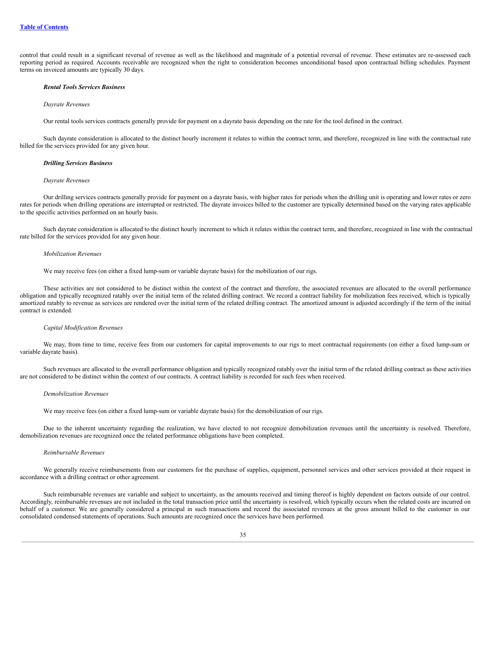control that could result in a significant reversal of revenue as well as the likelihood and magnitude of a potential reversal of revenue. These estimates are re-assessed each reporting period as required. Accounts receivable are recognized when the right to consideration becomes unconditional based upon contractual billing schedules. Payment terms on invoiced amounts are typically 30 days.

#### *Rental Tools Services Business*

#### *Dayrate Revenues*

Our rental tools services contracts generally provide for payment on a dayrate basis depending on the rate for the tool defined in the contract.

Such dayrate consideration is allocated to the distinct hourly increment it relates to within the contract term, and therefore, recognized in line with the contractual rate billed for the services provided for any given hour.

#### *Drilling Services Business*

#### *Dayrate Revenues*

Our drilling services contracts generally provide for payment on a dayrate basis, with higher rates for periods when the drilling unit is operating and lower rates or zero rates for periods when drilling operations are interrupted or restricted. The dayrate invoices billed to the customer are typically determined based on the varying rates applicable to the specific activities performed on an hourly basis.

Such dayrate consideration is allocated to the distinct hourly increment to which it relates within the contract term, and therefore, recognized in line with the contractual rate billed for the services provided for any given hour.

#### *Mobilization Revenues*

We may receive fees (on either a fixed lump-sum or variable dayrate basis) for the mobilization of our rigs.

These activities are not considered to be distinct within the context of the contract and therefore, the associated revenues are allocated to the overall performance obligation and typically recognized ratably over the initial term of the related drilling contract. We record a contract liability for mobilization fees received, which is typically amortized ratably to revenue as services are rendered over the initial term of the related drilling contract. The amortized amount is adjusted accordingly if the term of the initial contract is extended.

#### *Capital Modification Revenues*

We may, from time to time, receive fees from our customers for capital improvements to our rigs to meet contractual requirements (on either a fixed lump-sum or variable dayrate basis).

Such revenues are allocated to the overall performance obligation and typically recognized ratably over the initial term of the related drilling contract as these activities are not considered to be distinct within the context of our contracts. A contract liability is recorded for such fees when received.

#### *Demobilization Revenues*

We may receive fees (on either a fixed lump-sum or variable dayrate basis) for the demobilization of our rigs.

Due to the inherent uncertainty regarding the realization, we have elected to not recognize demobilization revenues until the uncertainty is resolved. Therefore, demobilization revenues are recognized once the related performance obligations have been completed.

#### *Reimbursable Revenues*

We generally receive reimbursements from our customers for the purchase of supplies, equipment, personnel services and other services provided at their request in accordance with a drilling contract or other agreement.

Such reimbursable revenues are variable and subject to uncertainty, as the amounts received and timing thereof is highly dependent on factors outside of our control. Accordingly, reimbursable revenues are not included in the total transaction price until the uncertainty is resolved, which typically occurs when the related costs are incurred on behalf of a customer. We are generally considered a principal in such transactions and record the associated revenues at the gross amount billed to the customer in our consolidated condensed statements of operations. Such amounts are recognized once the services have been performed.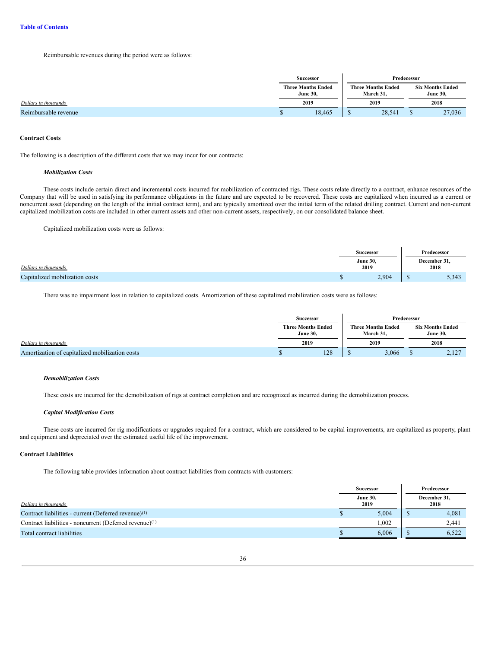Reimbursable revenues during the period were as follows:

|                      | <b>Successor</b><br><b>Three Months Ended</b><br><b>June 30,</b> |        | Predecessor                            |        |                                            |        |
|----------------------|------------------------------------------------------------------|--------|----------------------------------------|--------|--------------------------------------------|--------|
|                      |                                                                  |        | <b>Three Months Ended</b><br>March 31, |        | <b>Six Months Ended</b><br><b>June 30,</b> |        |
| Dollars in thousands |                                                                  | 2019   | 2019                                   |        |                                            | 2018   |
| Reimbursable revenue |                                                                  | 18,465 |                                        | 28,541 |                                            | 27,036 |

#### **Contract Costs**

The following is a description of the different costs that we may incur for our contracts:

### *Mobilization Costs*

These costs include certain direct and incremental costs incurred for mobilization of contracted rigs. These costs relate directly to a contract, enhance resources of the Company that will be used in satisfying its performance obligations in the future and are expected to be recovered. These costs are capitalized when incurred as a current or noncurrent asset (depending on the length of the initial contract term), and are typically amortized over the initial term of the related drilling contract. Current and non-current capitalized mobilization costs are included in other current assets and other non-current assets, respectively, on our consolidated balance sheet.

Capitalized mobilization costs were as follows:

|                                | <b>Successor</b>        |                      | Predecessor |
|--------------------------------|-------------------------|----------------------|-------------|
| Dollars in thousands           | <b>June 30,</b><br>2019 | December 31,<br>2018 |             |
| Capitalized mobilization costs | 2,904                   |                      | 5,343       |

There was no impairment loss in relation to capitalized costs. Amortization of these capitalized mobilization costs were as follows:

|                                                | <b>Successor</b>                             |     | Predecessor |       |  |       |  |  |  |                                        |  |                                            |
|------------------------------------------------|----------------------------------------------|-----|-------------|-------|--|-------|--|--|--|----------------------------------------|--|--------------------------------------------|
|                                                | <b>Three Months Ended</b><br><b>June 30.</b> |     |             |       |  |       |  |  |  | <b>Three Months Ended</b><br>March 31. |  | <b>Six Months Ended</b><br><b>June 30.</b> |
| Dollars in thousands                           | 2019                                         |     | 2019        |       |  | 2018  |  |  |  |                                        |  |                                            |
| Amortization of capitalized mobilization costs |                                              | 128 |             | 3,066 |  | 2,127 |  |  |  |                                        |  |                                            |

# *Demobilization Costs*

These costs are incurred for the demobilization of rigs at contract completion and are recognized as incurred during the demobilization process.

# *Capital Modification Costs*

These costs are incurred for rig modifications or upgrades required for a contract, which are considered to be capital improvements, are capitalized as property, plant and equipment and depreciated over the estimated useful life of the improvement.

# **Contract Liabilities**

The following table provides information about contract liabilities from contracts with customers:

|                                                                     |  | <b>Successor</b>        |  | Predecessor          |
|---------------------------------------------------------------------|--|-------------------------|--|----------------------|
| Dollars in thousands                                                |  | <b>June 30,</b><br>2019 |  | December 31,<br>2018 |
| Contract liabilities - current (Deferred revenue) <sup>(1)</sup>    |  | 5.004                   |  | 4,081                |
| Contract liabilities - noncurrent (Deferred revenue) <sup>(1)</sup> |  | 1.002                   |  | 2,441                |
| Total contract liabilities                                          |  | 6,006                   |  | 6.522                |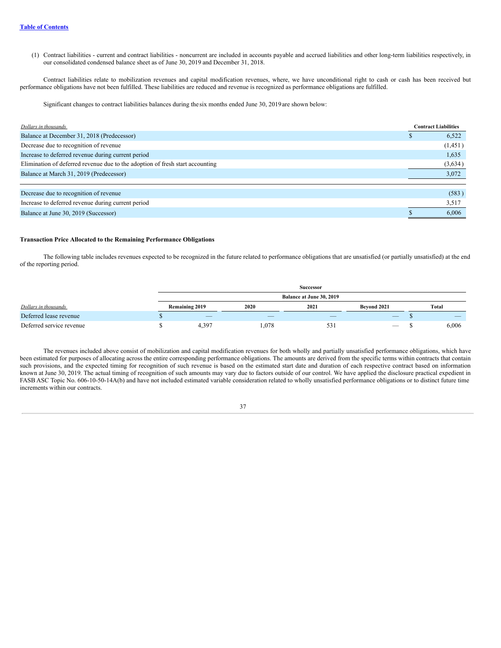(1) Contract liabilities - current and contract liabilities - noncurrent are included in accounts payable and accrued liabilities and other long-term liabilities respectively, in our consolidated condensed balance sheet as of June 30, 2019 and December 31, 2018.

Contract liabilities relate to mobilization revenues and capital modification revenues, where, we have unconditional right to cash or cash has been received but performance obligations have not been fulfilled. These liabilities are reduced and revenue is recognized as performance obligations are fulfilled.

Significant changes to contract liabilities balances during the six months ended June 30, 2019are shown below:

| Dollars in thousands                                                          | <b>Contract Liabilities</b> |         |
|-------------------------------------------------------------------------------|-----------------------------|---------|
| Balance at December 31, 2018 (Predecessor)                                    |                             | 6,522   |
| Decrease due to recognition of revenue                                        |                             | (1,451) |
| Increase to deferred revenue during current period                            |                             | 1,635   |
| Elimination of deferred revenue due to the adoption of fresh start accounting |                             | (3,634) |
| Balance at March 31, 2019 (Predecessor)                                       |                             | 3,072   |
|                                                                               |                             |         |
| Decrease due to recognition of revenue                                        |                             | (583)   |
| Increase to deferred revenue during current period                            |                             | 3,517   |
| Balance at June 30, 2019 (Successor)                                          |                             | 6.006   |

#### **Transaction Price Allocated to the Remaining Performance Obligations**

The following table includes revenues expected to be recognized in the future related to performance obligations that are unsatisfied (or partially unsatisfied) at the end of the reporting period.

|                          |                          |                          | <b>Successor</b> |             |  |       |  |  |
|--------------------------|--------------------------|--------------------------|------------------|-------------|--|-------|--|--|
|                          | Balance at June 30, 2019 |                          |                  |             |  |       |  |  |
| Dollars in thousands     | <b>Remaining 2019</b>    | 2020                     | 2021             | Bevond 2021 |  | Total |  |  |
| Deferred lease revenue   | $\overline{\phantom{a}}$ | $\overline{\phantom{a}}$ | _                | $-$         |  |       |  |  |
| Deferred service revenue | 4.397                    | .078                     | 531              |             |  | 6,006 |  |  |

The revenues included above consist of mobilization and capital modification revenues for both wholly and partially unsatisfied performance obligations, which have been estimated for purposes of allocating across the entire corresponding performance obligations. The amounts are derived from the specific terms within contracts that contain such provisions, and the expected timing for recognition of such revenue is based on the estimated start date and duration of each respective contract based on information known at June 30, 2019. The actual timing of recognition of such amounts may vary due to factors outside of our control. We have applied the disclosure practical expedient in FASB ASC Topic No. 606-10-50-14A(b) and have not included estimated variable consideration related to wholly unsatisfied performance obligations or to distinct future time increments within our contracts.

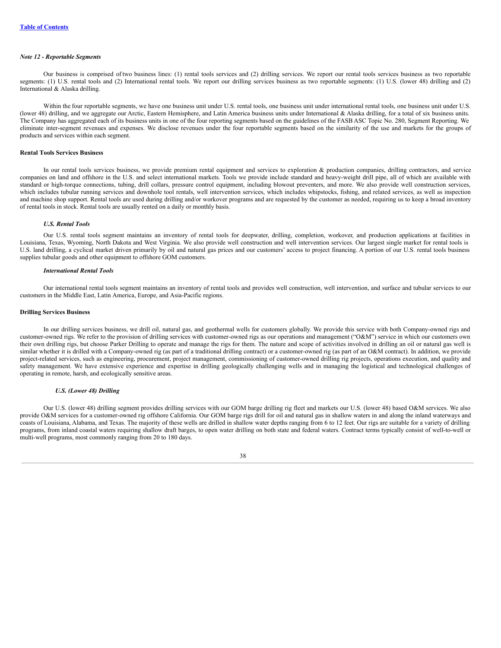#### *Note 12 - Reportable Segments*

Our business is comprised of two business lines: (1) rental tools services and (2) drilling services. We report our rental tools services business as two reportable segments: (1) U.S. rental tools and (2) International rental tools. We report our drilling services business as two reportable segments: (1) U.S. (lower 48) drilling and (2) International & Alaska drilling.

Within the four reportable segments, we have one business unit under U.S. rental tools, one business unit under under under under U.S. (lower 48) drilling, and we aggregate our Arctic, Eastern Hemisphere, and Latin America business units under International & Alaska drilling, for a total of six business units. The Company has aggregated each of its business units in one of the four reporting segments based on the guidelines of the FASB ASC Topic No. 280, Segment Reporting. We eliminate inter-segment revenues and expenses. We disclose revenues under the four reportable segments based on the similarity of the use and markets for the groups of products and services within each segment.

### **Rental Tools Services Business**

In our rental tools services business, we provide premium rental equipment and services to exploration & production companies, drilling contractors, and service companies on land and offshore in the U.S. and select international markets. Tools we provide include standard and heavy-weight drill pipe, all of which are available with standard or high-torque connections, tubing, drill collars, pressure control equipment, including blowout preventers, and more. We also provide well construction services, which includes tubular running services and downhole tool rentals, well intervention services, which includes whipstocks, fishing, and related services, as well as inspection and machine shop support. Rental tools are used during drilling and/or workover programs and are requested by the customer as needed, requiring us to keep a broad inventory of rental tools in stock. Rental tools are usually rented on a daily or monthly basis.

#### *U.S. Rental Tools*

Our U.S. rental tools segment maintains an inventory of rental tools for deepwater, drilling, completion, workover, and production applications at facilities in Louisiana, Texas, Wyoming, North Dakota and West Virginia. We also provide well construction and well intervention services. Our largest single market for rental tools is U.S. land drilling, a cyclical market driven primarily by oil and natural gas prices and our customers' access to project financing. A portion of our U.S. rental tools business supplies tubular goods and other equipment to offshore GOM customers.

#### *International Rental Tools*

Our international rental tools segment maintains an inventory of rental tools and provides well construction, well intervention, and surface and tubular services to our customers in the Middle East, Latin America, Europe, and Asia-Pacific regions.

#### **Drilling Services Business**

In our drilling services business, we drill oil, natural gas, and geothermal wells for customers globally. We provide this service with both Company-owned rigs and customer-owned rigs. We refer to the provision of drilling services with customer-owned rigs as our operations and management ("O&M") service in which our customers own their own drilling rigs, but choose Parker Drilling to operate and manage the rigs for them. The nature and scope of activities involved in drilling an oil or natural gas well is similar whether it is drilled with a Company-owned rig (as part of a traditional drilling contract) or a customer-owned rig (as part of an O&M contract). In addition, we provide project-related services, such as engineering, procurement, project management, commissioning of customer-owned drilling rig projects, operations execution, and quality and safety management. We have extensive experience and expertise in drilling geologically challenging wells and in managing the logistical and technological challenges of operating in remote, harsh, and ecologically sensitive areas.

#### *U.S. (Lower 48) Drilling*

Our U.S. (lower 48) drilling segment provides drilling services with our GOM barge drilling rig fleet and markets our U.S. (lower 48) based O&M services. We also provide O&M services for a customer-owned rig offshore California. Our GOM barge rigs drill for oil and natural gas in shallow waters in and along the inland waterways and coasts of Louisiana, Alabama, and Texas. The majority of these wells are drilled in shallow water depths ranging from 6 to 12 feet. Our rigs are suitable for a variety of drilling programs, from inland coastal waters requiring shallow draft barges, to open water drilling on both state and federal waters. Contract terms typically consist of well-to-well or multi-well programs, most commonly ranging from 20 to 180 days.

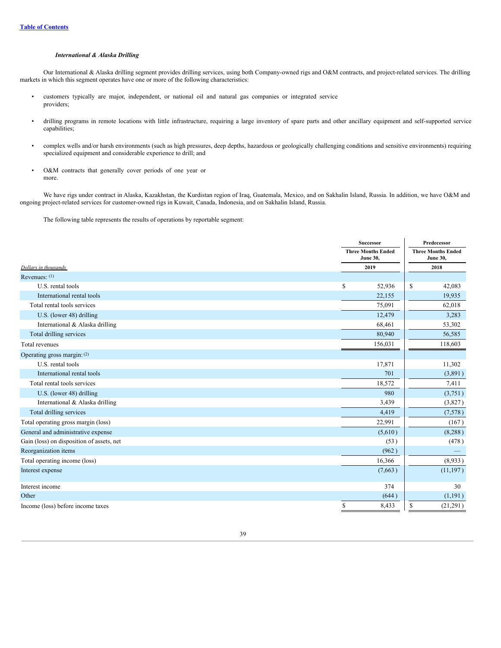#### *International & Alaska Drilling*

Our International & Alaska drilling segment provides drilling services, using both Company-owned rigs and O&M contracts, and project-related services. The drilling markets in which this segment operates have one or more of the following characteristics:

- customers typically are major, independent, or national oil and natural gas companies or integrated service providers;
- drilling programs in remote locations with little infrastructure, requiring a large inventory of spare parts and other ancillary equipment and self-supported service capabilities;
- complex wells and/or harsh environments (such as high pressures, deep depths, hazardous or geologically challenging conditions and sensitive environments) requiring specialized equipment and considerable experience to drill; and
- O&M contracts that generally cover periods of one year or more.

We have rigs under contract in Alaska, Kazakhstan, the Kurdistan region of Iraq, Guatemala, Mexico, and on Sakhalin Island, Russia. In addition, we have O&M and ongoing project-related services for customer-owned rigs in Kuwait, Canada, Indonesia, and on Sakhalin Island, Russia.

The following table represents the results of operations by reportable segment:

|                                           | <b>Successor</b><br><b>Three Months Ended</b><br><b>June 30,</b> |      | Predecessor |
|-------------------------------------------|------------------------------------------------------------------|------|-------------|
|                                           |                                                                  |      |             |
| Dollars in thousands                      | 2019                                                             | 2018 |             |
| Revenues: $(1)$                           |                                                                  |      |             |
| U.S. rental tools                         | \$<br>52,936                                                     | \$   | 42,083      |
| International rental tools                | 22,155                                                           |      | 19,935      |
| Total rental tools services               | 75,091                                                           |      | 62,018      |
| U.S. (lower 48) drilling                  | 12,479                                                           |      | 3,283       |
| International & Alaska drilling           | 68,461                                                           |      | 53,302      |
| Total drilling services                   | 80,940                                                           |      | 56,585      |
| Total revenues                            | 156,031                                                          |      | 118,603     |
| Operating gross margin: (2)               |                                                                  |      |             |
| U.S. rental tools                         | 17,871                                                           |      | 11,302      |
| International rental tools                | 701                                                              |      | (3,891)     |
| Total rental tools services               | 18,572                                                           |      | 7,411       |
| U.S. (lower 48) drilling                  | 980                                                              |      | (3,751)     |
| International & Alaska drilling           | 3,439                                                            |      | (3,827)     |
| Total drilling services                   | 4,419                                                            |      | (7,578)     |
| Total operating gross margin (loss)       | 22,991                                                           |      | (167)       |
| General and administrative expense        | (5,610)                                                          |      | (8,288)     |
| Gain (loss) on disposition of assets, net | (53)                                                             |      | (478)       |
| Reorganization items                      | (962)                                                            |      |             |
| Total operating income (loss)             | 16,366                                                           |      | (8,933)     |
| Interest expense                          | (7,663)                                                          |      | (11, 197)   |
| Interest income                           | 374                                                              |      | 30          |
| Other                                     | (644)                                                            |      | (1,191)     |
| Income (loss) before income taxes         | \$<br>8,433                                                      | \$   | (21,291)    |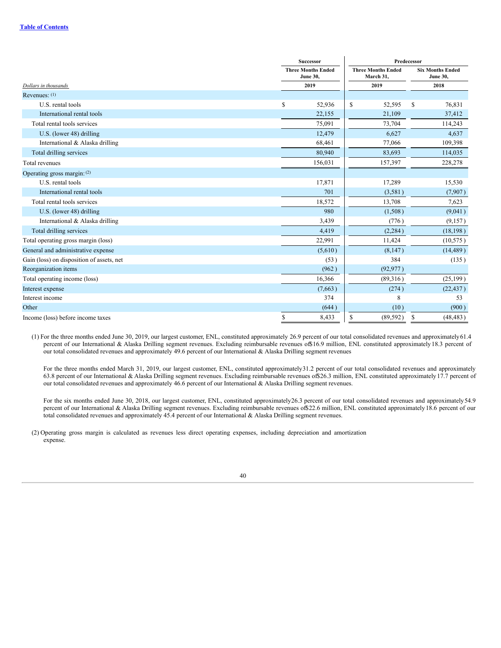|                                           | <b>Successor</b>                             | Predecessor                            |    |                                            |  |
|-------------------------------------------|----------------------------------------------|----------------------------------------|----|--------------------------------------------|--|
|                                           | <b>Three Months Ended</b><br><b>June 30,</b> | <b>Three Months Ended</b><br>March 31, |    | <b>Six Months Ended</b><br><b>June 30,</b> |  |
| Dollars in thousands                      | 2019                                         | 2019                                   |    | 2018                                       |  |
| Revenues: $(1)$                           |                                              |                                        |    |                                            |  |
| U.S. rental tools                         | \$<br>52,936                                 | \$<br>52,595                           | \$ | 76,831                                     |  |
| International rental tools                | 22,155                                       | 21,109                                 |    | 37,412                                     |  |
| Total rental tools services               | 75,091                                       | 73,704                                 |    | 114,243                                    |  |
| U.S. (lower 48) drilling                  | 12,479                                       | 6,627                                  |    | 4,637                                      |  |
| International & Alaska drilling           | 68,461                                       | 77,066                                 |    | 109,398                                    |  |
| Total drilling services                   | 80,940                                       | 83,693                                 |    | 114,035                                    |  |
| Total revenues                            | 156,031                                      | 157,397                                |    | 228,278                                    |  |
| Operating gross margin: (2)               |                                              |                                        |    |                                            |  |
| U.S. rental tools                         | 17,871                                       | 17,289                                 |    | 15,530                                     |  |
| International rental tools                | 701                                          | (3,581)                                |    | (7,907)                                    |  |
| Total rental tools services               | 18,572                                       | 13,708                                 |    | 7,623                                      |  |
| U.S. (lower 48) drilling                  | 980                                          | (1,508)                                |    | (9,041)                                    |  |
| International & Alaska drilling           | 3,439                                        | (776)                                  |    | (9,157)                                    |  |
| Total drilling services                   | 4,419                                        | (2, 284)                               |    | (18, 198)                                  |  |
| Total operating gross margin (loss)       | 22,991                                       | 11,424                                 |    | (10, 575)                                  |  |
| General and administrative expense        | (5,610)                                      | (8,147)                                |    | (14, 489)                                  |  |
| Gain (loss) on disposition of assets, net | (53)                                         | 384                                    |    | (135)                                      |  |
| Reorganization items                      | (962)                                        | (92, 977)                              |    |                                            |  |
| Total operating income (loss)             | 16,366                                       | (89,316)                               |    | (25, 199)                                  |  |
| Interest expense                          | (7,663)                                      | (274)                                  |    | (22, 437)                                  |  |
| Interest income                           | 374                                          | 8                                      |    | 53                                         |  |
| Other                                     | (644)                                        | (10)                                   |    | (900)                                      |  |
| Income (loss) before income taxes         | \$<br>8,433                                  | \$<br>(89, 592)                        | \$ | (48, 483)                                  |  |

(1) For the three months ended June 30, 2019, our largest customer, ENL, constituted approximately 26.9 percent of our total consolidated revenues and approximately61.4 percent of our International & Alaska Drilling segment revenues. Excluding reimbursable revenues of\$16.9 million, ENL constituted approximately 18.3 percent of our total consolidated revenues and approximately 49.6 percent of our International & Alaska Drilling segment revenues

For the three months ended March 31, 2019, our largest customer, ENL, constituted approximately 31.2 percent of our total consolidated revenues and approximately 63.8 percent of our International & Alaska Drilling segment revenues. Excluding reimbursable revenues of\$26.3 million, ENL constituted approximately 17.7 percent of our total consolidated revenues and approximately 46.6 percent of our International & Alaska Drilling segment revenues.

For the six months ended June 30, 2018, our largest customer, ENL, constituted approximately26.3 percent of our total consolidated revenues and approximately 54.9 percent of our International & Alaska Drilling segment revenues. Excluding reimbursable revenues of\$22.6 million, ENL constituted approximately 18.6 percent of our total consolidated revenues and approximately 45.4 percent of our International & Alaska Drilling segment revenues.

(2) Operating gross margin is calculated as revenues less direct operating expenses, including depreciation and amortization expense.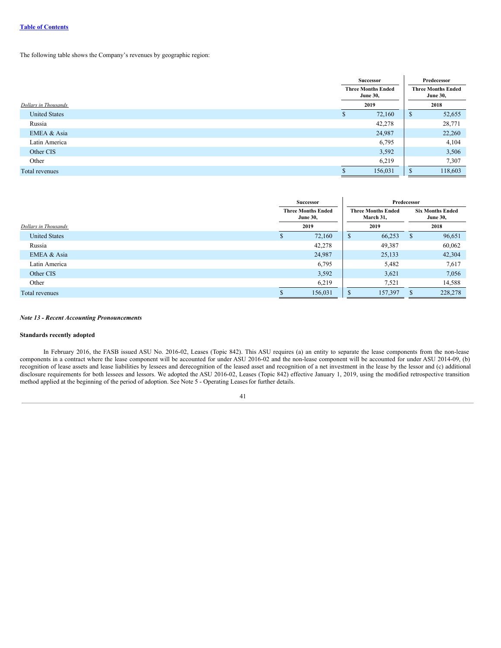# **Table of [Contents](#page-0-0)**

The following table shows the Company's revenues by geographic region:

|                      | Successor<br><b>Three Months Ended</b><br><b>June 30,</b> |         | Predecessor<br><b>Three Months Ended</b><br><b>June 30,</b> |         |
|----------------------|-----------------------------------------------------------|---------|-------------------------------------------------------------|---------|
| Dollars in Thousands | 2019                                                      |         |                                                             | 2018    |
| <b>United States</b> | S                                                         | 72,160  | \$                                                          | 52,655  |
| Russia               |                                                           | 42,278  |                                                             | 28,771  |
| EMEA & Asia          |                                                           | 24,987  |                                                             | 22,260  |
| Latin America        |                                                           | 6,795   |                                                             | 4,104   |
| Other CIS            |                                                           | 3,592   |                                                             | 3,506   |
| Other                |                                                           | 6,219   |                                                             | 7,307   |
| Total revenues       |                                                           | 156,031 |                                                             | 118,603 |

|                      |                                              | Successor |                                        |         | Predecessor                                |         |
|----------------------|----------------------------------------------|-----------|----------------------------------------|---------|--------------------------------------------|---------|
|                      | <b>Three Months Ended</b><br><b>June 30,</b> |           | <b>Three Months Ended</b><br>March 31, |         | <b>Six Months Ended</b><br><b>June 30,</b> |         |
| Dollars in Thousands |                                              | 2019      | 2019                                   |         | 2018                                       |         |
| <b>United States</b> | S                                            | 72,160    | $\mathcal{D}$                          | 66,253  | S                                          | 96,651  |
| Russia               |                                              | 42,278    |                                        | 49,387  |                                            | 60,062  |
| EMEA & Asia          |                                              | 24,987    |                                        | 25,133  |                                            | 42,304  |
| Latin America        |                                              | 6,795     |                                        | 5,482   |                                            | 7,617   |
| Other CIS            |                                              | 3,592     |                                        | 3,621   |                                            | 7,056   |
| Other                |                                              | 6,219     |                                        | 7,521   |                                            | 14,588  |
| Total revenues       |                                              | 156,031   | D                                      | 157,397 | S                                          | 228,278 |

#### *Note 13 - Recent Accounting Pronouncements*

#### **Standards recently adopted**

In February 2016, the FASB issued ASU No. 2016-02, Leases (Topic 842). This ASU requires (a) an entity to separate the lease components from the non-lease components in a contract where the lease component will be accounted for under ASU 2016-02 and the non-lease component will be accounted for under ASU 2014-09, (b) recognition of lease assets and lease liabilities by lessees and derecognition of the leased asset and recognition of a net investment in the lease by the lessor and (c) additional disclosure requirements for both lessees and lessors. We adopted the ASU 2016-02, Leases (Topic 842) effective January 1, 2019, using the modified retrospective transition method applied at the beginning of the period of adoption. See Note 5 - Operating Leasesfor further details.

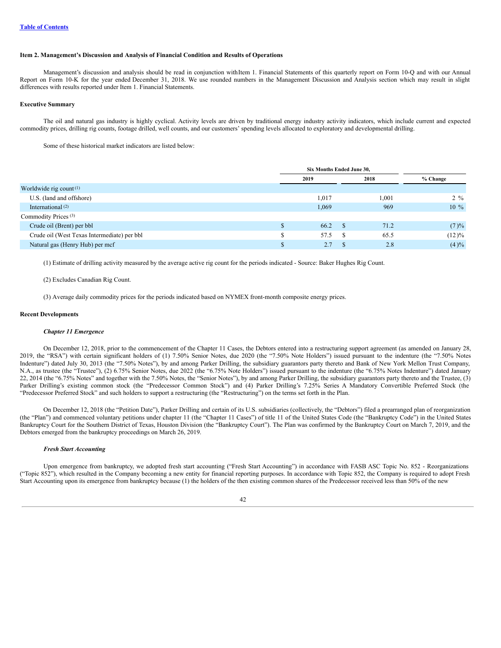#### **Item 2. Management's Discussion and Analysis of Financial Condition and Results of Operations**

Management's discussion and analysis should be read in conjunction withItem 1. Financial Statements of this quarterly report on Form 10-Q and with our Annual Report on Form 10-K for the year ended December 31, 2018. We use rounded numbers in the Management Discussion and Analysis section which may result in slight differences with results reported under Item 1. Financial Statements.

# **Executive Summary**

The oil and natural gas industry is highly cyclical. Activity levels are driven by traditional energy industry activity indicators, which include current and expected commodity prices, drilling rig counts, footage drilled, well counts, and our customers' spending levels allocated to exploratory and developmental drilling.

Some of these historical market indicators are listed below:

|                                             | Six Months Ended June 30, |      |       |          |
|---------------------------------------------|---------------------------|------|-------|----------|
|                                             | 2019                      | 2018 |       | % Change |
| Worldwide rig count $(1)$                   |                           |      |       |          |
| U.S. (land and offshore)                    | 1,017                     |      | 1,001 | $2\%$    |
| International <sup>(2)</sup>                | 1,069                     |      | 969   | $10\%$   |
| Commodity Prices <sup>(3)</sup>             |                           |      |       |          |
| Crude oil (Brent) per bbl                   | 66.2                      | - S  | 71.2  | (7)%     |
| Crude oil (West Texas Intermediate) per bbl | 57.5                      | -S   | 65.5  | $(12)\%$ |
| Natural gas (Henry Hub) per mcf             | 2.7                       |      | 2.8   | $(4)\%$  |

(1) Estimate of drilling activity measured by the average active rig count for the periods indicated - Source: Baker Hughes Rig Count.

(2) Excludes Canadian Rig Count.

(3) Average daily commodity prices for the periods indicated based on NYMEX front-month composite energy prices.

#### **Recent Developments**

#### *Chapter 11 Emergence*

On December 12, 2018, prior to the commencement of the Chapter 11 Cases, the Debtors entered into a restructuring support agreement (as amended on January 28, 2019, the "RSA") with certain significant holders of (1) 7.50% Senior Notes, due 2020 (the "7.50% Note Holders") issued pursuant to the indenture (the "7.50% Notes Indenture") dated July 30, 2013 (the "7.50% Notes"), by and among Parker Drilling, the subsidiary guarantors party thereto and Bank of New York Mellon Trust Company, N.A., as trustee (the "Trustee"), (2) 6.75% Senior Notes, due 2022 (the "6.75% Note Holders") issued pursuant to the indenture (the "6.75% Notes Indenture") dated January 22, 2014 (the "6.75% Notes" and together with the 7.50% Notes, the "Senior Notes"), by and among Parker Drilling, the subsidiary guarantors party thereto and the Trustee, (3) Parker Drilling's existing common stock (the "Predecessor Common Stock") and (4) Parker Drilling's 7.25% Series A Mandatory Convertible Preferred Stock (the "Predecessor Preferred Stock" and such holders to support a restructuring (the "Restructuring") on the terms set forth in the Plan.

On December 12, 2018 (the "Petition Date"), Parker Drilling and certain of its U.S. subsidiaries (collectively, the "Debtors") filed a prearranged plan of reorganization (the "Plan") and commenced voluntary petitions under chapter 11 (the "Chapter 11 Cases") of title 11 of the United States Code (the "Bankruptcy Code") in the United States Bankruptcy Court for the Southern District of Texas, Houston Division (the "Bankruptcy Court"). The Plan was confirmed by the Bankruptcy Court on March 7, 2019, and the Debtors emerged from the bankruptcy proceedings on March 26, 2019.

# *Fresh Start Accounting*

Upon emergence from bankruptcy, we adopted fresh start accounting ("Fresh Start Accounting") in accordance with FASB ASC Topic No. 852 - Reorganizations ("Topic 852"), which resulted in the Company becoming a new entity for financial reporting purposes. In accordance with Topic 852, the Company is required to adopt Fresh Start Accounting upon its emergence from bankruptcy because (1) the holders of the then existing common shares of the Predecessor received less than 50% of the new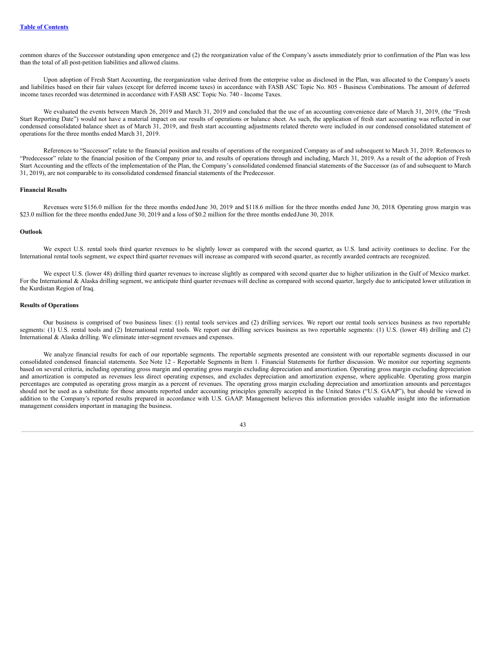common shares of the Successor outstanding upon emergence and (2) the reorganization value of the Company's assets immediately prior to confirmation of the Plan was less than the total of all post-petition liabilities and allowed claims.

Upon adoption of Fresh Start Accounting, the reorganization value derived from the enterprise value as disclosed in the Plan, was allocated to the Company's assets and liabilities based on their fair values (except for deferred income taxes) in accordance with FASB ASC Topic No. 805 - Business Combinations. The amount of deferred income taxes recorded was determined in accordance with FASB ASC Topic No. 740 - Income Taxes.

We evaluated the events between March 26, 2019 and March 31, 2019 and concluded that the use of an accounting convenience date of March 31, 2019, (the "Fresh Start Reporting Date") would not have a material impact on our results of operations or balance sheet. As such, the application of fresh start accounting was reflected in our condensed consolidated balance sheet as of March 31, 2019, and fresh start accounting adjustments related thereto were included in our condensed consolidated statement of operations for the three months ended March 31, 2019.

References to "Successor" relate to the financial position and results of operations of the reorganized Company as of and subsequent to March 31, 2019. References to "Predecessor" relate to the financial position of the Company prior to, and results of operations through and including, March 31, 2019. As a result of the adoption of Fresh Start Accounting and the effects of the implementation of the Plan, the Company's consolidated condensed financial statements of the Successor (as of and subsequent to March 31, 2019), are not comparable to its consolidated condensed financial statements of the Predecessor.

### **Financial Results**

Revenues were \$156.0 million for the three months endedJune 30, 2019 and \$118.6 million for the three months ended June 30, 2018. Operating gross margin was \$23.0 million for the three months endedJune 30, 2019 and a loss of \$0.2 million for the three months endedJune 30, 2018.

### **Outlook**

We expect U.S. rental tools third quarter revenues to be slightly lower as compared with the second quarter, as U.S. land activity continues to decline. For the International rental tools segment, we expect third quarter revenues will increase as compared with second quarter, as recently awarded contracts are recognized.

We expect U.S. (lower 48) drilling third quarter revenues to increase slightly as compared with second quarter due to higher utilization in the Gulf of Mexico market. For the International & Alaska drilling segment, we anticipate third quarter revenues will decline as compared with second quarter, largely due to anticipated lower utilization in the Kurdistan Region of Iraq.

#### **Results of Operations**

Our business is comprised of two business lines: (1) rental tools services and (2) drilling services. We report our rental tools services business as two reportable segments: (1) U.S. rental tools and (2) International rental tools. We report our drilling services business as two reportable segments: (1) U.S. (lower 48) drilling and (2) International & Alaska drilling. We eliminate inter-segment revenues and expenses.

We analyze financial results for each of our reportable segments. The reportable segments presented are consistent with our reportable segments discussed in our consolidated condensed financial statements. See Note 12 - Reportable Segments in Item 1. Financial Statements for further discussion. We monitor our reporting segments based on several criteria, including operating gross margin and operating gross margin excluding depreciation and amortization. Operating gross margin excluding depreciation and amortization is computed as revenues less direct operating expenses, and excludes depreciation and amortization expense, where applicable. Operating gross margin percentages are computed as operating gross margin as a percent of revenues. The operating gross margin excluding depreciation and amortization amounts and percentages should not be used as a substitute for those amounts reported under accounting principles generally accepted in the United States ("U.S. GAAP"), but should be viewed in addition to the Company's reported results prepared in accordance with U.S. GAAP. Management believes this information provides valuable insight into the information management considers important in managing the business.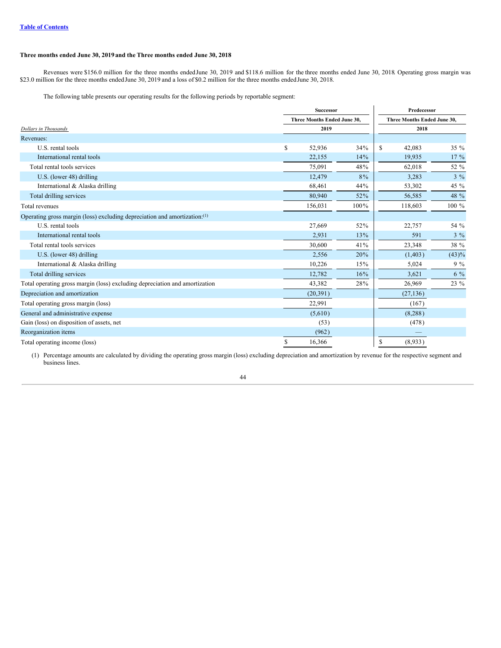# **Three months ended June 30, 2019and the Three months ended June 30, 2018**

Revenues were \$156.0 million for the three months endedJune 30, 2019 and \$118.6 million for the three months ended June 30, 2018. Operating gross margin was \$23.0 million for the three months endedJune 30, 2019 and a loss of \$0.2 million for the three months endedJune 30, 2018.

The following table presents our operating results for the following periods by reportable segment:

|                                                                             |    | <b>Successor</b>                   |       | Predecessor                 |          |  |  |
|-----------------------------------------------------------------------------|----|------------------------------------|-------|-----------------------------|----------|--|--|
|                                                                             |    | <b>Three Months Ended June 30.</b> |       | Three Months Ended June 30. |          |  |  |
| Dollars in Thousands                                                        |    | 2019                               |       | 2018                        |          |  |  |
| Revenues:                                                                   |    |                                    |       |                             |          |  |  |
| U.S. rental tools                                                           | S. | 52,936                             | 34%   | $\mathbf S$<br>42,083       | $35\%$   |  |  |
| International rental tools                                                  |    | 22,155                             | 14%   | 19,935                      | $17\%$   |  |  |
| Total rental tools services                                                 |    | 75,091                             | 48%   | 62,018                      | 52 %     |  |  |
| U.S. (lower 48) drilling                                                    |    | 12,479                             | $8\%$ | 3,283                       | $3\%$    |  |  |
| International & Alaska drilling                                             |    | 68,461                             | 44%   | 53,302                      | 45 %     |  |  |
| Total drilling services                                                     |    | 80,940                             | 52%   | 56,585                      | 48 %     |  |  |
| Total revenues                                                              |    | 156,031                            | 100%  | 118,603                     | $100 \%$ |  |  |
| Operating gross margin (loss) excluding depreciation and amortization:(1)   |    |                                    |       |                             |          |  |  |
| U.S. rental tools                                                           |    | 27,669                             | 52%   | 22,757                      | 54 %     |  |  |
| International rental tools                                                  |    | 2,931                              | 13%   | 591                         | $3\%$    |  |  |
| Total rental tools services                                                 |    | 30,600                             | 41%   | 23,348                      | 38 %     |  |  |
| U.S. (lower 48) drilling                                                    |    | 2,556                              | 20%   | (1, 403)                    | $(43)\%$ |  |  |
| International & Alaska drilling                                             |    | 10,226                             | 15%   | 5,024                       | $9\%$    |  |  |
| Total drilling services                                                     |    | 12,782                             | 16%   | 3,621                       | $6\%$    |  |  |
| Total operating gross margin (loss) excluding depreciation and amortization |    | 43,382                             | 28%   | 26,969                      | 23 %     |  |  |
| Depreciation and amortization                                               |    | (20, 391)                          |       | (27, 136)                   |          |  |  |
| Total operating gross margin (loss)                                         |    | 22,991                             |       | (167)                       |          |  |  |
| General and administrative expense                                          |    | (5,610)                            |       | (8,288)                     |          |  |  |
| Gain (loss) on disposition of assets, net                                   |    | (53)                               |       | (478)                       |          |  |  |
| Reorganization items                                                        |    | (962)                              |       |                             |          |  |  |
| Total operating income (loss)                                               | \$ | 16,366                             |       | \$<br>(8,933)               |          |  |  |

(1) Percentage amounts are calculated by dividing the operating gross margin (loss) excluding depreciation and amortization by revenue for the respective segment and business lines.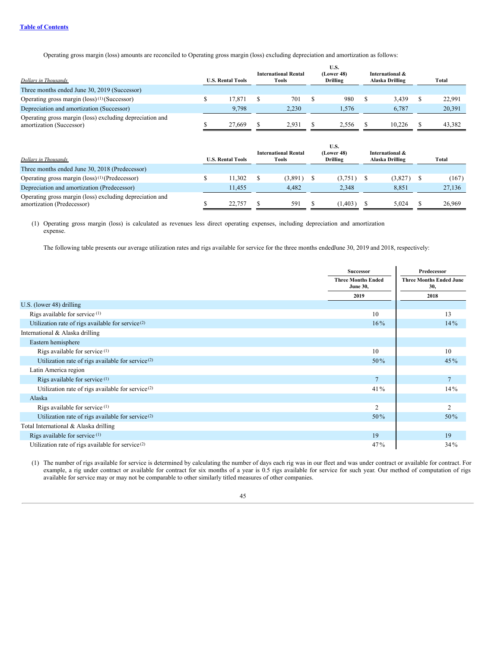Operating gross margin (loss) amounts are reconciled to Operating gross margin (loss) excluding depreciation and amortization as follows:

|                                                                                      |                          | <b>International Rental</b> | U.S.<br>(Lower 48) | International & |        |
|--------------------------------------------------------------------------------------|--------------------------|-----------------------------|--------------------|-----------------|--------|
| Dollars in Thousands                                                                 | <b>U.S. Rental Tools</b> | Tools                       | <b>Drilling</b>    | Alaska Drilling | Total  |
| Three months ended June 30, 2019 (Successor)                                         |                          |                             |                    |                 |        |
| Operating gross margin $(\text{loss})^{(1)}$ (Successor)                             | 17.871                   | 701                         | 980                | 3.439           | 22.991 |
| Depreciation and amortization (Successor)                                            | 9.798                    | 2.230                       | 1.576              | 6.787           | 20,391 |
| Operating gross margin (loss) excluding depreciation and<br>amortization (Successor) | 27,669                   | 2.931                       | 2.556              | 10.226          | 43.382 |

| Dollars in Thousands                                                                   | <b>U.S. Rental Tools</b> | <b>International Rental</b><br>Tools | U.S.<br>(Lower 48)<br>Drilling | International &<br>Alaska Drilling | Total  |
|----------------------------------------------------------------------------------------|--------------------------|--------------------------------------|--------------------------------|------------------------------------|--------|
| Three months ended June 30, 2018 (Predecessor)                                         |                          |                                      |                                |                                    |        |
| Operating gross margin $(\text{loss})^{(1)}$ (Predecessor)                             | 11.302                   | (3,891)                              | (3,751)                        | (3,827)                            | (167)  |
| Depreciation and amortization (Predecessor)                                            | 11.455                   | 4.482                                | 2.348                          | 8.851                              | 27,136 |
| Operating gross margin (loss) excluding depreciation and<br>amortization (Predecessor) | 22,757                   | 591                                  | (1, 403)                       | 5.024                              | 26,969 |

(1) Operating gross margin (loss) is calculated as revenues less direct operating expenses, including depreciation and amortization expense.

The following table presents our average utilization rates and rigs available for service for the three months endedJune 30, 2019 and 2018, respectively:

|                                                               | Successor                                    | Predecessor                           |
|---------------------------------------------------------------|----------------------------------------------|---------------------------------------|
|                                                               | <b>Three Months Ended</b><br><b>June 30,</b> | <b>Three Months Ended June</b><br>30, |
|                                                               | 2019                                         | 2018                                  |
| U.S. (lower 48) drilling                                      |                                              |                                       |
| Rigs available for service <sup>(1)</sup>                     | 10                                           | 13                                    |
| Utilization rate of rigs available for service <sup>(2)</sup> | 14%                                          |                                       |
| International & Alaska drilling                               |                                              |                                       |
| Eastern hemisphere                                            |                                              |                                       |
| Rigs available for service <sup>(1)</sup>                     | 10                                           | 10                                    |
| Utilization rate of rigs available for service <sup>(2)</sup> | $50\%$                                       | $45\%$                                |
| Latin America region                                          |                                              |                                       |
| Rigs available for service <sup>(1)</sup>                     | $\overline{7}$                               | $\overline{7}$                        |
| Utilization rate of rigs available for service <sup>(2)</sup> | 41%                                          | $14\%$                                |
| Alaska                                                        |                                              |                                       |
| Rigs available for service <sup>(1)</sup>                     | $\overline{2}$                               | 2                                     |
| Utilization rate of rigs available for service <sup>(2)</sup> | $50\%$                                       | 50%                                   |
| Total International & Alaska drilling                         |                                              |                                       |
| Rigs available for service <sup>(1)</sup>                     | 19                                           | 19                                    |
| Utilization rate of rigs available for service <sup>(2)</sup> | 47%                                          | 34%                                   |

(1) The number of rigs available for service is determined by calculating the number of days each rig was in our fleet and was under contract or available for contract. For example, a rig under contract or available for contract for six months of a year is 0.5 rigs available for service for such year. Our method of computation of rigs available for service may or may not be comparable to other similarly titled measures of other companies.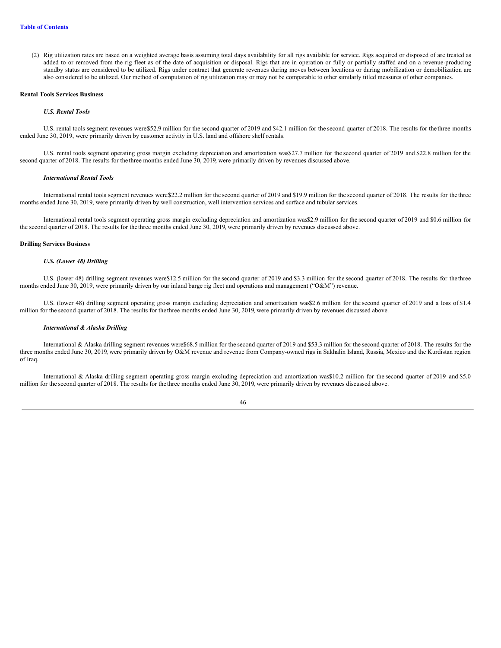(2) Rig utilization rates are based on a weighted average basis assuming total days availability for all rigs available for service. Rigs acquired or disposed of are treated as added to or removed from the rig fleet as of the date of acquisition or disposal. Rigs that are in operation or fully or partially staffed and on a revenue-producing standby status are considered to be utilized. Rigs under contract that generate revenues during moves between locations or during mobilization or demobilization are also considered to be utilized. Our method of computation of rig utilization may or may not be comparable to other similarly titled measures of other companies.

#### **Rental Tools Services Business**

#### *U.S. Rental Tools*

U.S. rental tools segment revenues were\$52.9 million for the second quarter of 2019 and \$42.1 million for the second quarter of 2018. The results for the three months ended June 30, 2019, were primarily driven by customer activity in U.S. land and offshore shelf rentals.

U.S. rental tools segment operating gross margin excluding depreciation and amortization was\$27.7 million for the second quarter of 2019 and \$22.8 million for the second quarter of 2018. The results for the three months ended June 30, 2019, were primarily driven by revenues discussed above.

#### *International Rental Tools*

International rental tools segment revenues were\$22.2 million for the second quarter of 2019 and \$19.9 million for the second quarter of 2018. The results for the three months ended June 30, 2019, were primarily driven by well construction, well intervention services and surface and tubular services.

International rental tools segment operating gross margin excluding depreciation and amortization was\$2.9 million for the second quarter of 2019 and \$0.6 million for the second quarter of 2018. The results for the three months ended June 30, 2019, were primarily driven by revenues discussed above.

#### **Drilling Services Business**

# *U.S. (Lower 48) Drilling*

U.S. (lower 48) drilling segment revenues were\$12.5 million for the second quarter of 2019 and \$3.3 million for the second quarter of 2018. The results for the three months ended June 30, 2019, were primarily driven by our inland barge rig fleet and operations and management ("O&M") revenue.

U.S. (lower 48) drilling segment operating gross margin excluding depreciation and amortization was\$2.6 million for the second quarter of 2019 and a loss of \$1.4 million for the second quarter of 2018. The results for the three months ended June 30, 2019, were primarily driven by revenues discussed above.

# *International & Alaska Drilling*

International & Alaska drilling segment revenues were\$68.5 million for the second quarter of 2019 and \$53.3 million for the second quarter of 2018. The results for the three months ended June 30, 2019, were primarily driven by O&M revenue and revenue from Company-owned rigs in Sakhalin Island, Russia, Mexico and the Kurdistan region of Iraq.

International & Alaska drilling segment operating gross margin excluding depreciation and amortization was\$10.2 million for the second quarter of 2019 and \$5.0 million for the second quarter of 2018. The results for the three months ended June 30, 2019, were primarily driven by revenues discussed above.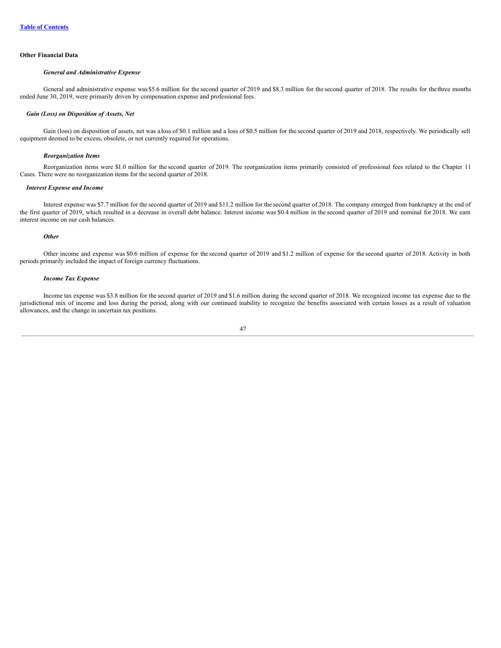#### **Other Financial Data**

### *General and Administrative Expense*

General and administrative expense was \$5.6 million for the second quarter of 2019 and \$8.3 million for the second quarter of 2018. The results for the three months ended June 30, 2019, were primarily driven by compensation expense and professional fees.

#### *Gain (Loss) on Disposition of Assets, Net*

Gain (loss) on disposition of assets, net was a loss of \$0.1 million and a loss of \$0.5 million for the second quarter of 2019 and 2018, respectively. We periodically sell equipment deemed to be excess, obsolete, or not currently required for operations.

#### *Reorganization Items*

Reorganization items were \$1.0 million for the second quarter of 2019. The reorganization items primarily consisted of professional fees related to the Chapter 11 Cases. There were no reorganization items for the second quarter of 2018.

# *Interest Expense and Income*

Interest expense was \$7.7 million for the second quarter of 2019 and \$11.2 million for the second quarter of 2018. The company emerged from bankruptcy at the end of the first quarter of 2019, which resulted in a decrease in overall debt balance. Interest income was \$0.4 million in the second quarter of 2019 and nominal for 2018. We earn interest income on our cash balances.

#### *Other*

Other income and expense was \$0.6 million of expense for the second quarter of 2019 and \$1.2 million of expense for the second quarter of 2018. Activity in both periods primarily included the impact of foreign currency fluctuations.

#### *Income Tax Expense*

Income tax expense was \$3.8 million for the second quarter of 2019 and \$1.6 million during the second quarter of 2018. We recognized income tax expense due to the jurisdictional mix of income and loss during the period, along with our continued inability to recognize the benefits associated with certain losses as a result of valuation allowances, and the change in uncertain tax positions.

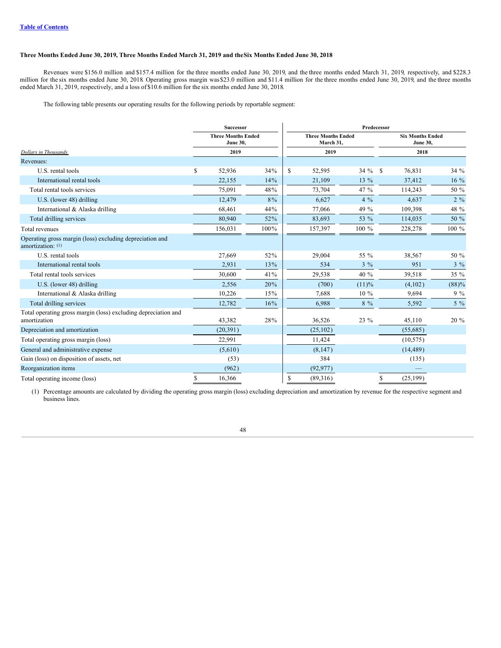# Three Months Ended June 30, 2019, Three Months Ended March 31, 2019 and the Six Months Ended June 30, 2018

Revenues were \$156.0 million and \$157.4 million for the three months ended June 30, 2019, and the three months ended March 31, 2019, respectively, and \$228.3 million for the six months ended June 30, 2018. Operating gross margin was \$23.0 million and \$11.4 million for the three months ended June 30, 2019, and the three months ended March 31, 2019, respectively, and a loss of \$10.6 million for the six months ended June 30, 2018.

The following table presents our operating results for the following periods by reportable segment:

|                                                                                | Successor                                    |       |    | Predecessor                            |       |               |                                            |        |  |  |
|--------------------------------------------------------------------------------|----------------------------------------------|-------|----|----------------------------------------|-------|---------------|--------------------------------------------|--------|--|--|
|                                                                                | <b>Three Months Ended</b><br><b>June 30,</b> |       |    | <b>Three Months Ended</b><br>March 31, |       |               | <b>Six Months Ended</b><br><b>June 30,</b> |        |  |  |
| Dollars in Thousands                                                           | 2019                                         |       |    | 2019                                   |       |               | 2018                                       |        |  |  |
| Revenues:                                                                      |                                              |       |    |                                        |       |               |                                            |        |  |  |
| U.S. rental tools                                                              | \$<br>52,936                                 | 34%   | \$ | 52,595                                 | 34 %  | <sup>\$</sup> | 76,831                                     | 34 %   |  |  |
| International rental tools                                                     | 22,155                                       | 14%   |    | 21.109                                 | 13 %  |               | 37,412                                     | 16 %   |  |  |
| Total rental tools services                                                    | 75,091                                       | 48%   |    | 73,704                                 | 47 %  |               | 114,243                                    | 50 %   |  |  |
| U.S. (lower 48) drilling                                                       | 12,479                                       | $8\%$ |    | 6,627                                  | $4\%$ |               | 4,637                                      | $2\%$  |  |  |
| International & Alaska drilling                                                | 68,461                                       | 44%   |    | 77,066                                 | 49 %  |               | 109,398                                    | 48 %   |  |  |
| Total drilling services                                                        | 80,940                                       | 52%   |    | 83,693                                 | 53 %  |               | 114,035                                    | 50 %   |  |  |
| Total revenues                                                                 | 156,031                                      | 100%  |    | 157,397                                | 100 % |               | 228,278                                    | 100 %  |  |  |
| Operating gross margin (loss) excluding depreciation and<br>amortization: (1)  |                                              |       |    |                                        |       |               |                                            |        |  |  |
| U.S. rental tools                                                              | 27,669                                       | 52%   |    | 29,004                                 | 55 %  |               | 38,567                                     | 50 %   |  |  |
| International rental tools                                                     | 2,931                                        | 13%   |    | 534                                    | $3\%$ |               | 951                                        | $3\%$  |  |  |
| Total rental tools services                                                    | 30,600                                       | 41%   |    | 29,538                                 | 40 %  |               | 39,518                                     | 35 %   |  |  |
| U.S. (lower 48) drilling                                                       | 2,556                                        | 20%   |    | (700)                                  | (11)% |               | (4,102)                                    | (88)%  |  |  |
| International & Alaska drilling                                                | 10,226                                       | 15%   |    | 7,688                                  | 10 %  |               | 9,694                                      | $9\%$  |  |  |
| Total drilling services                                                        | 12,782                                       | 16%   |    | 6,988                                  | $8\%$ |               | 5,592                                      | $5\%$  |  |  |
| Total operating gross margin (loss) excluding depreciation and<br>amortization | 43,382                                       | 28%   |    | 36,526                                 | 23 %  |               | 45,110                                     | $20\%$ |  |  |
| Depreciation and amortization                                                  | (20, 391)                                    |       |    | (25, 102)                              |       |               | (55,685)                                   |        |  |  |
| Total operating gross margin (loss)                                            | 22,991                                       |       |    | 11,424                                 |       |               | (10, 575)                                  |        |  |  |
| General and administrative expense                                             | (5,610)                                      |       |    | (8,147)                                |       |               | (14, 489)                                  |        |  |  |
| Gain (loss) on disposition of assets, net                                      | (53)                                         |       |    | 384                                    |       |               | (135)                                      |        |  |  |
| Reorganization items                                                           | (962)                                        |       |    | (92, 977)                              |       |               |                                            |        |  |  |
| Total operating income (loss)                                                  | \$<br>16,366                                 |       | \$ | (89,316)                               |       | \$            | (25, 199)                                  |        |  |  |

(1) Percentage amounts are calculated by dividing the operating gross margin (loss) excluding depreciation and amortization by revenue for the respective segment and business lines.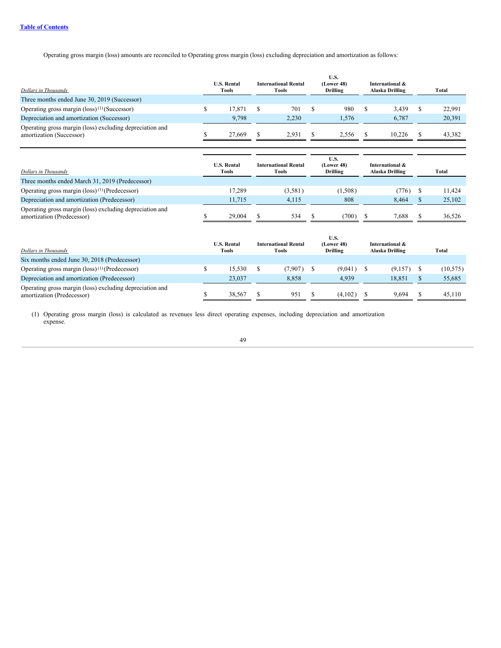Operating gross margin (loss) amounts are reconciled to Operating gross margin (loss) excluding depreciation and amortization as follows:

| Dollars in Thousands                                                                 | <b>U.S. Rental</b><br>Tools | <b>International Rental</b><br>Tools | U.S.<br>(Lower 48)<br><b>Drilling</b> | International &<br>Alaska Drilling | Total  |
|--------------------------------------------------------------------------------------|-----------------------------|--------------------------------------|---------------------------------------|------------------------------------|--------|
| Three months ended June 30, 2019 (Successor)                                         |                             |                                      |                                       |                                    |        |
| Operating gross margin (loss) <sup>(1)</sup> (Successor)                             | 17.871                      | 701                                  | 980                                   | 3.439                              | 22,991 |
| Depreciation and amortization (Successor)                                            | 9.798                       | 2.230                                | 1.576                                 | 6.787                              | 20,391 |
| Operating gross margin (loss) excluding depreciation and<br>amortization (Successor) | 27,669                      | 2.931                                | 2.556                                 | 10.226                             | 43.382 |

| Dollars in Thousands<br>Three months ended March 31, 2019 (Predecessor)                | <b>U.S. Rental</b><br>Tools | <b>International Rental</b><br>Tools | U.S.<br>(Lower 48)<br><b>Drilling</b> | International &<br>Alaska Drilling | Total  |
|----------------------------------------------------------------------------------------|-----------------------------|--------------------------------------|---------------------------------------|------------------------------------|--------|
| Operating gross margin $(\text{loss})^{(1)}$ (Predecessor)                             | 17.289                      | (3,581)                              | (1,508)                               | (776)                              | 11.424 |
| Depreciation and amortization (Predecessor)                                            | 11.715                      | 4.115                                | 808                                   | 8.464                              | 25,102 |
| Operating gross margin (loss) excluding depreciation and<br>amortization (Predecessor) | 29,004                      | 534                                  | (700)                                 | 7.688                              | 36.526 |

| Dollars in Thousands                                                                   | <b>U.S. Rental</b><br>Tools | <b>International Rental</b><br>Tools | U.S.<br>(Lower 48)<br>Drilling | International &<br>Alaska Drilling | Total     |
|----------------------------------------------------------------------------------------|-----------------------------|--------------------------------------|--------------------------------|------------------------------------|-----------|
| Six months ended June 30, 2018 (Predecessor)                                           |                             |                                      |                                |                                    |           |
| Operating gross margin $(\text{loss})^{(1)}$ (Predecessor)                             | 15.530                      | (7,907)                              | (9,041)                        | (9,157)                            | (10, 575) |
| Depreciation and amortization (Predecessor)                                            | 23,037                      | 8.858                                | 4.939                          | 18.851                             | 55,685    |
| Operating gross margin (loss) excluding depreciation and<br>amortization (Predecessor) | 38.567                      | 951                                  | (4,102)                        | 9.694                              | 45.110    |

(1) Operating gross margin (loss) is calculated as revenues less direct operating expenses, including depreciation and amortization expense.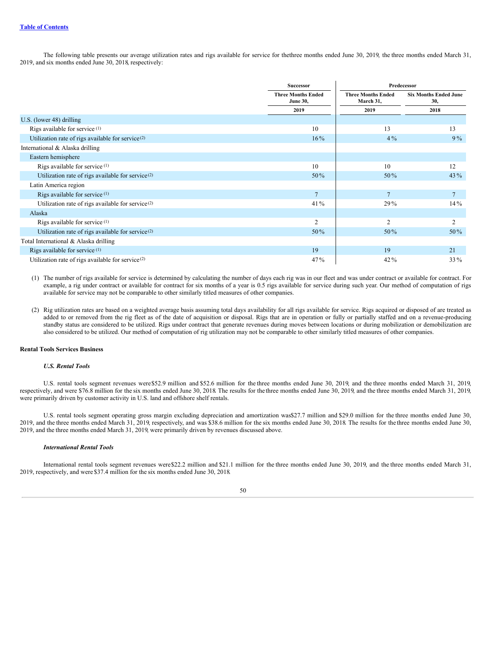The following table presents our average utilization rates and rigs available for service for thethree months ended June 30, 2019, the three months ended March 31, 2019, and six months ended June 30, 2018, respectively:

|                                                               | <b>Successor</b>                             | Predecessor                            |                                     |  |  |  |  |
|---------------------------------------------------------------|----------------------------------------------|----------------------------------------|-------------------------------------|--|--|--|--|
|                                                               | <b>Three Months Ended</b><br><b>June 30,</b> | <b>Three Months Ended</b><br>March 31, | <b>Six Months Ended June</b><br>30, |  |  |  |  |
|                                                               | 2019                                         | 2019                                   | 2018                                |  |  |  |  |
| U.S. (lower $48$ ) drilling                                   |                                              |                                        |                                     |  |  |  |  |
| Rigs available for service <sup>(1)</sup>                     | 10                                           | 13                                     | 13                                  |  |  |  |  |
| Utilization rate of rigs available for service <sup>(2)</sup> | $16\%$                                       | $4\%$                                  | $9\%$                               |  |  |  |  |
| International & Alaska drilling                               |                                              |                                        |                                     |  |  |  |  |
| Eastern hemisphere                                            |                                              |                                        |                                     |  |  |  |  |
| Rigs available for service <sup>(1)</sup>                     | 10                                           | 10                                     | 12                                  |  |  |  |  |
| Utilization rate of rigs available for service $(2)$          | 50%                                          | 50%                                    | 43 %                                |  |  |  |  |
| Latin America region                                          |                                              |                                        |                                     |  |  |  |  |
| Rigs available for service $(1)$                              | $\overline{7}$                               | $\overline{7}$                         | $7\phantom{.0}$                     |  |  |  |  |
| Utilization rate of rigs available for service <sup>(2)</sup> | $41\%$                                       | $29\%$                                 | $14\%$                              |  |  |  |  |
| Alaska                                                        |                                              |                                        |                                     |  |  |  |  |
| Rigs available for service $(1)$                              | $\overline{2}$                               | $\overline{2}$                         | 2                                   |  |  |  |  |
| Utilization rate of rigs available for service <sup>(2)</sup> | $50\%$                                       | 50%                                    | 50%                                 |  |  |  |  |
| Total International & Alaska drilling                         |                                              |                                        |                                     |  |  |  |  |
| Rigs available for service <sup>(1)</sup>                     | 19                                           | 19                                     | 21                                  |  |  |  |  |
| Utilization rate of rigs available for service <sup>(2)</sup> | $47\%$                                       | 42%                                    | <b>33</b> %                         |  |  |  |  |

(1) The number of rigs available for service is determined by calculating the number of days each rig was in our fleet and was under contract or available for contract. For example, a rig under contract or available for contract for six months of a year is 0.5 rigs available for service during such year. Our method of computation of rigs available for service may not be comparable to other similarly titled measures of other companies.

(2) Rig utilization rates are based on a weighted average basis assuming total days availability for all rigs available for service. Rigs acquired or disposed of are treated as added to or removed from the rig fleet as of the date of acquisition or disposal. Rigs that are in operation or fully or partially staffed and on a revenue-producing standby status are considered to be utilized. Rigs under contract that generate revenues during moves between locations or during mobilization or demobilization are also considered to be utilized. Our method of computation of rig utilization may not be comparable to other similarly titled measures of other companies.

#### **Rental Tools Services Business**

# *U.S. Rental Tools*

U.S. rental tools segment revenues were\$52.9 million and \$52.6 million for the three months ended June 30, 2019, and the three months ended March 31, 2019, respectively, and were \$76.8 million for the six months ended June 30, 2018. The results for the three months ended June 30, 2019, and the three months ended March 31, 2019, were primarily driven by customer activity in U.S. land and offshore shelf rentals.

U.S. rental tools segment operating gross margin excluding depreciation and amortization was\$27.7 million and \$29.0 million for the three months ended June 30, 2019, and the three months ended March 31, 2019, respectively, and was \$38.6 million for the six months ended June 30, 2018. The results for the three months ended June 30, 2019, and the three months ended March 31, 2019, were primarily driven by revenues discussed above.

# *International Rental Tools*

International rental tools segment revenues were\$22.2 million and \$21.1 million for the three months ended June 30, 2019, and the three months ended March 31, 2019, respectively, and were \$37.4 million for the six months ended June 30, 2018.

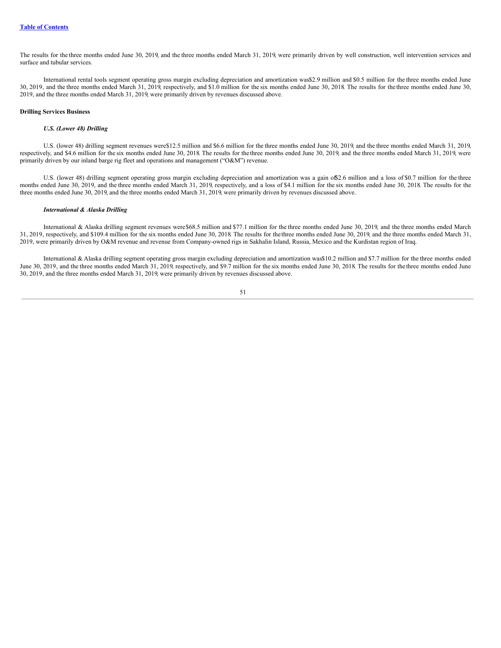The results for the three months ended June 30, 2019, and the three months ended March 31, 2019, were primarily driven by well construction, well intervention services and surface and tubular services.

International rental tools segment operating gross margin excluding depreciation and amortization was\$2.9 million and \$0.5 million for the three months ended June 30, 2019, and the three months ended March 31, 2019, respectively, and \$1.0 million for the six months ended June 30, 2018. The results for the three months ended June 30, 2019, and the three months ended March 31, 2019, were primarily driven by revenues discussed above.

# **Drilling Services Business**

#### *U.S. (Lower 48) Drilling*

U.S. (lower 48) drilling segment revenues were\$12.5 million and \$6.6 million for the three months ended June 30, 2019, and the three months ended March 31, 2019, respectively, and \$4.6 million for the six months ended June 30, 2018. The results for the three months ended June 30, 2019, and the three months ended March 31, 2019, were primarily driven by our inland barge rig fleet and operations and management ("O&M") revenue.

U.S. (lower 48) drilling segment operating gross margin excluding depreciation and amortization was a gain of \$2.6 million and a loss of \$0.7 million for the three months ended June 30, 2019, and the three months ended March 31, 2019, respectively, and a loss of \$4.1 million for the six months ended June 30, 2018. The results for the three months ended June 30, 2019, and the three months ended March 31, 2019, were primarily driven by revenues discussed above.

#### *International & Alaska Drilling*

International & Alaska drilling segment revenues were\$68.5 million and \$77.1 million for the three months ended June 30, 2019, and the three months ended March 31, 2019, respectively, and \$109.4 million for the six months ended June 30, 2018. The results for the three months ended June 30, 2019, and the three months ended March 31, 2019, were primarily driven by O&M revenue and revenue from Company-owned rigs in Sakhalin Island, Russia, Mexico and the Kurdistan region of Iraq.

International & Alaska drilling segment operating gross margin excluding depreciation and amortization was\$10.2 million and \$7.7 million for the three months ended June 30, 2019, and the three months ended March 31, 2019, respectively, and \$9.7 million for the six months ended June 30, 2018. The results for the three months ended June 30, 2019, and the three months ended March 31, 2019, were primarily driven by revenues discussed above.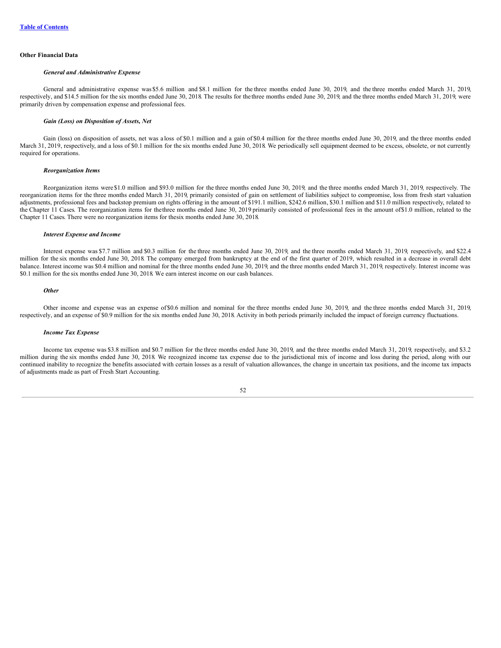### **Other Financial Data**

#### *General and Administrative Expense*

General and administrative expense was \$5.6 million and \$8.1 million for the three months ended June 30, 2019, and the three months ended March 31, 2019, respectively, and \$14.5 million for the six months ended June 30, 2018. The results for the three months ended June 30, 2019, and the three months ended March 31, 2019, were primarily driven by compensation expense and professional fees.

#### *Gain (Loss) on Disposition of Assets, Net*

Gain (loss) on disposition of assets, net was a loss of \$0.1 million and a gain of \$0.4 million for the three months ended June 30, 2019, and the three months ended March 31, 2019, respectively, and a loss of \$0.1 million for the six months ended June 30, 2018. We periodically sell equipment deemed to be excess, obsolete, or not currently required for operations.

#### *Reorganization Items*

Reorganization items were \$1.0 million and \$93.0 million for the three months ended June 30, 2019, and the three months ended March 31, 2019, respectively. The reorganization items for the three months ended March 31, 2019, primarily consisted of gain on settlement of liabilities subject to compromise, loss from fresh start valuation adjustments, professional fees and backstop premium on rights offering in the amount of \$191.1 million, \$242.6 million, \$30.1 million and \$11.0 million respectively, related to the Chapter 11 Cases. The reorganization items for thethree months ended June 30, 2019 primarily consisted of professional fees in the amount of\$1.0 million, related to the Chapter 11 Cases. There were no reorganization items for thesix months ended June 30, 2018.

#### *Interest Expense and Income*

Interest expense was \$7.7 million and \$0.3 million for the three months ended June 30, 2019, and the three months ended March 31, 2019, respectively, and \$22.4 million for the six months ended June 30, 2018. The company emerged from bankruptcy at the end of the first quarter of 2019, which resulted in a decrease in overall debt balance. Interest income was \$0.4 million and nominal for the three months ended June 30, 2019, and the three months ended March 31, 2019, respectively. Interest income was \$0.1 million for the six months ended June 30, 2018. We earn interest income on our cash balances.

#### *Other*

Other income and expense was an expense of \$0.6 million and nominal for the three months ended June 30, 2019, and the three months ended March 31, 2019, respectively, and an expense of \$0.9 million for the six months ended June 30, 2018. Activity in both periods primarily included the impact of foreign currency fluctuations.

#### *Income Tax Expense*

Income tax expense was \$3.8 million and \$0.7 million for the three months ended June 30, 2019, and the three months ended March 31, 2019, respectively, and \$3.2 million during the six months ended June 30, 2018. We recognized income tax expense due to the jurisdictional mix of income and loss during the period, along with our continued inability to recognize the benefits associated with certain losses as a result of valuation allowances, the change in uncertain tax positions, and the income tax impacts of adjustments made as part of Fresh Start Accounting.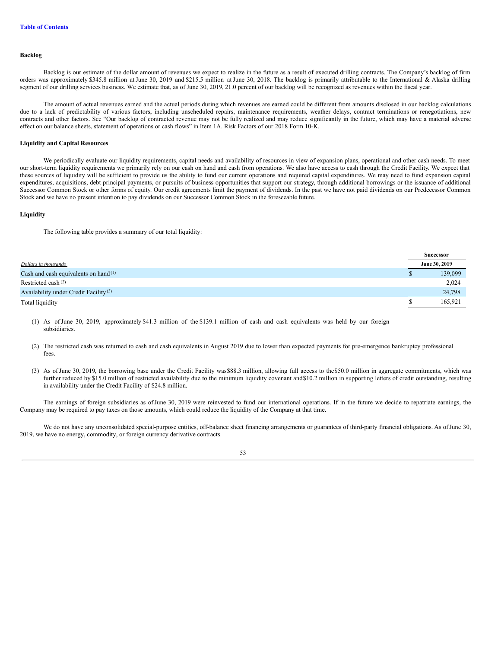#### **Backlog**

Backlog is our estimate of the dollar amount of revenues we expect to realize in the future as a result of executed drilling contracts. The Company's backlog of firm orders was approximately \$345.8 million atJune 30, 2019 and \$215.5 million atJune 30, 2018. The backlog is primarily attributable to the International & Alaska drilling segment of our drilling services business. We estimate that, as of June 30, 2019, 21.0 percent of our backlog will be recognized as revenues within the fiscal year.

The amount of actual revenues earned and the actual periods during which revenues are earned could be different from amounts disclosed in our backlog calculations due to a lack of predictability of various factors, including unscheduled repairs, maintenance requirements, weather delays, contract terminations or renegotiations, new contracts and other factors. See "Our backlog of contracted revenue may not be fully realized and may reduce significantly in the future, which may have a material adverse effect on our balance sheets, statement of operations or cash flows" in Item 1A. Risk Factors of our 2018 Form 10-K.

# **Liquidity and Capital Resources**

We periodically evaluate our liquidity requirements, capital needs and availability of resources in view of expansion plans, operational and other cash needs. To meet our short-term liquidity requirements we primarily rely on our cash on hand and cash from operations. We also have access to cash through the Credit Facility. We expect that these sources of liquidity will be sufficient to provide us the ability to fund our current operations and required capital expenditures. We may need to fund expansion capital expenditures, acquisitions, debt principal payments, or pursuits of business opportunities that support our strategy, through additional borrowings or the issuance of additional Successor Common Stock or other forms of equity. Our credit agreements limit the payment of dividends. In the past we have not paid dividends on our Predecessor Common Stock and we have no present intention to pay dividends on our Successor Common Stock in the foreseeable future.

# **Liquidity**

The following table provides a summary of our total liquidity:

|                                                   |   | <b>Successor</b> |
|---------------------------------------------------|---|------------------|
| Dollars in thousands                              |   | June 30, 2019    |
| Cash and cash equivalents on hand <sup>(1)</sup>  | ъ | 139,099          |
| Restricted cash <sup>(2)</sup>                    |   | 2,024            |
| Availability under Credit Facility <sup>(3)</sup> |   | 24,798           |
| Total liquidity                                   |   | 165.921          |

(1) As of June 30, 2019, approximately \$41.3 million of the \$139.1 million of cash and cash equivalents was held by our foreign subsidiaries.

- (2) The restricted cash was returned to cash and cash equivalents in August 2019 due to lower than expected payments for pre-emergence bankruptcy professional fees.
- (3) As of June 30, 2019, the borrowing base under the Credit Facility was\$88.3 million, allowing full access to the\$50.0 million in aggregate commitments, which was further reduced by \$15.0 million of restricted availability due to the minimum liquidity covenant and\$10.2 million in supporting letters of credit outstanding, resulting in availability under the Credit Facility of \$24.8 million.

The earnings of foreign subsidiaries as ofJune 30, 2019 were reinvested to fund our international operations. If in the future we decide to repatriate earnings, the Company may be required to pay taxes on those amounts, which could reduce the liquidity of the Company at that time.

We do not have any unconsolidated special-purpose entities, off-balance sheet financing arrangements or guarantees of third-party financial obligations. As of June 30, 2019, we have no energy, commodity, or foreign currency derivative contracts.

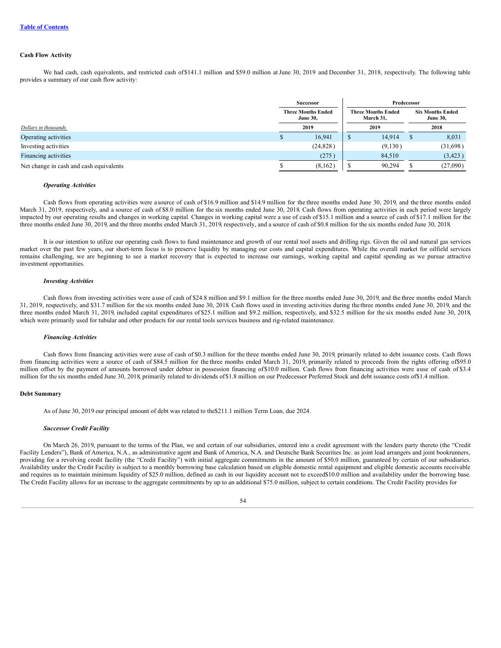# **Cash Flow Activity**

We had cash, cash equivalents, and restricted cash of \$141.1 million and \$59.0 million at June 30, 2019 and December 31, 2018, respectively. The following table provides a summary of our cash flow activity:

|                                         | <b>Successor</b>                             | Predecessor |                                        |                                            |          |  |
|-----------------------------------------|----------------------------------------------|-------------|----------------------------------------|--------------------------------------------|----------|--|
|                                         | <b>Three Months Ended</b><br><b>June 30,</b> |             | <b>Three Months Ended</b><br>March 31, | <b>Six Months Ended</b><br><b>June 30,</b> |          |  |
| Dollars in thousands                    | 2019                                         |             | 2019                                   |                                            | 2018     |  |
| Operating activities                    | 16.941                                       |             | 14.914                                 |                                            | 8,031    |  |
| Investing activities                    | (24, 828)                                    |             | (9,130)                                |                                            | (31,698) |  |
| Financing activities                    | (275)                                        |             | 84,510                                 |                                            | (3,423)  |  |
| Net change in cash and cash equivalents | (8,162)                                      |             | 90,294                                 |                                            | (27,090) |  |

#### *Operating Activities*

Cash flows from operating activities were a source of cash of \$16.9 million and \$14.9 million for the three months ended June 30, 2019, and the three months ended March 31, 2019, respectively, and a source of cash of \$8.0 million for the six months ended June 30, 2018. Cash flows from operating activities in each period were largely impacted by our operating results and changes in working capital. Changes in working capital were a use of cash of \$15.1 million and a source of cash of \$17.1 million for the three months ended June 30, 2019, and the three months ended March 31, 2019, respectively, and a source of cash of \$0.8 million for the six months ended June 30, 2018.

It is our intention to utilize our operating cash flows to fund maintenance and growth of our rental tool assets and drilling rigs. Given the oil and natural gas services market over the past few years, our short-term focus is to preserve liquidity by managing our costs and capital expenditures. While the overall market for oilfield services remains challenging, we are beginning to see a market recovery that is expected to increase our earnings, working capital and capital spending as we pursue attractive investment opportunities.

#### *Investing Activities*

Cash flows from investing activities were a use of cash of \$24.8 million and \$9.1 million for the three months ended June 30, 2019, and the three months ended March 31, 2019, respectively, and \$31.7 million for the six months ended June 30, 2018. Cash flows used in investing activities during the three months ended June 30, 2019, and the three months ended March 31, 2019, included capital expenditures of \$25.1 million and \$9.2 million, respectively, and \$32.5 million for the six months ended June 30, 2018, which were primarily used for tubular and other products for our rental tools services business and rig-related maintenance.

#### *Financing Activities*

Cash flows from financing activities were ause of cash of \$0.3 million for the three months ended June 30, 2019, primarily related to debt issuance costs. Cash flows from financing activities were a source of cash of \$84.5 million for the three months ended March 31, 2019, primarily related to proceeds from the rights offering of\$95.0 million offset by the payment of amounts borrowed under debtor in possession financing of \$10.0 million. Cash flows from financing activities were ause of cash of \$3.4 million for the six months ended June 30, 2018, primarily related to dividends of\$1.8 million on our Predecessor Preferred Stock and debt issuance costs of\$1.4 million.

#### **Debt Summary**

As of June 30, 2019 our principal amount of debt was related to the\$211.1 million Term Loan, due 2024.

#### *Successor Credit Facility*

On March 26, 2019, pursuant to the terms of the Plan, we and certain of our subsidiaries, entered into a credit agreement with the lenders party thereto (the "Credit Facility Lenders"), Bank of America, N.A., as administrative agent and Bank of America, N.A. and Deutsche Bank Securities Inc. as joint lead arrangers and joint bookrunners, providing for a revolving credit facility (the "Credit Facility") with initial aggregate commitments in the amount of \$50.0 million, guaranteed by certain of our subsidiaries. Availability under the Credit Facility is subject to a monthly borrowing base calculation based on eligible domestic rental equipment and eligible domestic accounts receivable and requires us to maintain minimum liquidity of \$25.0 million, defined as cash in our liquidity account not to exceed\$10.0 million and availability under the borrowing base. The Credit Facility allows for an increase to the aggregate commitments by up to an additional \$75.0 million, subject to certain conditions. The Credit Facility provides for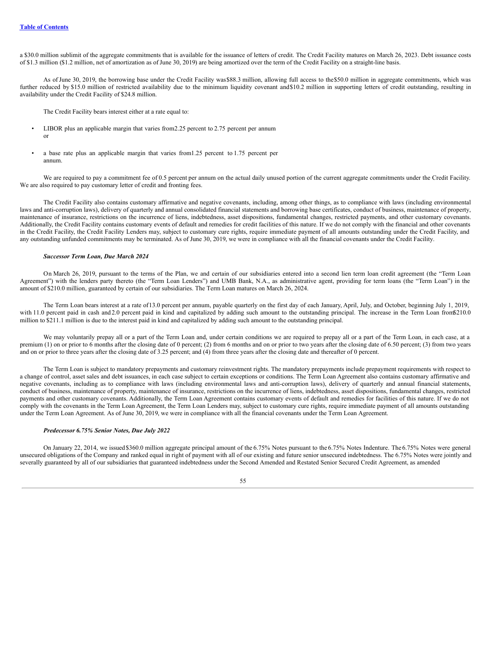a \$30.0 million sublimit of the aggregate commitments that is available for the issuance of letters of credit. The Credit Facility matures on March 26, 2023. Debt issuance costs of \$1.3 million (\$1.2 million, net of amortization as of June 30, 2019) are being amortized over the term of the Credit Facility on a straight-line basis.

As of June 30, 2019, the borrowing base under the Credit Facility was\$88.3 million, allowing full access to the\$50.0 million in aggregate commitments, which was further reduced by \$15.0 million of restricted availability due to the minimum liquidity covenant and\$10.2 million in supporting letters of credit outstanding, resulting in availability under the Credit Facility of \$24.8 million.

The Credit Facility bears interest either at a rate equal to:

- LIBOR plus an applicable margin that varies from 2.25 percent to 2.75 percent per annum or
- a base rate plus an applicable margin that varies from1.25 percent to 1.75 percent per annum.

We are required to pay a commitment fee of 0.5 percent per annum on the actual daily unused portion of the current aggregate commitments under the Credit Facility. We are also required to pay customary letter of credit and fronting fees.

The Credit Facility also contains customary affirmative and negative covenants, including, among other things, as to compliance with laws (including environmental laws and anti-corruption laws), delivery of quarterly and annual consolidated financial statements and borrowing base certificates, conduct of business, maintenance of property, maintenance of insurance, restrictions on the incurrence of liens, indebtedness, asset dispositions, fundamental changes, restricted payments, and other customary covenants. Additionally, the Credit Facility contains customary events of default and remedies for credit facilities of this nature. If we do not comply with the financial and other covenants in the Credit Facility, the Credit Facility Lenders may, subject to customary cure rights, require immediate payment of all amounts outstanding under the Credit Facility, and any outstanding unfunded commitments may be terminated. As of June 30, 2019, we were in compliance with all the financial covenants under the Credit Facility.

#### *Successor Term Loan, Due March 2024*

On March 26, 2019, pursuant to the terms of the Plan, we and certain of our subsidiaries entered into a second lien term loan credit agreement (the "Term Loan Agreement") with the lenders party thereto (the "Term Loan Lenders") and UMB Bank, N.A., as administrative agent, providing for term loans (the "Term Loan") in the amount of \$210.0 million, guaranteed by certain of our subsidiaries. The Term Loan matures on March 26, 2024.

The Term Loan bears interest at a rate of13.0 percent per annum, payable quarterly on the first day of each January, April, July, and October, beginning July 1, 2019, with 11.0 percent paid in cash and 2.0 percent paid in kind and capitalized by adding such amount to the outstanding principal. The increase in the Term Loan from\$210.0 million to \$211.1 million is due to the interest paid in kind and capitalized by adding such amount to the outstanding principal.

We may voluntarily prepay all or a part of the Term Loan and, under certain conditions we are required to prepay all or a part of the Term Loan, in each case, at a premium (1) on or prior to 6 months after the closing date of 0 percent; (2) from 6 months and on or prior to two years after the closing date of 6.50 percent; (3) from two years and on or prior to three years after the closing date of 3.25 percent; and (4) from three years after the closing date and thereafter of 0 percent.

The Term Loan is subject to mandatory prepayments and customary reinvestment rights. The mandatory prepayments include prepayment requirements with respect to a change of control, asset sales and debt issuances, in each case subject to certain exceptions or conditions. The Term Loan Agreement also contains customary affirmative and negative covenants, including as to compliance with laws (including environmental laws and anti-corruption laws), delivery of quarterly and annual financial statements, conduct of business, maintenance of property, maintenance of insurance, restrictions on the incurrence of liens, indebtedness, asset dispositions, fundamental changes, restricted payments and other customary covenants. Additionally, the Term Loan Agreement contains customary events of default and remedies for facilities of this nature. If we do not comply with the covenants in the Term Loan Agreement, the Term Loan Lenders may, subject to customary cure rights, require immediate payment of all amounts outstanding under the Term Loan Agreement. As of June 30, 2019, we were in compliance with all the financial covenants under the Term Loan Agreement.

### *Predecessor 6.75% Senior Notes, Due July 2022*

On January 22, 2014, we issued \$360.0 million aggregate principal amount of the 6.75% Notes pursuant to the 6.75% Notes Indenture. The 6.75% Notes were general unsecured obligations of the Company and ranked equal in right of payment with all of our existing and future senior unsecured indebtedness. The 6.75% Notes were jointly and severally guaranteed by all of our subsidiaries that guaranteed indebtedness under the Second Amended and Restated Senior Secured Credit Agreement, as amended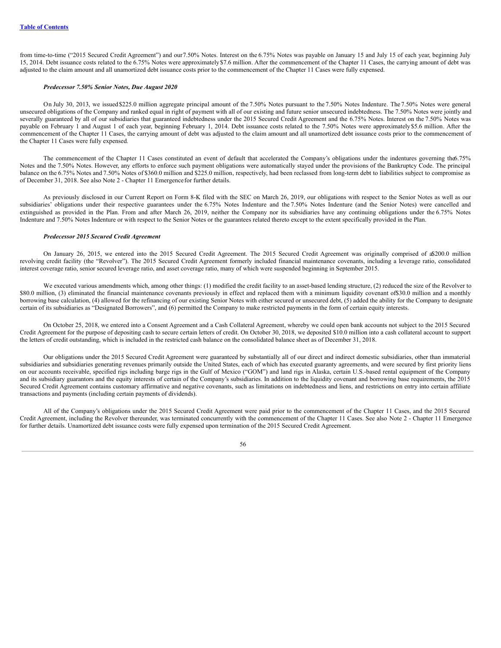from time-to-time ("2015 Secured Credit Agreement") and our7.50% Notes. Interest on the 6.75% Notes was payable on January 15 and July 15 of each year, beginning July 15, 2014. Debt issuance costs related to the 6.75% Notes were approximately \$7.6 million. After the commencement of the Chapter 11 Cases, the carrying amount of debt was adjusted to the claim amount and all unamortized debt issuance costs prior to the commencement of the Chapter 11 Cases were fully expensed.

### *Predecessor 7.50% Senior Notes, Due August 2020*

On July 30, 2013, we issued \$225.0 million aggregate principal amount of the 7.50% Notes pursuant to the 7.50% Notes Indenture. The 7.50% Notes were general unsecured obligations of the Company and ranked equal in right of payment with all of our existing and future senior unsecured indebtedness. The 7.50% Notes were jointly and severally guaranteed by all of our subsidiaries that guaranteed indebtedness under the 2015 Secured Credit Agreement and the 6.75% Notes. Interest on the 7.50% Notes was payable on February 1 and August 1 of each year, beginning February 1, 2014. Debt issuance costs related to the 7.50% Notes were approximately \$5.6 million. After the commencement of the Chapter 11 Cases, the carrying amount of debt was adjusted to the claim amount and all unamortized debt issuance costs prior to the commencement of the Chapter 11 Cases were fully expensed.

The commencement of the Chapter 11 Cases constituted an event of default that accelerated the Company's obligations under the indentures governing the6.75% Notes and the 7.50% Notes. However, any efforts to enforce such payment obligations were automatically stayed under the provisions of the Bankruptcy Code. The principal balance on the 6.75% Notes and 7.50% Notes of \$360.0 million and \$225.0 million, respectively, had been reclassed from long-term debt to liabilities subject to compromise as of December 31, 2018. See also Note 2 - Chapter 11 Emergencefor further details.

As previously disclosed in our Current Report on Form 8-K filed with the SEC on March 26, 2019, our obligations with respect to the Senior Notes as well as our subsidiaries' obligations under their respective guarantees under the 6.75% Notes Indenture and the 7.50% Notes Indenture (and the Senior Notes) were cancelled and extinguished as provided in the Plan. From and after March 26, 2019, neither the Company nor its subsidiaries have any continuing obligations under the 6.75% Notes Indenture and 7.50% Notes Indenture or with respect to the Senior Notes or the guarantees related thereto except to the extent specifically provided in the Plan.

#### *Predecessor 2015 Secured Credit Agreement*

On January 26, 2015, we entered into the 2015 Secured Credit Agreement. The 2015 Secured Credit Agreement was originally comprised of a\$200.0 million revolving credit facility (the "Revolver"). The 2015 Secured Credit Agreement formerly included financial maintenance covenants, including a leverage ratio, consolidated interest coverage ratio, senior secured leverage ratio, and asset coverage ratio, many of which were suspended beginning in September 2015.

We executed various amendments which, among other things: (1) modified the credit facility to an asset-based lending structure, (2) reduced the size of the Revolver to \$80.0 million, (3) eliminated the financial maintenance covenants previously in effect and replaced them with a minimum liquidity covenant of\$30.0 million and a monthly borrowing base calculation, (4) allowed for the refinancing of our existing Senior Notes with either secured or unsecured debt, (5) added the ability for the Company to designate certain of its subsidiaries as "Designated Borrowers", and (6) permitted the Company to make restricted payments in the form of certain equity interests.

On October 25, 2018, we entered into a Consent Agreement and a Cash Collateral Agreement, whereby we could open bank accounts not subject to the 2015 Secured Credit Agreement for the purpose of depositing cash to secure certain letters of credit. On October 30, 2018, we deposited \$10.0 million into a cash collateral account to support the letters of credit outstanding, which is included in the restricted cash balance on the consolidated balance sheet as of December 31, 2018.

Our obligations under the 2015 Secured Credit Agreement were guaranteed by substantially all of our direct and indirect domestic subsidiaries, other than immaterial subsidiaries and subsidiaries generating revenues primarily outside the United States, each of which has executed guaranty agreements, and were secured by first priority liens on our accounts receivable, specified rigs including barge rigs in the Gulf of Mexico ("GOM") and land rigs in Alaska, certain U.S.-based rental equipment of the Company and its subsidiary guarantors and the equity interests of certain of the Company's subsidiaries. In addition to the liquidity covenant and borrowing base requirements, the 2015 Secured Credit Agreement contains customary affirmative and negative covenants, such as limitations on indebtedness and liens, and restrictions on entry into certain affiliate transactions and payments (including certain payments of dividends).

All of the Company's obligations under the 2015 Secured Credit Agreement were paid prior to the commencement of the Chapter 11 Cases, and the 2015 Secured Credit Agreement, including the Revolver thereunder, was terminated concurrently with the commencement of the Chapter 11 Cases. See also Note 2 - Chapter 11 Emergence for further details. Unamortized debt issuance costs were fully expensed upon termination of the 2015 Secured Credit Agreement.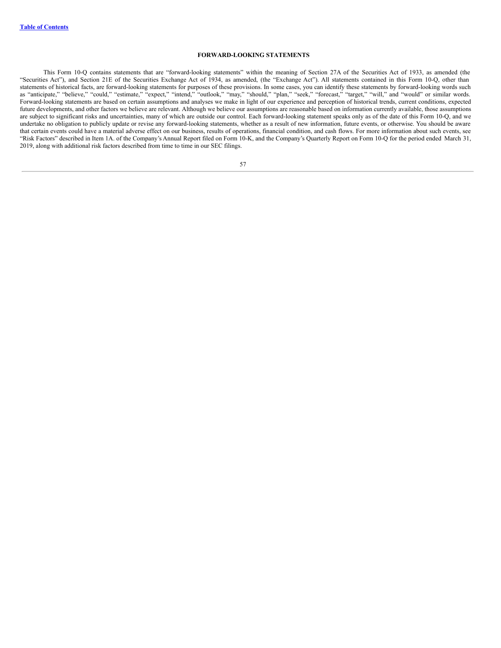# **FORWARD-LOOKING STATEMENTS**

This Form 10-Q contains statements that are "forward-looking statements" within the meaning of Section 27A of the Securities Act of 1933, as amended (the "Securities Act"), and Section 21E of the Securities Exchange Act of 1934, as amended, (the "Exchange Act"). All statements contained in this Form 10-Q, other than statements of historical facts, are forward-looking statements for purposes of these provisions. In some cases, you can identify these statements by forward-looking words such as "anticipate," "believe," "could," "estimate," "expect," "intend," "outlook," "may," "should," "plan," "seek," "forecast," "target," "will," and "would" or similar words. Forward-looking statements are based on certain assumptions and analyses we make in light of our experience and perception of historical trends, current conditions, expected future developments, and other factors we believe are relevant. Although we believe our assumptions are reasonable based on information currently available, those assumptions are subject to significant risks and uncertainties, many of which are outside our control. Each forward-looking statement speaks only as of the date of this Form 10-Q, and we undertake no obligation to publicly update or revise any forward-looking statements, whether as a result of new information, future events, or otherwise. You should be aware that certain events could have a material adverse effect on our business, results of operations, financial condition, and cash flows. For more information about such events, see "Risk Factors" described in Item 1A. of the Company's Annual Report filed on Form 10-K, and the Company's Quarterly Report on Form 10-Q for the period ended March 31, 2019, along with additional risk factors described from time to time in our SEC filings.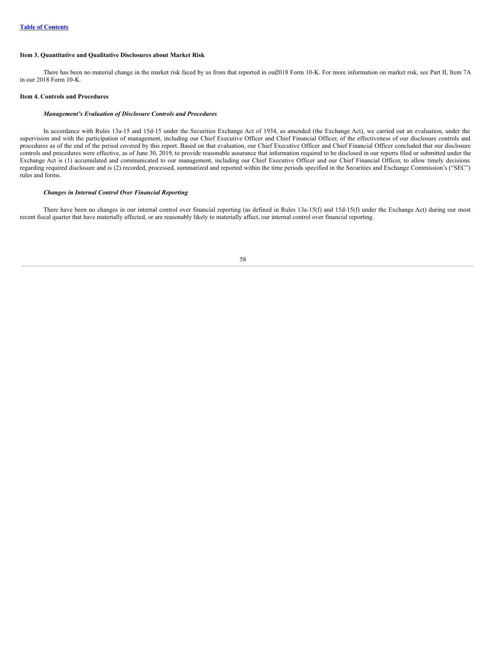# **Item 3. Quantitative and Qualitative Disclosures about Market Risk**

There has been no material change in the market risk faced by us from that reported in out 2018 Form 10-K. For more information on market risk, see Part II, Item 7A in our 2018 Form 10-K.

#### **Item 4. Controls and Procedures**

#### *Management's Evaluation of Disclosure Controls and Procedures*

In accordance with Rules 13a-15 and 15d-15 under the Securities Exchange Act of 1934, as amended (the Exchange Act), we carried out an evaluation, under the supervision and with the participation of management, including our Chief Executive Officer and Chief Financial Officer, of the effectiveness of our disclosure controls and procedures as of the end of the period covered by this report. Based on that evaluation, our Chief Executive Officer and Chief Financial Officer concluded that our disclosure controls and procedures were effective, as of June 30, 2019, to provide reasonable assurance that information required to be disclosed in our reports filed or submitted under the Exchange Act is (1) accumulated and communicated to our management, including our Chief Executive Officer and our Chief Financial Officer, to allow timely decisions regarding required disclosure and is (2) recorded, processed, summarized and reported within the time periods specified in the Securities and Exchange Commission's ("SEC") rules and forms.

### *Changes in Internal Control Over Financial Reporting*

There have been no changes in our internal control over financial reporting (as defined in Rules 13a-15(f) and 15d-15(f) under the Exchange Act) during our most recent fiscal quarter that have materially affected, or are reasonably likely to materially affect, our internal control over financial reporting.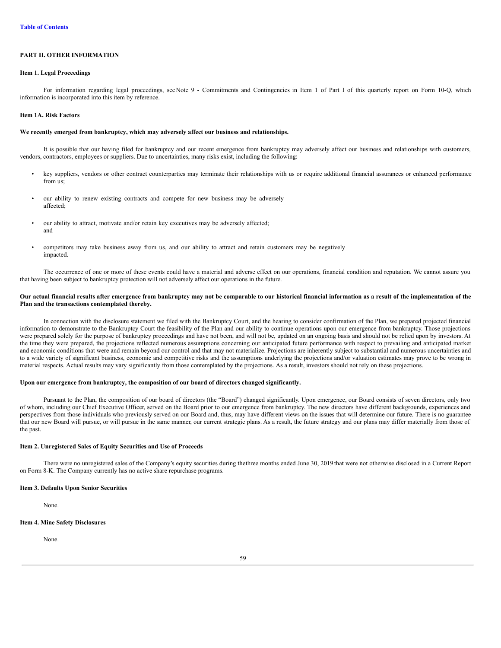# **PART II. OTHER INFORMATION**

#### **Item 1. Legal Proceedings**

For information regarding legal proceedings, seeNote 9 - Commitments and Contingencies in Item 1 of Part I of this quarterly report on Form 10-Q, which information is incorporated into this item by reference.

### **Item 1A. Risk Factors**

#### **We recently emerged from bankruptcy, which may adversely affect our business and relationships.**

It is possible that our having filed for bankruptcy and our recent emergence from bankruptcy may adversely affect our business and relationships with customers, vendors, contractors, employees or suppliers. Due to uncertainties, many risks exist, including the following:

- key suppliers, vendors or other contract counterparties may terminate their relationships with us or require additional financial assurances or enhanced performance from us;
- our ability to renew existing contracts and compete for new business may be adversely affected;
- our ability to attract, motivate and/or retain key executives may be adversely affected; and
- competitors may take business away from us, and our ability to attract and retain customers may be negatively impacted.

The occurrence of one or more of these events could have a material and adverse effect on our operations, financial condition and reputation. We cannot assure you that having been subject to bankruptcy protection will not adversely affect our operations in the future.

# Our actual financial results after emergence from bankruptcy may not be comparable to our historical financial information as a result of the implementation of the **Plan and the transactions contemplated thereby.**

In connection with the disclosure statement we filed with the Bankruptcy Court, and the hearing to consider confirmation of the Plan, we prepared projected financial information to demonstrate to the Bankruptcy Court the feasibility of the Plan and our ability to continue operations upon our emergence from bankruptcy. Those projections were prepared solely for the purpose of bankruptcy proceedings and have not been, and will not be, updated on an ongoing basis and should not be relied upon by investors. At the time they were prepared, the projections reflected numerous assumptions concerning our anticipated future performance with respect to prevailing and anticipated market and economic conditions that were and remain beyond our control and that may not materialize. Projections are inherently subject to substantial and numerous uncertainties and to a wide variety of significant business, economic and competitive risks and the assumptions underlying the projections and/or valuation estimates may prove to be wrong in material respects. Actual results may vary significantly from those contemplated by the projections. As a result, investors should not rely on these projections.

# **Upon our emergence from bankruptcy, the composition of our board of directors changed significantly.**

Pursuant to the Plan, the composition of our board of directors (the "Board") changed significantly. Upon emergence, our Board consists of seven directors, only two of whom, including our Chief Executive Officer, served on the Board prior to our emergence from bankruptcy. The new directors have different backgrounds, experiences and perspectives from those individuals who previously served on our Board and, thus, may have different views on the issues that will determine our future. There is no guarantee that our new Board will pursue, or will pursue in the same manner, our current strategic plans. As a result, the future strategy and our plans may differ materially from those of the past.

#### **Item 2. Unregistered Sales of Equity Securities and Use of Proceeds**

There were no unregistered sales of the Company's equity securities during thethree months ended June 30, 2019 that were not otherwise disclosed in a Current Report on Form 8-K. The Company currently has no active share repurchase programs.

#### **Item 3. Defaults Upon Senior Securities**

None.

#### **Item 4. Mine Safety Disclosures**

None.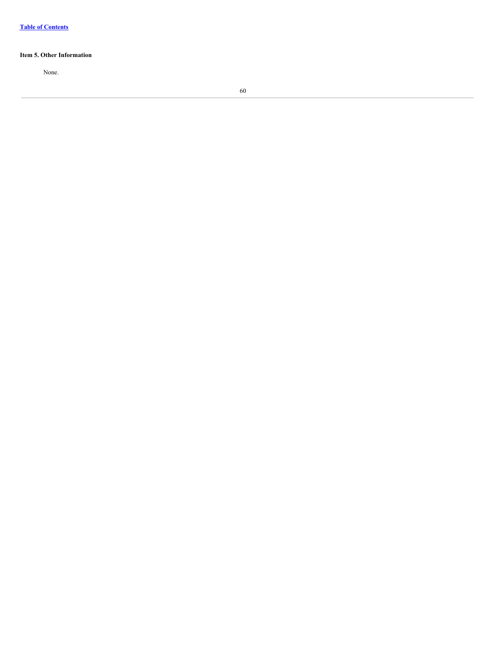# **Item 5. Other Information**

None.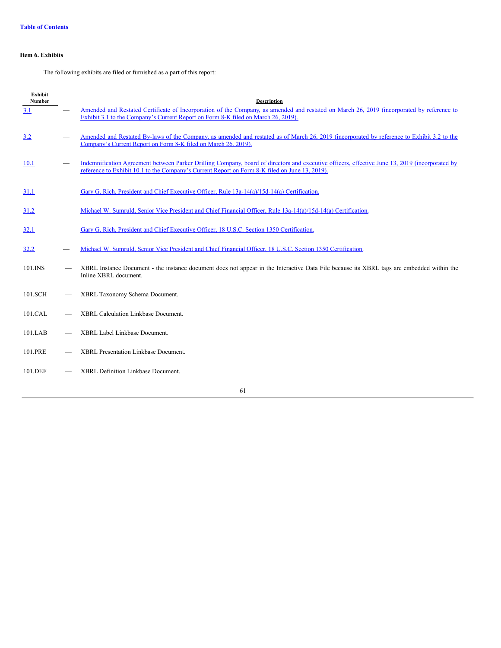# **Item 6. Exhibits**

The following exhibits are filed or furnished as a part of this report:

| <b>Exhibit</b><br><b>Number</b> | <b>Description</b>                                                                                                                                                                                                                               |
|---------------------------------|--------------------------------------------------------------------------------------------------------------------------------------------------------------------------------------------------------------------------------------------------|
| 3.1                             | Amended and Restated Certificate of Incorporation of the Company, as amended and restated on March 26, 2019 (incorporated by reference to<br>Exhibit 3.1 to the Company's Current Report on Form 8-K filed on March 26, 2019).                   |
| 3.2                             | Amended and Restated By-laws of the Company, as amended and restated as of March 26, 2019 (incorporated by reference to Exhibit 3.2 to the<br>Company's Current Report on Form 8-K filed on March 26, 2019).                                     |
| 10.1                            | Indemnification Agreement between Parker Drilling Company, board of directors and executive officers, effective June 13, 2019 (incorporated by<br>reference to Exhibit 10.1 to the Company's Current Report on Form 8-K filed on June 13, 2019). |
| <b>31.1</b>                     | Gary G. Rich, President and Chief Executive Officer, Rule 13a-14(a)/15d-14(a) Certification.                                                                                                                                                     |
| 31.2                            | Michael W. Sumruld, Senior Vice President and Chief Financial Officer, Rule 13a-14(a)/15d-14(a) Certification.                                                                                                                                   |
| 32.1                            | Gary G. Rich, President and Chief Executive Officer, 18 U.S.C. Section 1350 Certification.                                                                                                                                                       |
| 32.2                            | Michael W. Sumruld, Senior Vice President and Chief Financial Officer, 18 U.S.C. Section 1350 Certification.                                                                                                                                     |
| 101.INS                         | XBRL Instance Document - the instance document does not appear in the Interactive Data File because its XBRL tags are embedded within the<br>Inline XBRL document.                                                                               |
| 101.SCH                         | XBRL Taxonomy Schema Document.                                                                                                                                                                                                                   |
| 101.CAL                         | XBRL Calculation Linkbase Document.                                                                                                                                                                                                              |
| 101.LAB                         | XBRL Label Linkbase Document.                                                                                                                                                                                                                    |
| 101.PRE                         | <b>XBRL Presentation Linkbase Document.</b>                                                                                                                                                                                                      |
| 101.DEF                         | XBRL Definition Linkbase Document.                                                                                                                                                                                                               |
|                                 | 61                                                                                                                                                                                                                                               |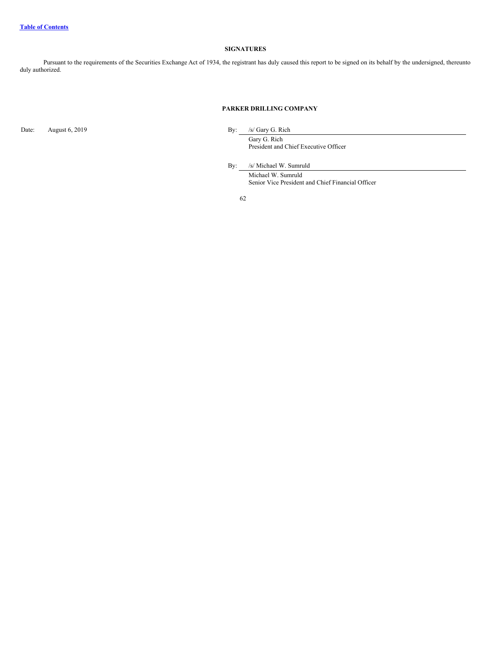# **SIGNATURES**

Pursuant to the requirements of the Securities Exchange Act of 1934, the registrant has duly caused this report to be signed on its behalf by the undersigned, thereunto duly authorized.

# **PARKER DRILLING COMPANY**

Date: August 6, 2019 By: /s/ Gary G. Rich

Gary G. Rich President and Chief Executive Officer

By: /s/ Michael W. Sumruld

Michael W. Sumruld Senior Vice President and Chief Financial Officer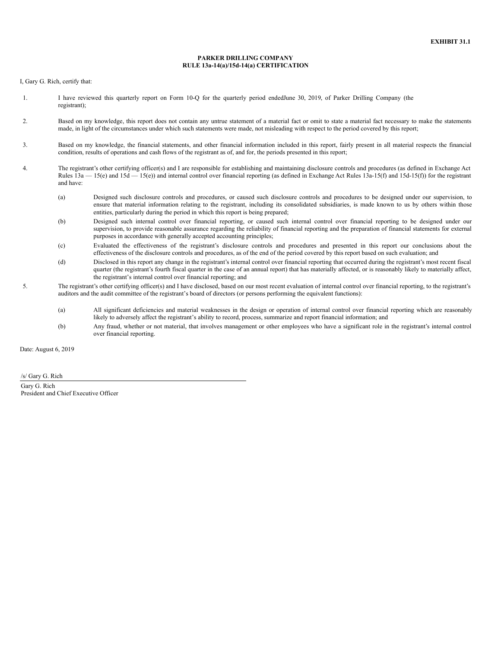#### **PARKER DRILLING COMPANY RULE 13a-14(a)/15d-14(a) CERTIFICATION**

<span id="page-62-0"></span>I, Gary G. Rich, certify that:

- 1. I have reviewed this quarterly report on Form 10-Q for the quarterly period endedJune 30, 2019, of Parker Drilling Company (the registrant);
- 2. Based on my knowledge, this report does not contain any untrue statement of a material fact or omit to state a material fact necessary to make the statements made, in light of the circumstances under which such statements were made, not misleading with respect to the period covered by this report;
- 3. Based on my knowledge, the financial statements, and other financial information included in this report, fairly present in all material respects the financial condition, results of operations and cash flows of the registrant as of, and for, the periods presented in this report;
- 4. The registrant's other certifying officer(s) and I are responsible for establishing and maintaining disclosure controls and procedures (as defined in Exchange Act Rules  $13a - 15(e)$  and  $15d - 15(e)$  and internal control over financial reporting (as defined in Exchange Act Rules  $13a - 15(f)$  and  $15d - 15(f)$ ) for the registrant and have:
	- (a) Designed such disclosure controls and procedures, or caused such disclosure controls and procedures to be designed under our supervision, to ensure that material information relating to the registrant, including its consolidated subsidiaries, is made known to us by others within those entities, particularly during the period in which this report is being prepared;
	- (b) Designed such internal control over financial reporting, or caused such internal control over financial reporting to be designed under our supervision, to provide reasonable assurance regarding the reliability of financial reporting and the preparation of financial statements for external purposes in accordance with generally accepted accounting principles;
	- (c) Evaluated the effectiveness of the registrant's disclosure controls and procedures and presented in this report our conclusions about the effectiveness of the disclosure controls and procedures, as of the end of the period covered by this report based on such evaluation; and
	- (d) Disclosed in this report any change in the registrant's internal control over financial reporting that occurred during the registrant's most recent fiscal quarter (the registrant's fourth fiscal quarter in the case of an annual report) that has materially affected, or is reasonably likely to materially affect, the registrant's internal control over financial reporting; and
- 5. The registrant's other certifying officer(s) and I have disclosed, based on our most recent evaluation of internal control over financial reporting, to the registrant's auditors and the audit committee of the registrant's board of directors (or persons performing the equivalent functions):
	- (a) All significant deficiencies and material weaknesses in the design or operation of internal control over financial reporting which are reasonably likely to adversely affect the registrant's ability to record, process, summarize and report financial information; and
	- (b) Any fraud, whether or not material, that involves management or other employees who have a significant role in the registrant's internal control over financial reporting.

Date: August 6, 2019

/s/ Gary G. Rich Gary G. Rich President and Chief Executive Officer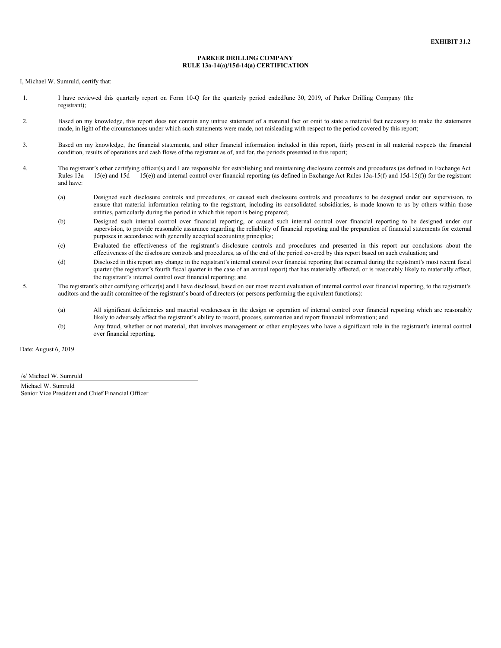#### **PARKER DRILLING COMPANY RULE 13a-14(a)/15d-14(a) CERTIFICATION**

<span id="page-63-0"></span>I, Michael W. Sumruld, certify that:

- 1. I have reviewed this quarterly report on Form 10-Q for the quarterly period endedJune 30, 2019, of Parker Drilling Company (the registrant);
- 2. Based on my knowledge, this report does not contain any untrue statement of a material fact or omit to state a material fact necessary to make the statements made, in light of the circumstances under which such statements were made, not misleading with respect to the period covered by this report;
- 3. Based on my knowledge, the financial statements, and other financial information included in this report, fairly present in all material respects the financial condition, results of operations and cash flows of the registrant as of, and for, the periods presented in this report;
- 4. The registrant's other certifying officer(s) and I are responsible for establishing and maintaining disclosure controls and procedures (as defined in Exchange Act Rules  $13a - 15(e)$  and  $15d - 15(e)$  and internal control over financial reporting (as defined in Exchange Act Rules  $13a - 15(f)$  and  $15d - 15(f)$ ) for the registrant and have:
	- (a) Designed such disclosure controls and procedures, or caused such disclosure controls and procedures to be designed under our supervision, to ensure that material information relating to the registrant, including its consolidated subsidiaries, is made known to us by others within those entities, particularly during the period in which this report is being prepared;
	- (b) Designed such internal control over financial reporting, or caused such internal control over financial reporting to be designed under our supervision, to provide reasonable assurance regarding the reliability of financial reporting and the preparation of financial statements for external purposes in accordance with generally accepted accounting principles;
	- (c) Evaluated the effectiveness of the registrant's disclosure controls and procedures and presented in this report our conclusions about the effectiveness of the disclosure controls and procedures, as of the end of the period covered by this report based on such evaluation; and
	- (d) Disclosed in this report any change in the registrant's internal control over financial reporting that occurred during the registrant's most recent fiscal quarter (the registrant's fourth fiscal quarter in the case of an annual report) that has materially affected, or is reasonably likely to materially affect, the registrant's internal control over financial reporting; and
- 5. The registrant's other certifying officer(s) and I have disclosed, based on our most recent evaluation of internal control over financial reporting, to the registrant's auditors and the audit committee of the registrant's board of directors (or persons performing the equivalent functions):
	- (a) All significant deficiencies and material weaknesses in the design or operation of internal control over financial reporting which are reasonably likely to adversely affect the registrant's ability to record, process, summarize and report financial information; and
	- (b) Any fraud, whether or not material, that involves management or other employees who have a significant role in the registrant's internal control over financial reporting.

Date: August 6, 2019

/s/ Michael W. Sumruld Michael W. Sumruld Senior Vice President and Chief Financial Officer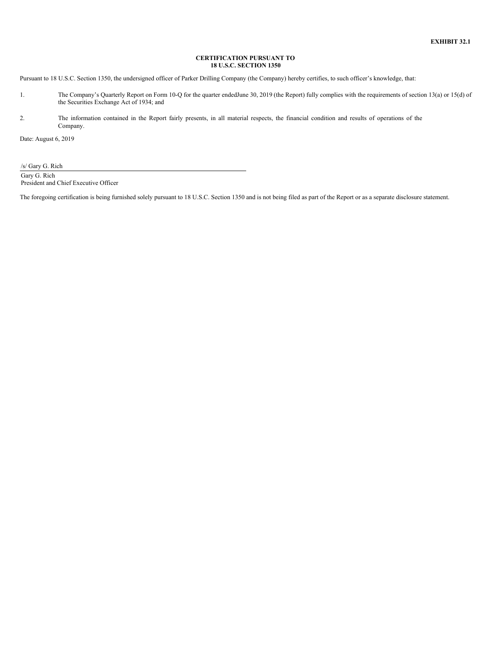# **CERTIFICATION PURSUANT TO 18 U.S.C. SECTION 1350**

<span id="page-64-0"></span>Pursuant to 18 U.S.C. Section 1350, the undersigned officer of Parker Drilling Company (the Company) hereby certifies, to such officer's knowledge, that:

- 1. The Company's Quarterly Report on Form 10-Q for the quarter endedJune 30, 2019 (the Report) fully complies with the requirements of section 13(a) or 15(d) of the Securities Exchange Act of 1934; and
- 2. The information contained in the Report fairly presents, in all material respects, the financial condition and results of operations of the Company.

Date: August 6, 2019

/s/ Gary G. Rich Gary G. Rich

President and Chief Executive Officer

The foregoing certification is being furnished solely pursuant to 18 U.S.C. Section 1350 and is not being filed as part of the Report or as a separate disclosure statement.